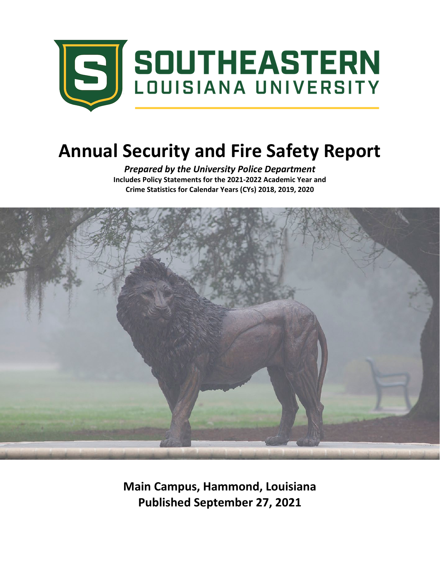

# **Annual Security and Fire Safety Report**

*Prepared by the University Police Department* **Includes Policy Statements for the 2021-2022 Academic Year and Crime Statistics for Calendar Years (CYs) 2018, 2019, 2020**



**Main Campus, Hammond, Louisiana Published September 27, 2021**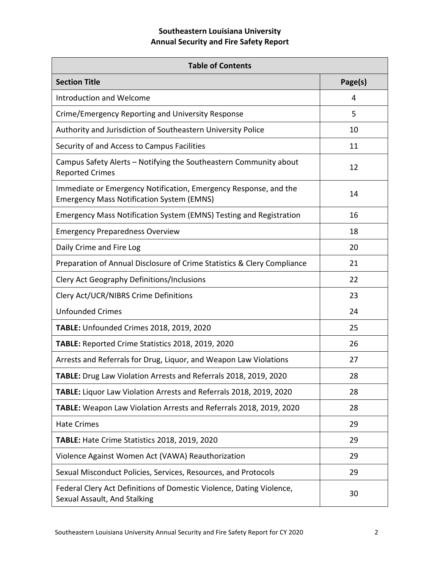# **Southeastern Louisiana University Annual Security and Fire Safety Report**

| <b>Table of Contents</b>                                                                                             |         |  |  |  |  |
|----------------------------------------------------------------------------------------------------------------------|---------|--|--|--|--|
| <b>Section Title</b>                                                                                                 | Page(s) |  |  |  |  |
| Introduction and Welcome                                                                                             | 4       |  |  |  |  |
| Crime/Emergency Reporting and University Response                                                                    | 5       |  |  |  |  |
| Authority and Jurisdiction of Southeastern University Police                                                         | 10      |  |  |  |  |
| Security of and Access to Campus Facilities                                                                          | 11      |  |  |  |  |
| Campus Safety Alerts - Notifying the Southeastern Community about<br><b>Reported Crimes</b>                          | 12      |  |  |  |  |
| Immediate or Emergency Notification, Emergency Response, and the<br><b>Emergency Mass Notification System (EMNS)</b> | 14      |  |  |  |  |
| Emergency Mass Notification System (EMNS) Testing and Registration                                                   | 16      |  |  |  |  |
| <b>Emergency Preparedness Overview</b>                                                                               | 18      |  |  |  |  |
| Daily Crime and Fire Log                                                                                             | 20      |  |  |  |  |
| Preparation of Annual Disclosure of Crime Statistics & Clery Compliance                                              | 21      |  |  |  |  |
| <b>Clery Act Geography Definitions/Inclusions</b>                                                                    | 22      |  |  |  |  |
| Clery Act/UCR/NIBRS Crime Definitions                                                                                | 23      |  |  |  |  |
| <b>Unfounded Crimes</b>                                                                                              | 24      |  |  |  |  |
| TABLE: Unfounded Crimes 2018, 2019, 2020                                                                             | 25      |  |  |  |  |
| TABLE: Reported Crime Statistics 2018, 2019, 2020                                                                    | 26      |  |  |  |  |
| Arrests and Referrals for Drug, Liquor, and Weapon Law Violations                                                    | 27      |  |  |  |  |
| TABLE: Drug Law Violation Arrests and Referrals 2018, 2019, 2020                                                     | 28      |  |  |  |  |
| TABLE: Liquor Law Violation Arrests and Referrals 2018, 2019, 2020                                                   | 28      |  |  |  |  |
| TABLE: Weapon Law Violation Arrests and Referrals 2018, 2019, 2020                                                   | 28      |  |  |  |  |
| <b>Hate Crimes</b>                                                                                                   | 29      |  |  |  |  |
| TABLE: Hate Crime Statistics 2018, 2019, 2020                                                                        | 29      |  |  |  |  |
| Violence Against Women Act (VAWA) Reauthorization                                                                    | 29      |  |  |  |  |
| Sexual Misconduct Policies, Services, Resources, and Protocols                                                       | 29      |  |  |  |  |
| Federal Clery Act Definitions of Domestic Violence, Dating Violence,<br>Sexual Assault, And Stalking                 | 30      |  |  |  |  |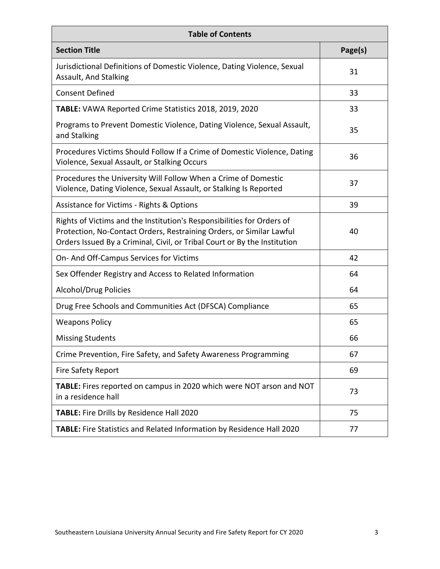| <b>Table of Contents</b>                                                                                                                                                                                                    |         |  |  |  |
|-----------------------------------------------------------------------------------------------------------------------------------------------------------------------------------------------------------------------------|---------|--|--|--|
| <b>Section Title</b>                                                                                                                                                                                                        | Page(s) |  |  |  |
| Jurisdictional Definitions of Domestic Violence, Dating Violence, Sexual<br>Assault, And Stalking                                                                                                                           | 31      |  |  |  |
| <b>Consent Defined</b>                                                                                                                                                                                                      | 33      |  |  |  |
| TABLE: VAWA Reported Crime Statistics 2018, 2019, 2020                                                                                                                                                                      | 33      |  |  |  |
| Programs to Prevent Domestic Violence, Dating Violence, Sexual Assault,<br>and Stalking                                                                                                                                     | 35      |  |  |  |
| Procedures Victims Should Follow If a Crime of Domestic Violence, Dating<br>Violence, Sexual Assault, or Stalking Occurs                                                                                                    | 36      |  |  |  |
| Procedures the University Will Follow When a Crime of Domestic<br>Violence, Dating Violence, Sexual Assault, or Stalking Is Reported                                                                                        | 37      |  |  |  |
| Assistance for Victims - Rights & Options                                                                                                                                                                                   | 39      |  |  |  |
| Rights of Victims and the Institution's Responsibilities for Orders of<br>Protection, No-Contact Orders, Restraining Orders, or Similar Lawful<br>Orders Issued By a Criminal, Civil, or Tribal Court or By the Institution | 40      |  |  |  |
| On-And Off-Campus Services for Victims                                                                                                                                                                                      | 42      |  |  |  |
| Sex Offender Registry and Access to Related Information                                                                                                                                                                     | 64      |  |  |  |
| Alcohol/Drug Policies                                                                                                                                                                                                       | 64      |  |  |  |
| Drug Free Schools and Communities Act (DFSCA) Compliance                                                                                                                                                                    | 65      |  |  |  |
| <b>Weapons Policy</b>                                                                                                                                                                                                       | 65      |  |  |  |
| <b>Missing Students</b>                                                                                                                                                                                                     | 66      |  |  |  |
| Crime Prevention, Fire Safety, and Safety Awareness Programming                                                                                                                                                             | 67      |  |  |  |
| <b>Fire Safety Report</b>                                                                                                                                                                                                   | 69      |  |  |  |
| TABLE: Fires reported on campus in 2020 which were NOT arson and NOT<br>in a residence hall                                                                                                                                 | 73      |  |  |  |
| TABLE: Fire Drills by Residence Hall 2020                                                                                                                                                                                   | 75      |  |  |  |
| TABLE: Fire Statistics and Related Information by Residence Hall 2020                                                                                                                                                       | 77      |  |  |  |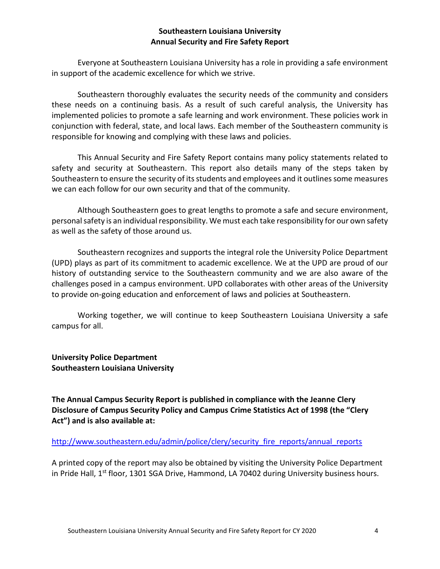## **Southeastern Louisiana University Annual Security and Fire Safety Report**

Everyone at Southeastern Louisiana University has a role in providing a safe environment in support of the academic excellence for which we strive.

Southeastern thoroughly evaluates the security needs of the community and considers these needs on a continuing basis. As a result of such careful analysis, the University has implemented policies to promote a safe learning and work environment. These policies work in conjunction with federal, state, and local laws. Each member of the Southeastern community is responsible for knowing and complying with these laws and policies.

This Annual Security and Fire Safety Report contains many policy statements related to safety and security at Southeastern. This report also details many of the steps taken by Southeastern to ensure the security of its students and employees and it outlines some measures we can each follow for our own security and that of the community.

Although Southeastern goes to great lengths to promote a safe and secure environment, personal safety is an individual responsibility. We must each take responsibility for our own safety as well as the safety of those around us.

Southeastern recognizes and supports the integral role the University Police Department (UPD) plays as part of its commitment to academic excellence. We at the UPD are proud of our history of outstanding service to the Southeastern community and we are also aware of the challenges posed in a campus environment. UPD collaborates with other areas of the University to provide on-going education and enforcement of laws and policies at Southeastern.

Working together, we will continue to keep Southeastern Louisiana University a safe campus for all.

**University Police Department Southeastern Louisiana University**

**The Annual Campus Security Report is published in compliance with the Jeanne Clery Disclosure of Campus Security Policy and Campus Crime Statistics Act of 1998 (the "Clery Act") and is also available at:**

# [http://www.southeastern.edu/admin/police/clery/security\\_fire\\_reports/annual\\_reports](http://www.southeastern.edu/admin/police/clery/security_fire_reports/annual_reports)

A printed copy of the report may also be obtained by visiting the University Police Department in Pride Hall, 1<sup>st</sup> floor, 1301 SGA Drive, Hammond, LA 70402 during University business hours.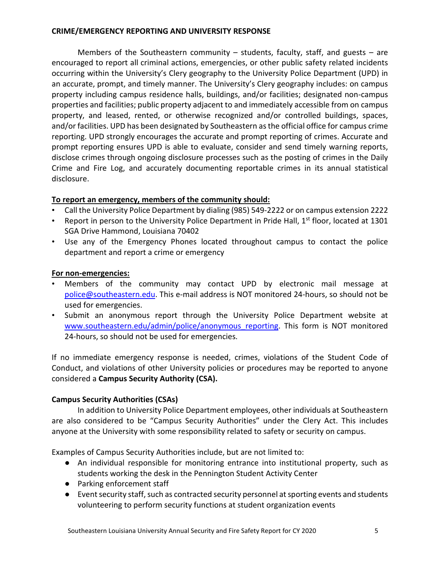## **CRIME/EMERGENCY REPORTING AND UNIVERSITY RESPONSE**

Members of the Southeastern community  $-$  students, faculty, staff, and guests  $-$  are encouraged to report all criminal actions, emergencies, or other public safety related incidents occurring within the University's Clery geography to the University Police Department (UPD) in an accurate, prompt, and timely manner. The University's Clery geography includes: on campus property including campus residence halls, buildings, and/or facilities; designated non-campus properties and facilities; public property adjacent to and immediately accessible from on campus property, and leased, rented, or otherwise recognized and/or controlled buildings, spaces, and/or facilities. UPD has been designated by Southeastern as the official office for campus crime reporting. UPD strongly encourages the accurate and prompt reporting of crimes. Accurate and prompt reporting ensures UPD is able to evaluate, consider and send timely warning reports, disclose crimes through ongoing disclosure processes such as the posting of crimes in the Daily Crime and Fire Log, and accurately documenting reportable crimes in its annual statistical disclosure.

# **To report an emergency, members of the community should:**

- Call the University Police Department by dialing (985) 549-2222 or on campus extension 2222
- Report in person to the University Police Department in Pride Hall, 1<sup>st</sup> floor, located at 1301 SGA Drive Hammond, Louisiana 70402
- Use any of the Emergency Phones located throughout campus to contact the police department and report a crime or emergency

## **For non-emergencies:**

- Members of the community may contact UPD by electronic mail message at [police@southeastern.edu.](mailto:police@southeastern.edu) This e-mail address is NOT monitored 24-hours, so should not be used for emergencies.
- Submit an anonymous report through the University Police Department website at [www.southeastern.edu/admin/police/anonymous\\_reporting.](http://www.southeastern.edu/admin/police/anonymous_reporting) This form is NOT monitored 24-hours, so should not be used for emergencies.

If no immediate emergency response is needed, crimes, violations of the Student Code of Conduct, and violations of other University policies or procedures may be reported to anyone considered a **Campus Security Authority (CSA).**

# **Campus Security Authorities (CSAs)**

In addition to University Police Department employees, other individuals at Southeastern are also considered to be "Campus Security Authorities" under the Clery Act. This includes anyone at the University with some responsibility related to safety or security on campus.

Examples of Campus Security Authorities include, but are not limited to:

- An individual responsible for monitoring entrance into institutional property, such as students working the desk in the Pennington Student Activity Center
- Parking enforcement staff
- Event security staff, such as contracted security personnel at sporting events and students volunteering to perform security functions at student organization events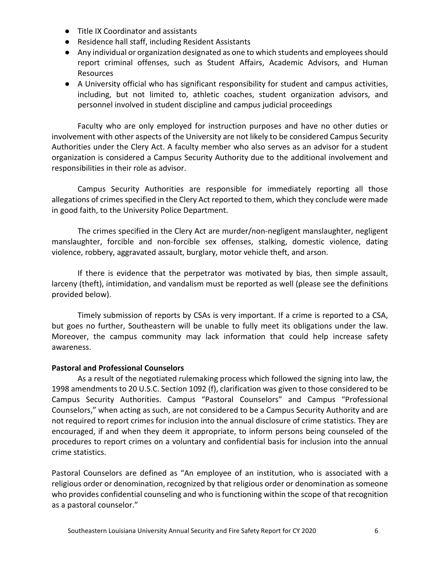- Title IX Coordinator and assistants
- Residence hall staff, including Resident Assistants
- Any individual or organization designated as one to which students and employees should report criminal offenses, such as Student Affairs, Academic Advisors, and Human **Resources**
- A University official who has significant responsibility for student and campus activities, including, but not limited to, athletic coaches, student organization advisors, and personnel involved in student discipline and campus judicial proceedings

Faculty who are only employed for instruction purposes and have no other duties or involvement with other aspects of the University are not likely to be considered Campus Security Authorities under the Clery Act. A faculty member who also serves as an advisor for a student organization is considered a Campus Security Authority due to the additional involvement and responsibilities in their role as advisor.

Campus Security Authorities are responsible for immediately reporting all those allegations of crimes specified in the Clery Act reported to them, which they conclude were made in good faith, to the University Police Department.

The crimes specified in the Clery Act are murder/non-negligent manslaughter, negligent manslaughter, forcible and non-forcible sex offenses, stalking, domestic violence, dating violence, robbery, aggravated assault, burglary, motor vehicle theft, and arson.

If there is evidence that the perpetrator was motivated by bias, then simple assault, larceny (theft), intimidation, and vandalism must be reported as well (please see the definitions provided below).

Timely submission of reports by CSAs is very important. If a crime is reported to a CSA, but goes no further, Southeastern will be unable to fully meet its obligations under the law. Moreover, the campus community may lack information that could help increase safety awareness.

## **Pastoral and Professional Counselors**

As a result of the negotiated rulemaking process which followed the signing into law, the 1998 amendments to 20 U.S.C. Section 1092 (f), clarification was given to those considered to be Campus Security Authorities. Campus "Pastoral Counselors" and Campus "Professional Counselors," when acting as such, are not considered to be a Campus Security Authority and are not required to report crimes for inclusion into the annual disclosure of crime statistics. They are encouraged, if and when they deem it appropriate, to inform persons being counseled of the procedures to report crimes on a voluntary and confidential basis for inclusion into the annual crime statistics.

Pastoral Counselors are defined as "An employee of an institution, who is associated with a religious order or denomination, recognized by that religious order or denomination as someone who provides confidential counseling and who is functioning within the scope of that recognition as a pastoral counselor."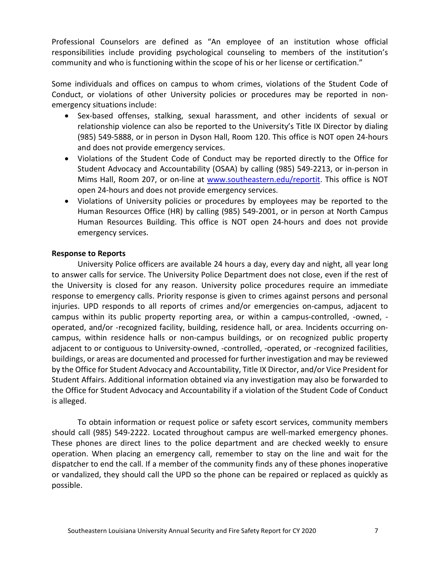Professional Counselors are defined as "An employee of an institution whose official responsibilities include providing psychological counseling to members of the institution's community and who is functioning within the scope of his or her license or certification."

Some individuals and offices on campus to whom crimes, violations of the Student Code of Conduct, or violations of other University policies or procedures may be reported in nonemergency situations include:

- Sex-based offenses, stalking, sexual harassment, and other incidents of sexual or relationship violence can also be reported to the University's Title IX Director by dialing (985) 549-5888, or in person in Dyson Hall, Room 120. This office is NOT open 24-hours and does not provide emergency services.
- Violations of the Student Code of Conduct may be reported directly to the Office for Student Advocacy and Accountability (OSAA) by calling (985) 549-2213, or in-person in Mims Hall, Room 207, or on-line at [www.southeastern.edu/reportit.](http://www.southeastern.edu/reportit) This office is NOT open 24-hours and does not provide emergency services.
- Violations of University policies or procedures by employees may be reported to the Human Resources Office (HR) by calling (985) 549-2001, or in person at North Campus Human Resources Building. This office is NOT open 24-hours and does not provide emergency services.

## **Response to Reports**

University Police officers are available 24 hours a day, every day and night, all year long to answer calls for service. The University Police Department does not close, even if the rest of the University is closed for any reason. University police procedures require an immediate response to emergency calls. Priority response is given to crimes against persons and personal injuries. UPD responds to all reports of crimes and/or emergencies on-campus, adjacent to campus within its public property reporting area, or within a campus-controlled, -owned, operated, and/or -recognized facility, building, residence hall, or area. Incidents occurring oncampus, within residence halls or non-campus buildings, or on recognized public property adjacent to or contiguous to University-owned, -controlled, -operated, or -recognized facilities, buildings, or areas are documented and processed for further investigation and may be reviewed by the Office for Student Advocacy and Accountability, Title IX Director, and/or Vice President for Student Affairs. Additional information obtained via any investigation may also be forwarded to the Office for Student Advocacy and Accountability if a violation of the Student Code of Conduct is alleged.

To obtain information or request police or safety escort services, community members should call (985) 549-2222. Located throughout campus are well-marked emergency phones. These phones are direct lines to the police department and are checked weekly to ensure operation. When placing an emergency call, remember to stay on the line and wait for the dispatcher to end the call. If a member of the community finds any of these phones inoperative or vandalized, they should call the UPD so the phone can be repaired or replaced as quickly as possible.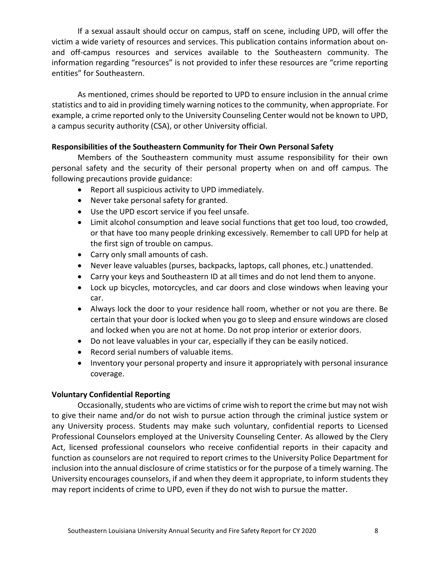If a sexual assault should occur on campus, staff on scene, including UPD, will offer the victim a wide variety of resources and services. This publication contains information about onand off-campus resources and services available to the Southeastern community. The information regarding "resources" is not provided to infer these resources are "crime reporting entities" for Southeastern.

As mentioned, crimes should be reported to UPD to ensure inclusion in the annual crime statistics and to aid in providing timely warning notices to the community, when appropriate. For example, a crime reported only to the University Counseling Center would not be known to UPD, a campus security authority (CSA), or other University official.

## **Responsibilities of the Southeastern Community for Their Own Personal Safety**

Members of the Southeastern community must assume responsibility for their own personal safety and the security of their personal property when on and off campus. The following precautions provide guidance:

- Report all suspicious activity to UPD immediately.
- Never take personal safety for granted.
- Use the UPD escort service if you feel unsafe.
- Limit alcohol consumption and leave social functions that get too loud, too crowded, or that have too many people drinking excessively. Remember to call UPD for help at the first sign of trouble on campus.
- Carry only small amounts of cash.
- Never leave valuables (purses, backpacks, laptops, call phones, etc.) unattended.
- Carry your keys and Southeastern ID at all times and do not lend them to anyone.
- Lock up bicycles, motorcycles, and car doors and close windows when leaving your car.
- Always lock the door to your residence hall room, whether or not you are there. Be certain that your door is locked when you go to sleep and ensure windows are closed and locked when you are not at home. Do not prop interior or exterior doors.
- Do not leave valuables in your car, especially if they can be easily noticed.
- Record serial numbers of valuable items.
- Inventory your personal property and insure it appropriately with personal insurance coverage.

## **Voluntary Confidential Reporting**

Occasionally, students who are victims of crime wish to report the crime but may not wish to give their name and/or do not wish to pursue action through the criminal justice system or any University process. Students may make such voluntary, confidential reports to Licensed Professional Counselors employed at the University Counseling Center. As allowed by the Clery Act, licensed professional counselors who receive confidential reports in their capacity and function as counselors are not required to report crimes to the University Police Department for inclusion into the annual disclosure of crime statistics or for the purpose of a timely warning. The University encourages counselors, if and when they deem it appropriate, to inform students they may report incidents of crime to UPD, even if they do not wish to pursue the matter.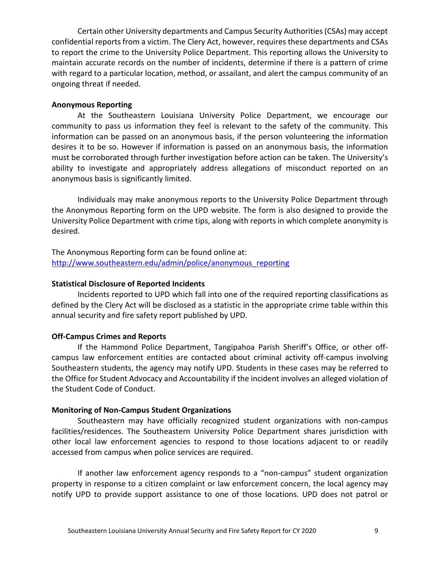Certain other University departments and Campus Security Authorities (CSAs) may accept confidential reports from a victim. The Clery Act, however, requires these departments and CSAs to report the crime to the University Police Department. This reporting allows the University to maintain accurate records on the number of incidents, determine if there is a pattern of crime with regard to a particular location, method, or assailant, and alert the campus community of an ongoing threat if needed.

#### **Anonymous Reporting**

At the Southeastern Louisiana University Police Department, we encourage our community to pass us information they feel is relevant to the safety of the community. This information can be passed on an anonymous basis, if the person volunteering the information desires it to be so. However if information is passed on an anonymous basis, the information must be corroborated through further investigation before action can be taken. The University's ability to investigate and appropriately address allegations of misconduct reported on an anonymous basis is significantly limited.

Individuals may make anonymous reports to the University Police Department through the Anonymous Reporting form on the UPD website. The form is also designed to provide the University Police Department with crime tips, along with reports in which complete anonymity is desired.

The Anonymous Reporting form can be found online at: [http://www.southeastern.edu/admin/police/anonymous\\_reporting](http://www.southeastern.edu/admin/police/anonymous_reporting)

#### **Statistical Disclosure of Reported Incidents**

Incidents reported to UPD which fall into one of the required reporting classifications as defined by the Clery Act will be disclosed as a statistic in the appropriate crime table within this annual security and fire safety report published by UPD.

## **Off-Campus Crimes and Reports**

If the Hammond Police Department, Tangipahoa Parish Sheriff's Office, or other offcampus law enforcement entities are contacted about criminal activity off-campus involving Southeastern students, the agency may notify UPD. Students in these cases may be referred to the Office for Student Advocacy and Accountability if the incident involves an alleged violation of the Student Code of Conduct.

#### **Monitoring of Non-Campus Student Organizations**

Southeastern may have officially recognized student organizations with non-campus facilities/residences. The Southeastern University Police Department shares jurisdiction with other local law enforcement agencies to respond to those locations adjacent to or readily accessed from campus when police services are required.

If another law enforcement agency responds to a "non-campus" student organization property in response to a citizen complaint or law enforcement concern, the local agency may notify UPD to provide support assistance to one of those locations. UPD does not patrol or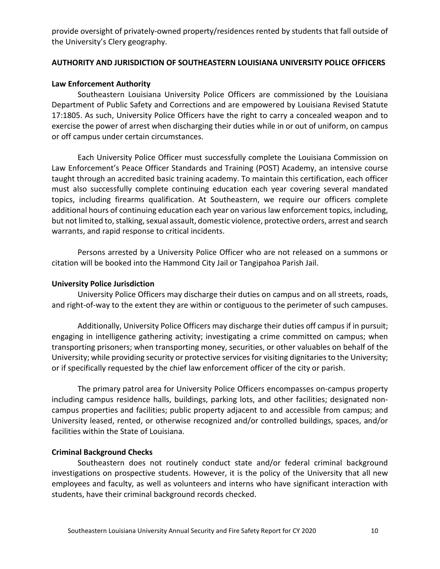provide oversight of privately-owned property/residences rented by students that fall outside of the University's Clery geography.

## **AUTHORITY AND JURISDICTION OF SOUTHEASTERN LOUISIANA UNIVERSITY POLICE OFFICERS**

#### **Law Enforcement Authority**

Southeastern Louisiana University Police Officers are commissioned by the Louisiana Department of Public Safety and Corrections and are empowered by Louisiana Revised Statute 17:1805. As such, University Police Officers have the right to carry a concealed weapon and to exercise the power of arrest when discharging their duties while in or out of uniform, on campus or off campus under certain circumstances.

Each University Police Officer must successfully complete the Louisiana Commission on Law Enforcement's Peace Officer Standards and Training (POST) Academy, an intensive course taught through an accredited basic training academy. To maintain this certification, each officer must also successfully complete continuing education each year covering several mandated topics, including firearms qualification. At Southeastern, we require our officers complete additional hours of continuing education each year on various law enforcement topics, including, but not limited to, stalking, sexual assault, domestic violence, protective orders, arrest and search warrants, and rapid response to critical incidents.

Persons arrested by a University Police Officer who are not released on a summons or citation will be booked into the Hammond City Jail or Tangipahoa Parish Jail.

#### **University Police Jurisdiction**

University Police Officers may discharge their duties on campus and on all streets, roads, and right-of-way to the extent they are within or contiguous to the perimeter of such campuses.

Additionally, University Police Officers may discharge their duties off campus if in pursuit; engaging in intelligence gathering activity; investigating a crime committed on campus; when transporting prisoners; when transporting money, securities, or other valuables on behalf of the University; while providing security or protective services for visiting dignitaries to the University; or if specifically requested by the chief law enforcement officer of the city or parish.

The primary patrol area for University Police Officers encompasses on-campus property including campus residence halls, buildings, parking lots, and other facilities; designated noncampus properties and facilities; public property adjacent to and accessible from campus; and University leased, rented, or otherwise recognized and/or controlled buildings, spaces, and/or facilities within the State of Louisiana.

## **Criminal Background Checks**

Southeastern does not routinely conduct state and/or federal criminal background investigations on prospective students. However, it is the policy of the University that all new employees and faculty, as well as volunteers and interns who have significant interaction with students, have their criminal background records checked.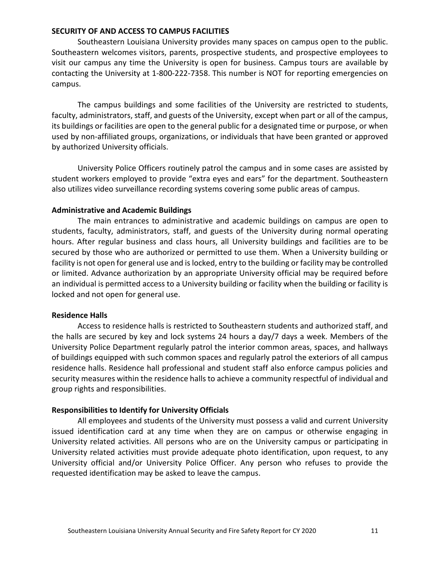#### **SECURITY OF AND ACCESS TO CAMPUS FACILITIES**

Southeastern Louisiana University provides many spaces on campus open to the public. Southeastern welcomes visitors, parents, prospective students, and prospective employees to visit our campus any time the University is open for business. Campus tours are available by contacting the University at 1-800-222-7358. This number is NOT for reporting emergencies on campus.

The campus buildings and some facilities of the University are restricted to students, faculty, administrators, staff, and guests of the University, except when part or all of the campus, its buildings or facilities are open to the general public for a designated time or purpose, or when used by non-affiliated groups, organizations, or individuals that have been granted or approved by authorized University officials.

University Police Officers routinely patrol the campus and in some cases are assisted by student workers employed to provide "extra eyes and ears" for the department. Southeastern also utilizes video surveillance recording systems covering some public areas of campus.

#### **Administrative and Academic Buildings**

The main entrances to administrative and academic buildings on campus are open to students, faculty, administrators, staff, and guests of the University during normal operating hours. After regular business and class hours, all University buildings and facilities are to be secured by those who are authorized or permitted to use them. When a University building or facility is not open for general use and is locked, entry to the building or facility may be controlled or limited. Advance authorization by an appropriate University official may be required before an individual is permitted access to a University building or facility when the building or facility is locked and not open for general use.

#### **Residence Halls**

Access to residence halls is restricted to Southeastern students and authorized staff, and the halls are secured by key and lock systems 24 hours a day/7 days a week. Members of the University Police Department regularly patrol the interior common areas, spaces, and hallways of buildings equipped with such common spaces and regularly patrol the exteriors of all campus residence halls. Residence hall professional and student staff also enforce campus policies and security measures within the residence halls to achieve a community respectful of individual and group rights and responsibilities.

## **Responsibilities to Identify for University Officials**

All employees and students of the University must possess a valid and current University issued identification card at any time when they are on campus or otherwise engaging in University related activities. All persons who are on the University campus or participating in University related activities must provide adequate photo identification, upon request, to any University official and/or University Police Officer. Any person who refuses to provide the requested identification may be asked to leave the campus.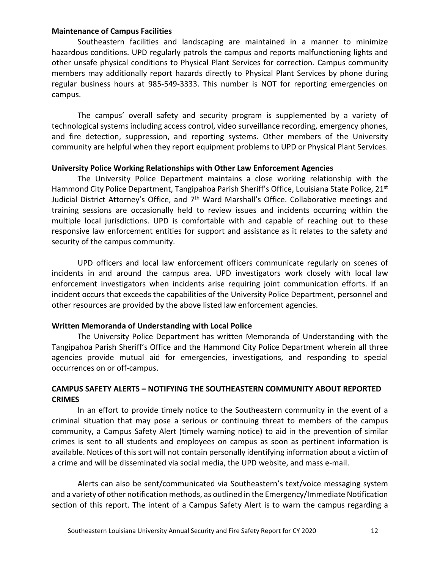#### **Maintenance of Campus Facilities**

Southeastern facilities and landscaping are maintained in a manner to minimize hazardous conditions. UPD regularly patrols the campus and reports malfunctioning lights and other unsafe physical conditions to Physical Plant Services for correction. Campus community members may additionally report hazards directly to Physical Plant Services by phone during regular business hours at 985-549-3333. This number is NOT for reporting emergencies on campus.

The campus' overall safety and security program is supplemented by a variety of technological systems including access control, video surveillance recording, emergency phones, and fire detection, suppression, and reporting systems. Other members of the University community are helpful when they report equipment problems to UPD or Physical Plant Services.

#### **University Police Working Relationships with Other Law Enforcement Agencies**

The University Police Department maintains a close working relationship with the Hammond City Police Department, Tangipahoa Parish Sheriff's Office, Louisiana State Police, 21<sup>st</sup> Judicial District Attorney's Office, and 7<sup>th</sup> Ward Marshall's Office. Collaborative meetings and training sessions are occasionally held to review issues and incidents occurring within the multiple local jurisdictions. UPD is comfortable with and capable of reaching out to these responsive law enforcement entities for support and assistance as it relates to the safety and security of the campus community.

UPD officers and local law enforcement officers communicate regularly on scenes of incidents in and around the campus area. UPD investigators work closely with local law enforcement investigators when incidents arise requiring joint communication efforts. If an incident occurs that exceeds the capabilities of the University Police Department, personnel and other resources are provided by the above listed law enforcement agencies.

## **Written Memoranda of Understanding with Local Police**

The University Police Department has written Memoranda of Understanding with the Tangipahoa Parish Sheriff's Office and the Hammond City Police Department wherein all three agencies provide mutual aid for emergencies, investigations, and responding to special occurrences on or off-campus.

## **CAMPUS SAFETY ALERTS – NOTIFYING THE SOUTHEASTERN COMMUNITY ABOUT REPORTED CRIMES**

In an effort to provide timely notice to the Southeastern community in the event of a criminal situation that may pose a serious or continuing threat to members of the campus community, a Campus Safety Alert (timely warning notice) to aid in the prevention of similar crimes is sent to all students and employees on campus as soon as pertinent information is available. Notices of this sort will not contain personally identifying information about a victim of a crime and will be disseminated via social media, the UPD website, and mass e-mail.

Alerts can also be sent/communicated via Southeastern's text/voice messaging system and a variety of other notification methods, as outlined in the Emergency/Immediate Notification section of this report. The intent of a Campus Safety Alert is to warn the campus regarding a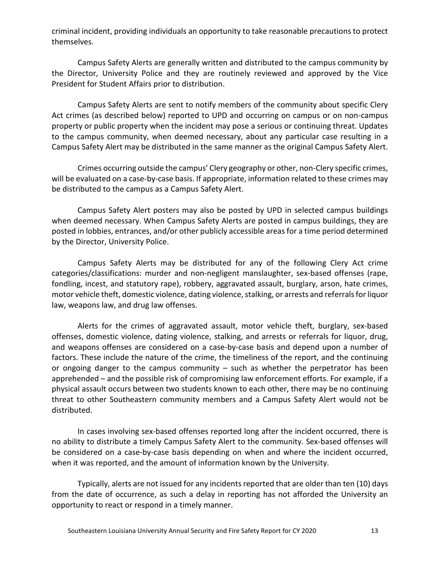criminal incident, providing individuals an opportunity to take reasonable precautions to protect themselves.

Campus Safety Alerts are generally written and distributed to the campus community by the Director, University Police and they are routinely reviewed and approved by the Vice President for Student Affairs prior to distribution.

Campus Safety Alerts are sent to notify members of the community about specific Clery Act crimes (as described below) reported to UPD and occurring on campus or on non-campus property or public property when the incident may pose a serious or continuing threat. Updates to the campus community, when deemed necessary, about any particular case resulting in a Campus Safety Alert may be distributed in the same manner as the original Campus Safety Alert.

Crimes occurring outside the campus' Clery geography or other, non-Clery specific crimes, will be evaluated on a case-by-case basis. If appropriate, information related to these crimes may be distributed to the campus as a Campus Safety Alert.

Campus Safety Alert posters may also be posted by UPD in selected campus buildings when deemed necessary. When Campus Safety Alerts are posted in campus buildings, they are posted in lobbies, entrances, and/or other publicly accessible areas for a time period determined by the Director, University Police.

Campus Safety Alerts may be distributed for any of the following Clery Act crime categories/classifications: murder and non-negligent manslaughter, sex-based offenses (rape, fondling, incest, and statutory rape), robbery, aggravated assault, burglary, arson, hate crimes, motor vehicle theft, domestic violence, dating violence, stalking, or arrests and referrals for liquor law, weapons law, and drug law offenses.

Alerts for the crimes of aggravated assault, motor vehicle theft, burglary, sex-based offenses, domestic violence, dating violence, stalking, and arrests or referrals for liquor, drug, and weapons offenses are considered on a case-by-case basis and depend upon a number of factors. These include the nature of the crime, the timeliness of the report, and the continuing or ongoing danger to the campus community – such as whether the perpetrator has been apprehended – and the possible risk of compromising law enforcement efforts. For example, if a physical assault occurs between two students known to each other, there may be no continuing threat to other Southeastern community members and a Campus Safety Alert would not be distributed.

In cases involving sex-based offenses reported long after the incident occurred, there is no ability to distribute a timely Campus Safety Alert to the community. Sex-based offenses will be considered on a case-by-case basis depending on when and where the incident occurred, when it was reported, and the amount of information known by the University.

Typically, alerts are not issued for any incidents reported that are older than ten (10) days from the date of occurrence, as such a delay in reporting has not afforded the University an opportunity to react or respond in a timely manner.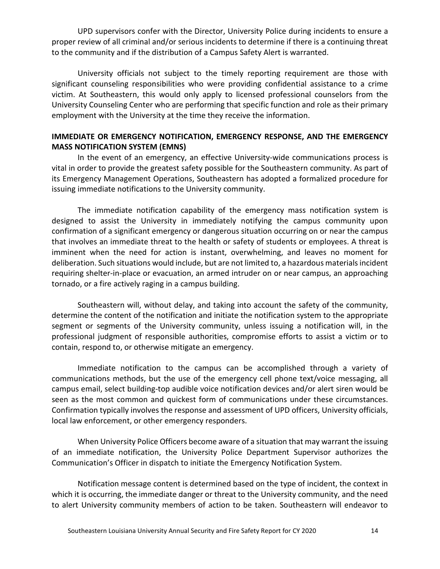UPD supervisors confer with the Director, University Police during incidents to ensure a proper review of all criminal and/or serious incidents to determine if there is a continuing threat to the community and if the distribution of a Campus Safety Alert is warranted.

University officials not subject to the timely reporting requirement are those with significant counseling responsibilities who were providing confidential assistance to a crime victim. At Southeastern, this would only apply to licensed professional counselors from the University Counseling Center who are performing that specific function and role as their primary employment with the University at the time they receive the information.

## **IMMEDIATE OR EMERGENCY NOTIFICATION, EMERGENCY RESPONSE, AND THE EMERGENCY MASS NOTIFICATION SYSTEM (EMNS)**

In the event of an emergency, an effective University-wide communications process is vital in order to provide the greatest safety possible for the Southeastern community. As part of its Emergency Management Operations, Southeastern has adopted a formalized procedure for issuing immediate notifications to the University community.

The immediate notification capability of the emergency mass notification system is designed to assist the University in immediately notifying the campus community upon confirmation of a significant emergency or dangerous situation occurring on or near the campus that involves an immediate threat to the health or safety of students or employees. A threat is imminent when the need for action is instant, overwhelming, and leaves no moment for deliberation. Such situations would include, but are not limited to, a hazardous materials incident requiring shelter-in-place or evacuation, an armed intruder on or near campus, an approaching tornado, or a fire actively raging in a campus building.

Southeastern will, without delay, and taking into account the safety of the community, determine the content of the notification and initiate the notification system to the appropriate segment or segments of the University community, unless issuing a notification will, in the professional judgment of responsible authorities, compromise efforts to assist a victim or to contain, respond to, or otherwise mitigate an emergency.

Immediate notification to the campus can be accomplished through a variety of communications methods, but the use of the emergency cell phone text/voice messaging, all campus email, select building-top audible voice notification devices and/or alert siren would be seen as the most common and quickest form of communications under these circumstances. Confirmation typically involves the response and assessment of UPD officers, University officials, local law enforcement, or other emergency responders.

When University Police Officers become aware of a situation that may warrant the issuing of an immediate notification, the University Police Department Supervisor authorizes the Communication's Officer in dispatch to initiate the Emergency Notification System.

Notification message content is determined based on the type of incident, the context in which it is occurring, the immediate danger or threat to the University community, and the need to alert University community members of action to be taken. Southeastern will endeavor to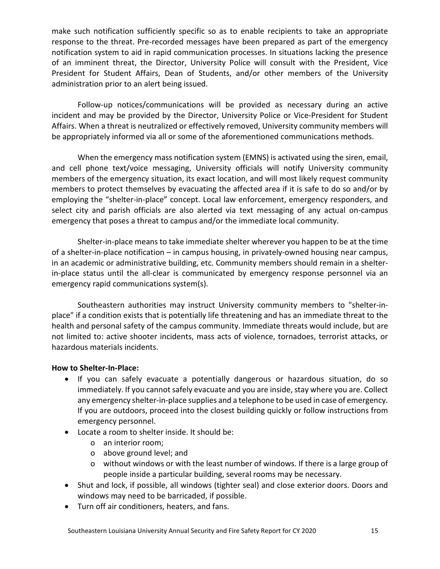make such notification sufficiently specific so as to enable recipients to take an appropriate response to the threat. Pre-recorded messages have been prepared as part of the emergency notification system to aid in rapid communication processes. In situations lacking the presence of an imminent threat, the Director, University Police will consult with the President, Vice President for Student Affairs, Dean of Students, and/or other members of the University administration prior to an alert being issued.

Follow-up notices/communications will be provided as necessary during an active incident and may be provided by the Director, University Police or Vice-President for Student Affairs. When a threat is neutralized or effectively removed, University community members will be appropriately informed via all or some of the aforementioned communications methods.

When the emergency mass notification system (EMNS) is activated using the siren, email, and cell phone text/voice messaging, University officials will notify University community members of the emergency situation, its exact location, and will most likely request community members to protect themselves by evacuating the affected area if it is safe to do so and/or by employing the "shelter-in-place" concept. Local law enforcement, emergency responders, and select city and parish officials are also alerted via text messaging of any actual on-campus emergency that poses a threat to campus and/or the immediate local community.

Shelter-in-place means to take immediate shelter wherever you happen to be at the time of a shelter-in-place notification – in campus housing, in privately-owned housing near campus, in an academic or administrative building, etc. Community members should remain in a shelterin-place status until the all-clear is communicated by emergency response personnel via an emergency rapid communications system(s).

Southeastern authorities may instruct University community members to "shelter-inplace" if a condition exists that is potentially life threatening and has an immediate threat to the health and personal safety of the campus community. Immediate threats would include, but are not limited to: active shooter incidents, mass acts of violence, tornadoes, terrorist attacks, or hazardous materials incidents.

## **How to Shelter-In-Place:**

- If you can safely evacuate a potentially dangerous or hazardous situation, do so immediately. If you cannot safely evacuate and you are inside, stay where you are. Collect any emergency shelter-in-place supplies and a telephone to be used in case of emergency. If you are outdoors, proceed into the closest building quickly or follow instructions from emergency personnel.
- Locate a room to shelter inside. It should be:
	- o an interior room;
	- o above ground level; and
	- o without windows or with the least number of windows. If there is a large group of people inside a particular building, several rooms may be necessary.
- Shut and lock, if possible, all windows (tighter seal) and close exterior doors. Doors and windows may need to be barricaded, if possible.
- Turn off air conditioners, heaters, and fans.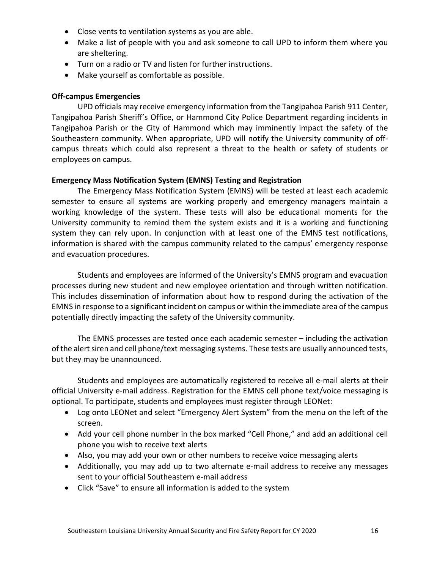- Close vents to ventilation systems as you are able.
- Make a list of people with you and ask someone to call UPD to inform them where you are sheltering.
- Turn on a radio or TV and listen for further instructions.
- Make yourself as comfortable as possible.

#### **Off-campus Emergencies**

UPD officials may receive emergency information from the Tangipahoa Parish 911 Center, Tangipahoa Parish Sheriff's Office, or Hammond City Police Department regarding incidents in Tangipahoa Parish or the City of Hammond which may imminently impact the safety of the Southeastern community. When appropriate, UPD will notify the University community of offcampus threats which could also represent a threat to the health or safety of students or employees on campus.

## **Emergency Mass Notification System (EMNS) Testing and Registration**

The Emergency Mass Notification System (EMNS) will be tested at least each academic semester to ensure all systems are working properly and emergency managers maintain a working knowledge of the system. These tests will also be educational moments for the University community to remind them the system exists and it is a working and functioning system they can rely upon. In conjunction with at least one of the EMNS test notifications, information is shared with the campus community related to the campus' emergency response and evacuation procedures.

Students and employees are informed of the University's EMNS program and evacuation processes during new student and new employee orientation and through written notification. This includes dissemination of information about how to respond during the activation of the EMNS in response to a significant incident on campus or within the immediate area of the campus potentially directly impacting the safety of the University community.

The EMNS processes are tested once each academic semester – including the activation of the alert siren and cell phone/text messaging systems. These tests are usually announced tests, but they may be unannounced.

Students and employees are automatically registered to receive all e-mail alerts at their official University e-mail address. Registration for the EMNS cell phone text/voice messaging is optional. To participate, students and employees must register through LEONet:

- Log onto LEONet and select "Emergency Alert System" from the menu on the left of the screen.
- Add your cell phone number in the box marked "Cell Phone," and add an additional cell phone you wish to receive text alerts
- Also, you may add your own or other numbers to receive voice messaging alerts
- Additionally, you may add up to two alternate e-mail address to receive any messages sent to your official Southeastern e-mail address
- Click "Save" to ensure all information is added to the system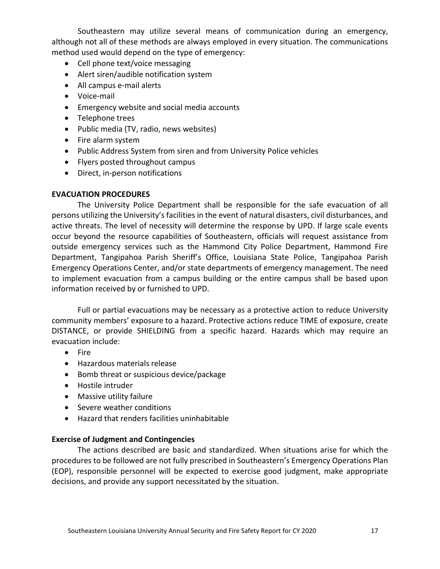Southeastern may utilize several means of communication during an emergency, although not all of these methods are always employed in every situation. The communications method used would depend on the type of emergency:

- Cell phone text/voice messaging
- Alert siren/audible notification system
- All campus e-mail alerts
- Voice-mail
- Emergency website and social media accounts
- Telephone trees
- Public media (TV, radio, news websites)
- Fire alarm system
- Public Address System from siren and from University Police vehicles
- Flyers posted throughout campus
- Direct, in-person notifications

#### **EVACUATION PROCEDURES**

The University Police Department shall be responsible for the safe evacuation of all persons utilizing the University's facilities in the event of natural disasters, civil disturbances, and active threats. The level of necessity will determine the response by UPD. If large scale events occur beyond the resource capabilities of Southeastern, officials will request assistance from outside emergency services such as the Hammond City Police Department, Hammond Fire Department, Tangipahoa Parish Sheriff's Office, Louisiana State Police, Tangipahoa Parish Emergency Operations Center, and/or state departments of emergency management. The need to implement evacuation from a campus building or the entire campus shall be based upon information received by or furnished to UPD.

Full or partial evacuations may be necessary as a protective action to reduce University community members' exposure to a hazard. Protective actions reduce TIME of exposure, create DISTANCE, or provide SHIELDING from a specific hazard. Hazards which may require an evacuation include:

- Fire
- Hazardous materials release
- Bomb threat or suspicious device/package
- Hostile intruder
- Massive utility failure
- Severe weather conditions
- Hazard that renders facilities uninhabitable

## **Exercise of Judgment and Contingencies**

The actions described are basic and standardized. When situations arise for which the procedures to be followed are not fully prescribed in Southeastern's Emergency Operations Plan (EOP), responsible personnel will be expected to exercise good judgment, make appropriate decisions, and provide any support necessitated by the situation.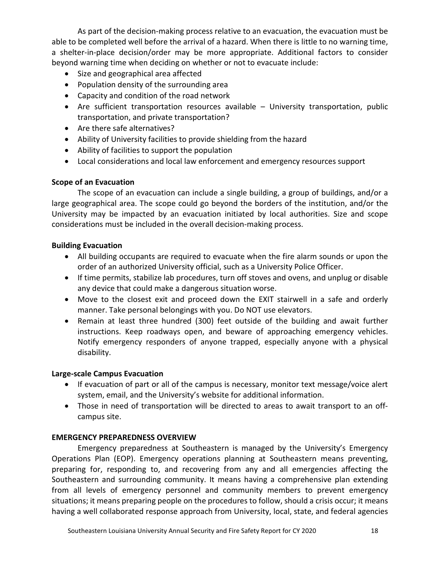As part of the decision-making process relative to an evacuation, the evacuation must be able to be completed well before the arrival of a hazard. When there is little to no warning time, a shelter-in-place decision/order may be more appropriate. Additional factors to consider beyond warning time when deciding on whether or not to evacuate include:

- Size and geographical area affected
- Population density of the surrounding area
- Capacity and condition of the road network
- Are sufficient transportation resources available University transportation, public transportation, and private transportation?
- Are there safe alternatives?
- Ability of University facilities to provide shielding from the hazard
- Ability of facilities to support the population
- Local considerations and local law enforcement and emergency resources support

## **Scope of an Evacuation**

The scope of an evacuation can include a single building, a group of buildings, and/or a large geographical area. The scope could go beyond the borders of the institution, and/or the University may be impacted by an evacuation initiated by local authorities. Size and scope considerations must be included in the overall decision-making process.

## **Building Evacuation**

- All building occupants are required to evacuate when the fire alarm sounds or upon the order of an authorized University official, such as a University Police Officer.
- If time permits, stabilize lab procedures, turn off stoves and ovens, and unplug or disable any device that could make a dangerous situation worse.
- Move to the closest exit and proceed down the EXIT stairwell in a safe and orderly manner. Take personal belongings with you. Do NOT use elevators.
- Remain at least three hundred (300) feet outside of the building and await further instructions. Keep roadways open, and beware of approaching emergency vehicles. Notify emergency responders of anyone trapped, especially anyone with a physical disability.

# **Large-scale Campus Evacuation**

- If evacuation of part or all of the campus is necessary, monitor text message/voice alert system, email, and the University's website for additional information.
- Those in need of transportation will be directed to areas to await transport to an offcampus site.

# **EMERGENCY PREPAREDNESS OVERVIEW**

Emergency preparedness at Southeastern is managed by the University's Emergency Operations Plan (EOP). Emergency operations planning at Southeastern means preventing, preparing for, responding to, and recovering from any and all emergencies affecting the Southeastern and surrounding community. It means having a comprehensive plan extending from all levels of emergency personnel and community members to prevent emergency situations; it means preparing people on the procedures to follow, should a crisis occur; it means having a well collaborated response approach from University, local, state, and federal agencies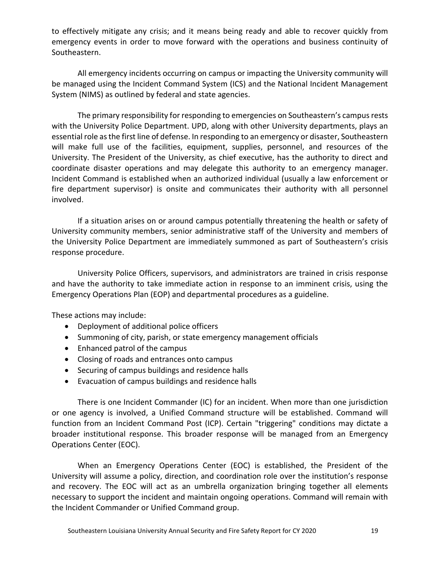to effectively mitigate any crisis; and it means being ready and able to recover quickly from emergency events in order to move forward with the operations and business continuity of Southeastern.

All emergency incidents occurring on campus or impacting the University community will be managed using the Incident Command System (ICS) and the National Incident Management System (NIMS) as outlined by federal and state agencies.

The primary responsibility for responding to emergencies on Southeastern's campus rests with the University Police Department. UPD, along with other University departments, plays an essential role as the first line of defense. In responding to an emergency or disaster, Southeastern will make full use of the facilities, equipment, supplies, personnel, and resources of the University. The President of the University, as chief executive, has the authority to direct and coordinate disaster operations and may delegate this authority to an emergency manager. Incident Command is established when an authorized individual (usually a law enforcement or fire department supervisor) is onsite and communicates their authority with all personnel involved.

If a situation arises on or around campus potentially threatening the health or safety of University community members, senior administrative staff of the University and members of the University Police Department are immediately summoned as part of Southeastern's crisis response procedure.

University Police Officers, supervisors, and administrators are trained in crisis response and have the authority to take immediate action in response to an imminent crisis, using the Emergency Operations Plan (EOP) and departmental procedures as a guideline.

These actions may include:

- Deployment of additional police officers
- Summoning of city, parish, or state emergency management officials
- Enhanced patrol of the campus
- Closing of roads and entrances onto campus
- Securing of campus buildings and residence halls
- Evacuation of campus buildings and residence halls

There is one Incident Commander (IC) for an incident. When more than one jurisdiction or one agency is involved, a Unified Command structure will be established. Command will function from an Incident Command Post (ICP). Certain "triggering" conditions may dictate a broader institutional response. This broader response will be managed from an Emergency Operations Center (EOC).

When an Emergency Operations Center (EOC) is established, the President of the University will assume a policy, direction, and coordination role over the institution's response and recovery. The EOC will act as an umbrella organization bringing together all elements necessary to support the incident and maintain ongoing operations. Command will remain with the Incident Commander or Unified Command group.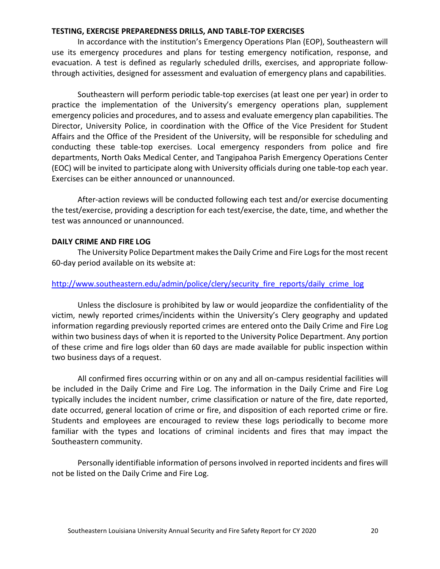#### **TESTING, EXERCISE PREPAREDNESS DRILLS, AND TABLE-TOP EXERCISES**

In accordance with the institution's Emergency Operations Plan (EOP), Southeastern will use its emergency procedures and plans for testing emergency notification, response, and evacuation. A test is defined as regularly scheduled drills, exercises, and appropriate followthrough activities, designed for assessment and evaluation of emergency plans and capabilities.

Southeastern will perform periodic table-top exercises (at least one per year) in order to practice the implementation of the University's emergency operations plan, supplement emergency policies and procedures, and to assess and evaluate emergency plan capabilities. The Director, University Police, in coordination with the Office of the Vice President for Student Affairs and the Office of the President of the University, will be responsible for scheduling and conducting these table-top exercises. Local emergency responders from police and fire departments, North Oaks Medical Center, and Tangipahoa Parish Emergency Operations Center (EOC) will be invited to participate along with University officials during one table-top each year. Exercises can be either announced or unannounced.

After-action reviews will be conducted following each test and/or exercise documenting the test/exercise, providing a description for each test/exercise, the date, time, and whether the test was announced or unannounced.

#### **DAILY CRIME AND FIRE LOG**

The University Police Department makes the Daily Crime and Fire Logs for the most recent 60-day period available on its website at:

#### [http://www.southeastern.edu/admin/police/clery/security\\_fire\\_reports/daily\\_crime\\_log](http://www.southeastern.edu/admin/police/clery/security_fire_reports/daily_crime_log)

Unless the disclosure is prohibited by law or would jeopardize the confidentiality of the victim, newly reported crimes/incidents within the University's Clery geography and updated information regarding previously reported crimes are entered onto the Daily Crime and Fire Log within two business days of when it is reported to the University Police Department. Any portion of these crime and fire logs older than 60 days are made available for public inspection within two business days of a request.

All confirmed fires occurring within or on any and all on-campus residential facilities will be included in the Daily Crime and Fire Log. The information in the Daily Crime and Fire Log typically includes the incident number, crime classification or nature of the fire, date reported, date occurred, general location of crime or fire, and disposition of each reported crime or fire. Students and employees are encouraged to review these logs periodically to become more familiar with the types and locations of criminal incidents and fires that may impact the Southeastern community.

Personally identifiable information of persons involved in reported incidents and fires will not be listed on the Daily Crime and Fire Log.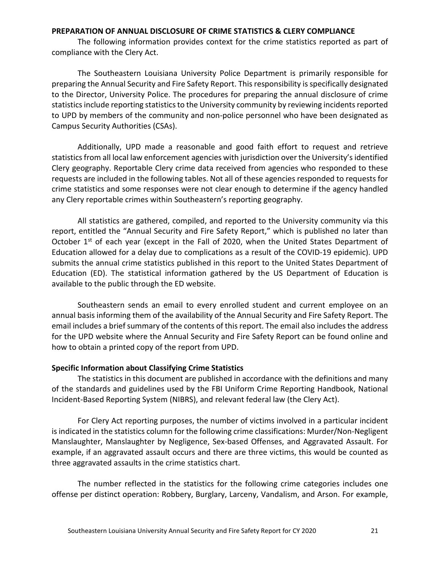#### **PREPARATION OF ANNUAL DISCLOSURE OF CRIME STATISTICS & CLERY COMPLIANCE**

The following information provides context for the crime statistics reported as part of compliance with the Clery Act.

The Southeastern Louisiana University Police Department is primarily responsible for preparing the Annual Security and Fire Safety Report. This responsibility is specifically designated to the Director, University Police. The procedures for preparing the annual disclosure of crime statistics include reporting statistics to the University community by reviewing incidents reported to UPD by members of the community and non-police personnel who have been designated as Campus Security Authorities (CSAs).

Additionally, UPD made a reasonable and good faith effort to request and retrieve statistics from all local law enforcement agencies with jurisdiction over the University's identified Clery geography. Reportable Clery crime data received from agencies who responded to these requests are included in the following tables. Not all of these agencies responded to requests for crime statistics and some responses were not clear enough to determine if the agency handled any Clery reportable crimes within Southeastern's reporting geography.

All statistics are gathered, compiled, and reported to the University community via this report, entitled the "Annual Security and Fire Safety Report," which is published no later than October 1<sup>st</sup> of each year (except in the Fall of 2020, when the United States Department of Education allowed for a delay due to complications as a result of the COVID-19 epidemic). UPD submits the annual crime statistics published in this report to the United States Department of Education (ED). The statistical information gathered by the US Department of Education is available to the public through the ED website.

Southeastern sends an email to every enrolled student and current employee on an annual basis informing them of the availability of the Annual Security and Fire Safety Report. The email includes a brief summary of the contents of this report. The email also includes the address for the UPD website where the Annual Security and Fire Safety Report can be found online and how to obtain a printed copy of the report from UPD.

## **Specific Information about Classifying Crime Statistics**

The statistics in this document are published in accordance with the definitions and many of the standards and guidelines used by the FBI Uniform Crime Reporting Handbook, National Incident-Based Reporting System (NIBRS), and relevant federal law (the Clery Act).

For Clery Act reporting purposes, the number of victims involved in a particular incident is indicated in the statistics column for the following crime classifications: Murder/Non-Negligent Manslaughter, Manslaughter by Negligence, Sex-based Offenses, and Aggravated Assault. For example, if an aggravated assault occurs and there are three victims, this would be counted as three aggravated assaults in the crime statistics chart.

The number reflected in the statistics for the following crime categories includes one offense per distinct operation: Robbery, Burglary, Larceny, Vandalism, and Arson. For example,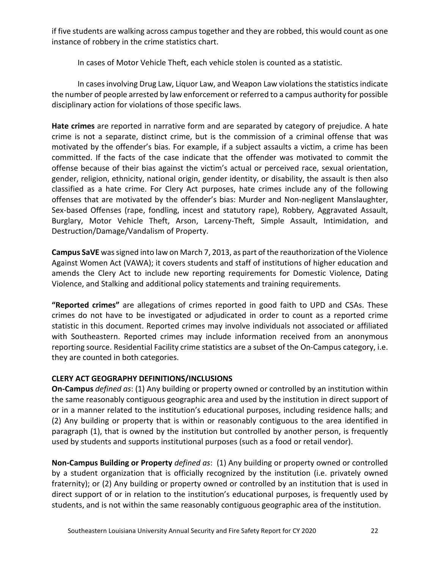if five students are walking across campus together and they are robbed, this would count as one instance of robbery in the crime statistics chart.

In cases of Motor Vehicle Theft, each vehicle stolen is counted as a statistic.

In cases involving Drug Law, Liquor Law, and Weapon Law violations the statistics indicate the number of people arrested by law enforcement or referred to a campus authority for possible disciplinary action for violations of those specific laws.

**Hate crimes** are reported in narrative form and are separated by category of prejudice. A hate crime is not a separate, distinct crime, but is the commission of a criminal offense that was motivated by the offender's bias. For example, if a subject assaults a victim, a crime has been committed. If the facts of the case indicate that the offender was motivated to commit the offense because of their bias against the victim's actual or perceived race, sexual orientation, gender, religion, ethnicity, national origin, gender identity, or disability, the assault is then also classified as a hate crime. For Clery Act purposes, hate crimes include any of the following offenses that are motivated by the offender's bias: Murder and Non-negligent Manslaughter, Sex-based Offenses (rape, fondling, incest and statutory rape), Robbery, Aggravated Assault, Burglary, Motor Vehicle Theft, Arson, Larceny-Theft, Simple Assault, Intimidation, and Destruction/Damage/Vandalism of Property.

**Campus SaVE** was signed into law on March 7, 2013, as part of the reauthorization of the Violence Against Women Act (VAWA); it covers students and staff of institutions of higher education and amends the Clery Act to include new reporting requirements for Domestic Violence, Dating Violence, and Stalking and additional policy statements and training requirements.

**"Reported crimes"** are allegations of crimes reported in good faith to UPD and CSAs. These crimes do not have to be investigated or adjudicated in order to count as a reported crime statistic in this document. Reported crimes may involve individuals not associated or affiliated with Southeastern. Reported crimes may include information received from an anonymous reporting source. Residential Facility crime statistics are a subset of the On-Campus category, i.e. they are counted in both categories.

# **CLERY ACT GEOGRAPHY DEFINITIONS/INCLUSIONS**

**On-Campus** *defined as*: (1) Any building or property owned or controlled by an institution within the same reasonably contiguous geographic area and used by the institution in direct support of or in a manner related to the institution's educational purposes, including residence halls; and (2) Any building or property that is within or reasonably contiguous to the area identified in paragraph (1), that is owned by the institution but controlled by another person, is frequently used by students and supports institutional purposes (such as a food or retail vendor).

**Non-Campus Building or Property** *defined as*: (1) Any building or property owned or controlled by a student organization that is officially recognized by the institution (i.e. privately owned fraternity); or (2) Any building or property owned or controlled by an institution that is used in direct support of or in relation to the institution's educational purposes, is frequently used by students, and is not within the same reasonably contiguous geographic area of the institution.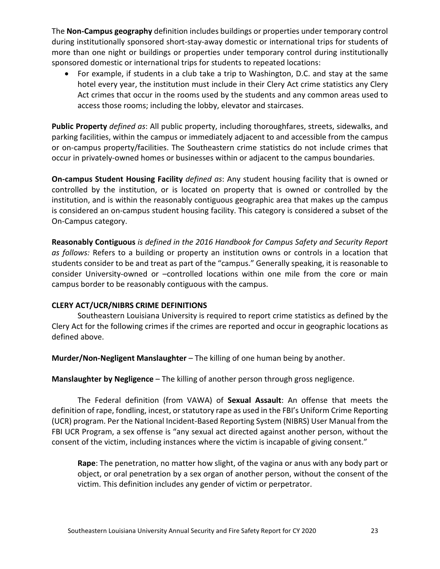The **Non-Campus geography** definition includes buildings or properties under temporary control during institutionally sponsored short-stay-away domestic or international trips for students of more than one night or buildings or properties under temporary control during institutionally sponsored domestic or international trips for students to repeated locations:

• For example, if students in a club take a trip to Washington, D.C. and stay at the same hotel every year, the institution must include in their Clery Act crime statistics any Clery Act crimes that occur in the rooms used by the students and any common areas used to access those rooms; including the lobby, elevator and staircases.

**Public Property** *defined as*: All public property, including thoroughfares, streets, sidewalks, and parking facilities, within the campus or immediately adjacent to and accessible from the campus or on-campus property/facilities. The Southeastern crime statistics do not include crimes that occur in privately-owned homes or businesses within or adjacent to the campus boundaries.

**On-campus Student Housing Facility** *defined as*: Any student housing facility that is owned or controlled by the institution, or is located on property that is owned or controlled by the institution, and is within the reasonably contiguous geographic area that makes up the campus is considered an on-campus student housing facility. This category is considered a subset of the On-Campus category.

**Reasonably Contiguous** *is defined in the 2016 Handbook for Campus Safety and Security Report as follows:* Refers to a building or property an institution owns or controls in a location that students consider to be and treat as part of the "campus." Generally speaking, it is reasonable to consider University-owned or –controlled locations within one mile from the core or main campus border to be reasonably contiguous with the campus.

# **CLERY ACT/UCR/NIBRS CRIME DEFINITIONS**

Southeastern Louisiana University is required to report crime statistics as defined by the Clery Act for the following crimes if the crimes are reported and occur in geographic locations as defined above.

**Murder/Non-Negligent Manslaughter** – The killing of one human being by another.

**Manslaughter by Negligence** – The killing of another person through gross negligence.

The Federal definition (from VAWA) of **Sexual Assault**: An offense that meets the definition of rape, fondling, incest, or statutory rape as used in the FBI's Uniform Crime Reporting (UCR) program. Per the National Incident-Based Reporting System (NIBRS) User Manual from the FBI UCR Program, a sex offense is "any sexual act directed against another person, without the consent of the victim, including instances where the victim is incapable of giving consent."

**Rape**: The penetration, no matter how slight, of the vagina or anus with any body part or object, or oral penetration by a sex organ of another person, without the consent of the victim. This definition includes any gender of victim or perpetrator.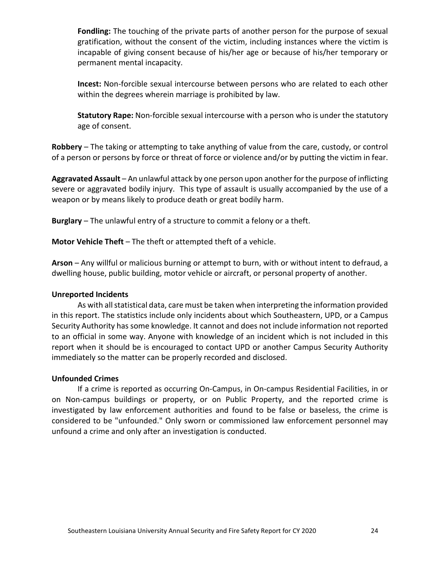**Fondling:** The touching of the private parts of another person for the purpose of sexual gratification, without the consent of the victim, including instances where the victim is incapable of giving consent because of his/her age or because of his/her temporary or permanent mental incapacity.

**Incest:** Non-forcible sexual intercourse between persons who are related to each other within the degrees wherein marriage is prohibited by law.

**Statutory Rape:** Non-forcible sexual intercourse with a person who is under the statutory age of consent.

**Robbery** – The taking or attempting to take anything of value from the care, custody, or control of a person or persons by force or threat of force or violence and/or by putting the victim in fear.

**Aggravated Assault** – An unlawful attack by one person upon another for the purpose of inflicting severe or aggravated bodily injury. This type of assault is usually accompanied by the use of a weapon or by means likely to produce death or great bodily harm.

**Burglary** – The unlawful entry of a structure to commit a felony or a theft.

**Motor Vehicle Theft** – The theft or attempted theft of a vehicle.

**Arson** – Any willful or malicious burning or attempt to burn, with or without intent to defraud, a dwelling house, public building, motor vehicle or aircraft, or personal property of another.

## **Unreported Incidents**

As with all statistical data, care must be taken when interpreting the information provided in this report. The statistics include only incidents about which Southeastern, UPD, or a Campus Security Authority has some knowledge. It cannot and does not include information not reported to an official in some way. Anyone with knowledge of an incident which is not included in this report when it should be is encouraged to contact UPD or another Campus Security Authority immediately so the matter can be properly recorded and disclosed.

#### **Unfounded Crimes**

If a crime is reported as occurring On-Campus, in On-campus Residential Facilities, in or on Non-campus buildings or property, or on Public Property, and the reported crime is investigated by law enforcement authorities and found to be false or baseless, the crime is considered to be "unfounded." Only sworn or commissioned law enforcement personnel may unfound a crime and only after an investigation is conducted.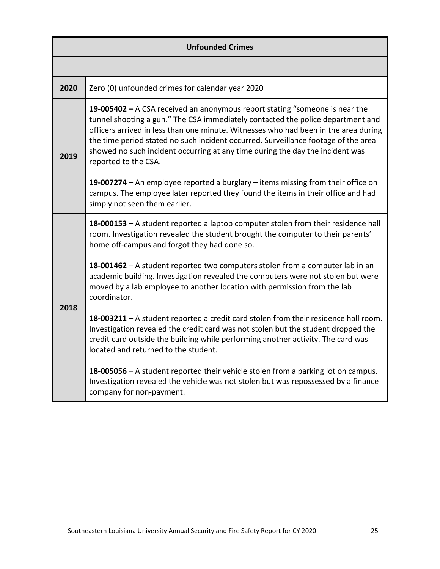| <b>Unfounded Crimes</b> |                                                                                                                                                                                                                                                                                                                                                                                                                                                      |  |  |  |  |  |
|-------------------------|------------------------------------------------------------------------------------------------------------------------------------------------------------------------------------------------------------------------------------------------------------------------------------------------------------------------------------------------------------------------------------------------------------------------------------------------------|--|--|--|--|--|
|                         |                                                                                                                                                                                                                                                                                                                                                                                                                                                      |  |  |  |  |  |
| 2020                    | Zero (0) unfounded crimes for calendar year 2020                                                                                                                                                                                                                                                                                                                                                                                                     |  |  |  |  |  |
| 2019                    | 19-005402 - A CSA received an anonymous report stating "someone is near the<br>tunnel shooting a gun." The CSA immediately contacted the police department and<br>officers arrived in less than one minute. Witnesses who had been in the area during<br>the time period stated no such incident occurred. Surveillance footage of the area<br>showed no such incident occurring at any time during the day the incident was<br>reported to the CSA. |  |  |  |  |  |
|                         | 19-007274 - An employee reported a burglary - items missing from their office on<br>campus. The employee later reported they found the items in their office and had<br>simply not seen them earlier.                                                                                                                                                                                                                                                |  |  |  |  |  |
|                         | 18-000153 - A student reported a laptop computer stolen from their residence hall<br>room. Investigation revealed the student brought the computer to their parents'<br>home off-campus and forgot they had done so.                                                                                                                                                                                                                                 |  |  |  |  |  |
| 2018                    | 18-001462 - A student reported two computers stolen from a computer lab in an<br>academic building. Investigation revealed the computers were not stolen but were<br>moved by a lab employee to another location with permission from the lab<br>coordinator.                                                                                                                                                                                        |  |  |  |  |  |
|                         | 18-003211 - A student reported a credit card stolen from their residence hall room.<br>Investigation revealed the credit card was not stolen but the student dropped the<br>credit card outside the building while performing another activity. The card was<br>located and returned to the student.                                                                                                                                                 |  |  |  |  |  |
|                         | 18-005056 - A student reported their vehicle stolen from a parking lot on campus.<br>Investigation revealed the vehicle was not stolen but was repossessed by a finance<br>company for non-payment.                                                                                                                                                                                                                                                  |  |  |  |  |  |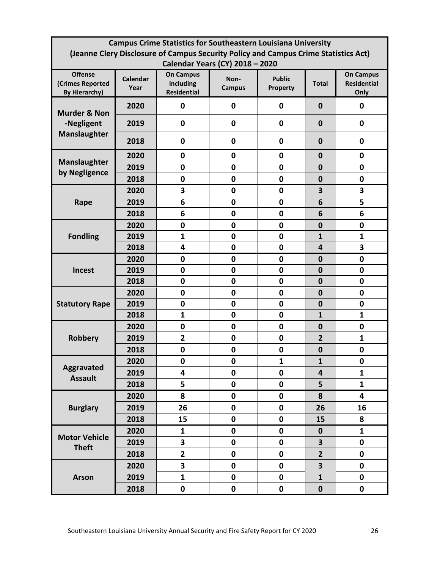| <b>Campus Crime Statistics for Southeastern Louisiana University</b><br>(Jeanne Clery Disclosure of Campus Security Policy and Campus Crime Statistics Act)<br><b>Calendar Years (CY) 2018 - 2020</b> |                  |                                                     |                       |                           |                         |                                                |
|-------------------------------------------------------------------------------------------------------------------------------------------------------------------------------------------------------|------------------|-----------------------------------------------------|-----------------------|---------------------------|-------------------------|------------------------------------------------|
| <b>Offense</b><br>(Crimes Reported<br><b>By Hierarchy)</b>                                                                                                                                            | Calendar<br>Year | <b>On Campus</b><br>including<br><b>Residential</b> | Non-<br><b>Campus</b> | <b>Public</b><br>Property | <b>Total</b>            | <b>On Campus</b><br><b>Residential</b><br>Only |
| <b>Murder &amp; Non</b>                                                                                                                                                                               | 2020             | 0                                                   | 0                     | 0                         | $\mathbf 0$             | 0                                              |
| -Negligent                                                                                                                                                                                            | 2019             | $\mathbf 0$                                         | $\mathbf 0$           | 0                         | $\bf{0}$                | 0                                              |
| Manslaughter                                                                                                                                                                                          | 2018             | 0                                                   | 0                     | 0                         | 0                       | 0                                              |
|                                                                                                                                                                                                       | 2020             | 0                                                   | 0                     | 0                         | $\mathbf 0$             | $\mathbf{0}$                                   |
| <b>Manslaughter</b>                                                                                                                                                                                   | 2019             | 0                                                   | $\mathbf 0$           | 0                         | $\mathbf 0$             | $\mathbf 0$                                    |
| by Negligence                                                                                                                                                                                         | 2018             | 0                                                   | $\mathbf 0$           | $\mathbf 0$               | $\mathbf 0$             | $\mathbf 0$                                    |
|                                                                                                                                                                                                       | 2020             | 3                                                   | $\mathbf 0$           | 0                         | 3                       | 3                                              |
| Rape                                                                                                                                                                                                  | 2019             | 6                                                   | $\mathbf 0$           | $\mathbf 0$               | 6                       | 5                                              |
|                                                                                                                                                                                                       | 2018             | 6                                                   | $\bf{0}$              | 0                         | 6                       | 6                                              |
|                                                                                                                                                                                                       | 2020             | $\mathbf 0$                                         | $\mathbf 0$           | $\mathbf 0$               | $\bf{0}$                | $\mathbf 0$                                    |
| <b>Fondling</b>                                                                                                                                                                                       | 2019             | $\mathbf{1}$                                        | $\mathbf 0$           | 0                         | $\mathbf{1}$            | $\mathbf{1}$                                   |
|                                                                                                                                                                                                       | 2018             | 4                                                   | $\mathbf 0$           | $\mathbf 0$               | 4                       | 3                                              |
|                                                                                                                                                                                                       | 2020             | $\mathbf 0$                                         | $\mathbf 0$           | $\mathbf 0$               | $\mathbf 0$             | $\mathbf{0}$                                   |
| <b>Incest</b>                                                                                                                                                                                         | 2019             | 0                                                   | $\mathbf 0$           | 0                         | $\bf{0}$                | $\mathbf 0$                                    |
|                                                                                                                                                                                                       | 2018             | $\mathbf 0$                                         | $\mathbf 0$           | 0                         | $\mathbf 0$             | $\mathbf{0}$                                   |
|                                                                                                                                                                                                       | 2020             | 0                                                   | 0                     | 0                         | $\mathbf 0$             | $\mathbf 0$                                    |
| <b>Statutory Rape</b>                                                                                                                                                                                 | 2019             | 0                                                   | $\bf{0}$              | $\mathbf 0$               | $\bf{0}$                | $\mathbf 0$                                    |
|                                                                                                                                                                                                       | 2018             | $\mathbf{1}$                                        | $\mathbf 0$           | $\mathbf 0$               | $\mathbf{1}$            | $\mathbf{1}$                                   |
|                                                                                                                                                                                                       | 2020             | 0                                                   | $\bf{0}$              | 0                         | $\boldsymbol{0}$        | $\mathbf 0$                                    |
| <b>Robbery</b>                                                                                                                                                                                        | 2019             | $\overline{2}$                                      | $\bf{0}$              | 0                         | $\overline{2}$          | 1                                              |
|                                                                                                                                                                                                       | 2018             | $\mathbf{0}$                                        | $\mathbf 0$           | $\mathbf 0$               | $\boldsymbol{0}$        | $\mathbf 0$                                    |
|                                                                                                                                                                                                       | 2020             | $\mathbf 0$                                         | $\mathbf 0$           | $\mathbf{1}$              | $\mathbf{1}$            | $\pmb{0}$                                      |
| <b>Aggravated</b><br><b>Assault</b>                                                                                                                                                                   | 2019             | 4                                                   | $\mathbf 0$           | $\mathbf 0$               | $\overline{\mathbf{4}}$ | $\mathbf{1}$                                   |
|                                                                                                                                                                                                       | 2018             | 5                                                   | $\pmb{0}$             | $\mathbf 0$               | 5                       | $\mathbf{1}$                                   |
|                                                                                                                                                                                                       | 2020             | 8                                                   | $\mathbf 0$           | $\mathbf 0$               | 8                       | 4                                              |
| <b>Burglary</b>                                                                                                                                                                                       | 2019             | 26                                                  | $\pmb{0}$             | 0                         | 26                      | 16                                             |
|                                                                                                                                                                                                       | 2018             | 15                                                  | $\pmb{0}$             | $\mathbf 0$               | 15                      | 8                                              |
|                                                                                                                                                                                                       | 2020             | $\mathbf{1}$                                        | $\mathbf 0$           | 0                         | $\bf{0}$                | $\mathbf{1}$                                   |
| <b>Motor Vehicle</b>                                                                                                                                                                                  | 2019             | 3                                                   | $\pmb{0}$             | 0                         | 3                       | $\mathbf 0$                                    |
| <b>Theft</b>                                                                                                                                                                                          | 2018             | $\overline{\mathbf{2}}$                             | $\pmb{0}$             | $\mathbf 0$               | $\overline{2}$          | $\mathbf 0$                                    |
|                                                                                                                                                                                                       | 2020             | 3                                                   | $\mathbf 0$           | $\mathbf 0$               | 3                       | $\mathbf 0$                                    |
| <b>Arson</b>                                                                                                                                                                                          | 2019             | $\mathbf{1}$                                        | $\pmb{0}$             | $\mathbf 0$               | $\mathbf{1}$            | $\mathbf 0$                                    |
|                                                                                                                                                                                                       | 2018             | $\mathbf 0$                                         | $\pmb{0}$             | $\pmb{0}$                 | $\mathbf 0$             | 0                                              |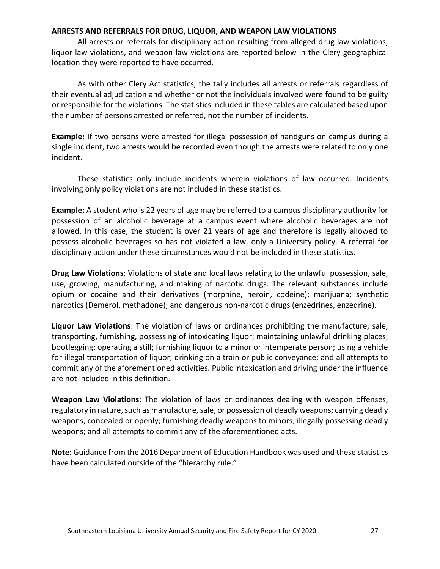#### **ARRESTS AND REFERRALS FOR DRUG, LIQUOR, AND WEAPON LAW VIOLATIONS**

All arrests or referrals for disciplinary action resulting from alleged drug law violations, liquor law violations, and weapon law violations are reported below in the Clery geographical location they were reported to have occurred.

As with other Clery Act statistics, the tally includes all arrests or referrals regardless of their eventual adjudication and whether or not the individuals involved were found to be guilty or responsible for the violations. The statistics included in these tables are calculated based upon the number of persons arrested or referred, not the number of incidents.

**Example:** If two persons were arrested for illegal possession of handguns on campus during a single incident, two arrests would be recorded even though the arrests were related to only one incident.

These statistics only include incidents wherein violations of law occurred. Incidents involving only policy violations are not included in these statistics.

**Example:** A student who is 22 years of age may be referred to a campus disciplinary authority for possession of an alcoholic beverage at a campus event where alcoholic beverages are not allowed. In this case, the student is over 21 years of age and therefore is legally allowed to possess alcoholic beverages so has not violated a law, only a University policy. A referral for disciplinary action under these circumstances would not be included in these statistics.

**Drug Law Violations**: Violations of state and local laws relating to the unlawful possession, sale, use, growing, manufacturing, and making of narcotic drugs. The relevant substances include opium or cocaine and their derivatives (morphine, heroin, codeine); marijuana; synthetic narcotics (Demerol, methadone); and dangerous non-narcotic drugs (enzedrines, enzedrine).

**Liquor Law Violations**: The violation of laws or ordinances prohibiting the manufacture, sale, transporting, furnishing, possessing of intoxicating liquor; maintaining unlawful drinking places; bootlegging; operating a still; furnishing liquor to a minor or intemperate person; using a vehicle for illegal transportation of liquor; drinking on a train or public conveyance; and all attempts to commit any of the aforementioned activities. Public intoxication and driving under the influence are not included in this definition.

**Weapon Law Violations**: The violation of laws or ordinances dealing with weapon offenses, regulatory in nature, such as manufacture, sale, or possession of deadly weapons; carrying deadly weapons, concealed or openly; furnishing deadly weapons to minors; illegally possessing deadly weapons; and all attempts to commit any of the aforementioned acts.

**Note:** Guidance from the 2016 Department of Education Handbook was used and these statistics have been calculated outside of the "hierarchy rule."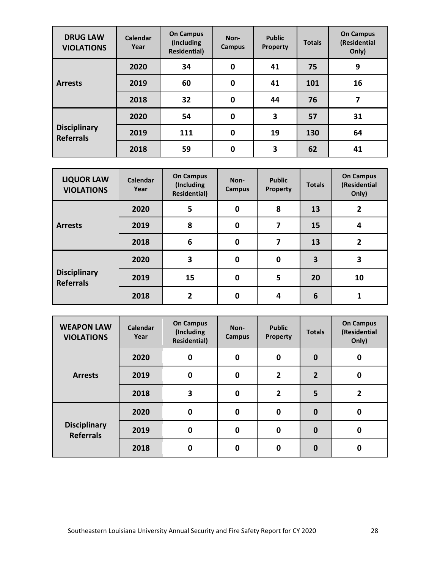| <b>DRUG LAW</b><br><b>VIOLATIONS</b>    | Calendar<br>Year | <b>On Campus</b><br>(Including<br><b>Residential</b> ) | Non-<br>Campus   | <b>Public</b><br>Property | <b>Totals</b> | <b>On Campus</b><br>(Residential<br>Only) |
|-----------------------------------------|------------------|--------------------------------------------------------|------------------|---------------------------|---------------|-------------------------------------------|
|                                         | 2020             | 34                                                     | $\boldsymbol{0}$ | 41                        | 75            | 9                                         |
| <b>Arrests</b>                          | 2019             | 60                                                     | $\mathbf 0$      | 41                        | 101           | 16                                        |
|                                         | 2018             | 32                                                     | $\mathbf 0$      | 44                        | 76            | 7                                         |
| <b>Disciplinary</b><br><b>Referrals</b> | 2020             | 54                                                     | $\mathbf 0$      | 3                         | 57            | 31                                        |
|                                         | 2019             | 111                                                    | $\mathbf 0$      | 19                        | 130           | 64                                        |
|                                         | 2018             | 59                                                     | 0                | 3                         | 62            | 41                                        |

| <b>LIQUOR LAW</b><br><b>VIOLATIONS</b>  | Calendar<br>Year | <b>On Campus</b><br>(Including<br><b>Residential)</b> | Non-<br>Campus | <b>Public</b><br>Property | <b>Totals</b> | <b>On Campus</b><br>(Residential<br>Only) |
|-----------------------------------------|------------------|-------------------------------------------------------|----------------|---------------------------|---------------|-------------------------------------------|
|                                         | 2020             | 5                                                     | 0              | 8                         | 13            | $\overline{2}$                            |
| <b>Arrests</b>                          | 2019             | 8                                                     | 0              | 7                         | 15            | 4                                         |
|                                         | 2018             | 6                                                     | $\mathbf 0$    | 7                         | 13            | $\overline{2}$                            |
| <b>Disciplinary</b><br><b>Referrals</b> | 2020             | 3                                                     | 0              | $\bf{0}$                  | 3             | 3                                         |
|                                         | 2019             | 15                                                    | 0              | 5                         | 20            | 10                                        |
|                                         | 2018             | 2                                                     | 0              | 4                         | 6             | 1                                         |

| <b>WEAPON LAW</b><br><b>VIOLATIONS</b>  | Calendar<br>Year | <b>On Campus</b><br>(Including<br><b>Residential)</b> | Non-<br>Campus | <b>Public</b><br><b>Property</b> | <b>Totals</b>  | <b>On Campus</b><br>(Residential<br>Only) |
|-----------------------------------------|------------------|-------------------------------------------------------|----------------|----------------------------------|----------------|-------------------------------------------|
|                                         | 2020             | 0                                                     | 0              | $\mathbf 0$                      | $\mathbf 0$    | 0                                         |
| <b>Arrests</b>                          | 2019             | $\mathbf 0$                                           | 0              | $\overline{2}$                   | $\overline{2}$ | 0                                         |
|                                         | 2018             | 3                                                     | 0              | $\overline{2}$                   | 5              | $\overline{2}$                            |
| <b>Disciplinary</b><br><b>Referrals</b> | 2020             | $\mathbf 0$                                           | 0              | $\mathbf 0$                      | $\mathbf 0$    | 0                                         |
|                                         | 2019             | $\mathbf 0$                                           | $\mathbf 0$    | $\mathbf 0$                      | $\mathbf 0$    | $\bf{0}$                                  |
|                                         | 2018             | 0                                                     | 0              | 0                                | $\bf{0}$       | 0                                         |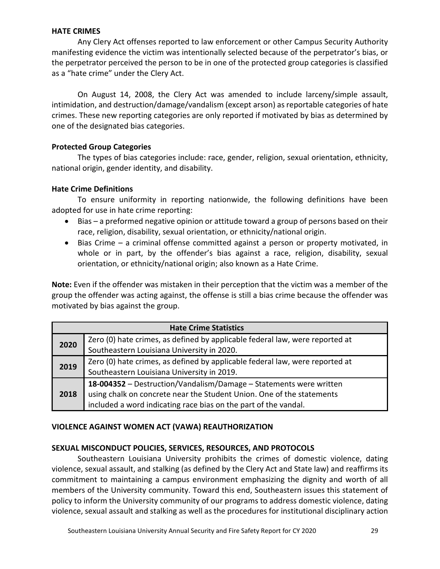#### **HATE CRIMES**

Any Clery Act offenses reported to law enforcement or other Campus Security Authority manifesting evidence the victim was intentionally selected because of the perpetrator's bias, or the perpetrator perceived the person to be in one of the protected group categories is classified as a "hate crime" under the Clery Act.

On August 14, 2008, the Clery Act was amended to include larceny/simple assault, intimidation, and destruction/damage/vandalism (except arson) as reportable categories of hate crimes. These new reporting categories are only reported if motivated by bias as determined by one of the designated bias categories.

## **Protected Group Categories**

The types of bias categories include: race, gender, religion, sexual orientation, ethnicity, national origin, gender identity, and disability.

## **Hate Crime Definitions**

To ensure uniformity in reporting nationwide, the following definitions have been adopted for use in hate crime reporting:

- Bias a preformed negative opinion or attitude toward a group of persons based on their race, religion, disability, sexual orientation, or ethnicity/national origin.
- Bias Crime a criminal offense committed against a person or property motivated, in whole or in part, by the offender's bias against a race, religion, disability, sexual orientation, or ethnicity/national origin; also known as a Hate Crime.

**Note:** Even if the offender was mistaken in their perception that the victim was a member of the group the offender was acting against, the offense is still a bias crime because the offender was motivated by bias against the group.

| <b>Hate Crime Statistics</b> |                                                                              |  |  |  |  |
|------------------------------|------------------------------------------------------------------------------|--|--|--|--|
| 2020                         | Zero (0) hate crimes, as defined by applicable federal law, were reported at |  |  |  |  |
|                              | Southeastern Louisiana University in 2020.                                   |  |  |  |  |
| 2019                         | Zero (0) hate crimes, as defined by applicable federal law, were reported at |  |  |  |  |
|                              | Southeastern Louisiana University in 2019.                                   |  |  |  |  |
|                              | 18-004352 - Destruction/Vandalism/Damage - Statements were written           |  |  |  |  |
| 2018                         | using chalk on concrete near the Student Union. One of the statements        |  |  |  |  |
|                              | included a word indicating race bias on the part of the vandal.              |  |  |  |  |

## **VIOLENCE AGAINST WOMEN ACT (VAWA) REAUTHORIZATION**

## **SEXUAL MISCONDUCT POLICIES, SERVICES, RESOURCES, AND PROTOCOLS**

Southeastern Louisiana University prohibits the crimes of domestic violence, dating violence, sexual assault, and stalking (as defined by the Clery Act and State law) and reaffirms its commitment to maintaining a campus environment emphasizing the dignity and worth of all members of the University community. Toward this end, Southeastern issues this statement of policy to inform the University community of our programs to address domestic violence, dating violence, sexual assault and stalking as well as the procedures for institutional disciplinary action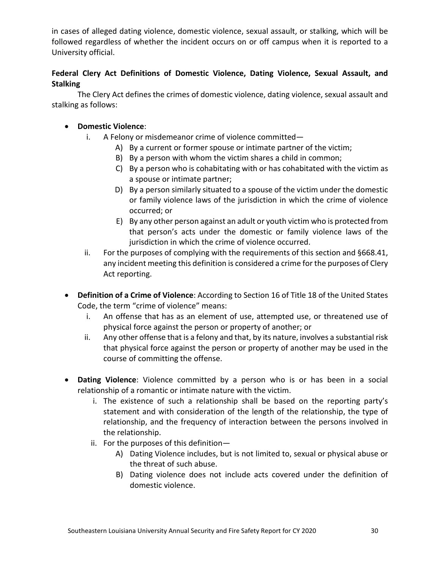in cases of alleged dating violence, domestic violence, sexual assault, or stalking, which will be followed regardless of whether the incident occurs on or off campus when it is reported to a University official.

# **Federal Clery Act Definitions of Domestic Violence, Dating Violence, Sexual Assault, and Stalking**

The Clery Act defines the crimes of domestic violence, dating violence, sexual assault and stalking as follows:

## • **Domestic Violence**:

- i. A Felony or misdemeanor crime of violence committed—
	- A) By a current or former spouse or intimate partner of the victim;
	- B) By a person with whom the victim shares a child in common;
	- C) By a person who is cohabitating with or has cohabitated with the victim as a spouse or intimate partner;
	- D) By a person similarly situated to a spouse of the victim under the domestic or family violence laws of the jurisdiction in which the crime of violence occurred; or
	- E) By any other person against an adult or youth victim who is protected from that person's acts under the domestic or family violence laws of the jurisdiction in which the crime of violence occurred.
- ii. For the purposes of complying with the requirements of this section and §668.41, any incident meeting this definition is considered a crime for the purposes of Clery Act reporting.
- **Definition of a Crime of Violence**: According to Section 16 of Title 18 of the United States Code, the term "crime of violence" means:
	- i. An offense that has as an element of use, attempted use, or threatened use of physical force against the person or property of another; or
	- ii. Any other offense that is a felony and that, by its nature, involves a substantial risk that physical force against the person or property of another may be used in the course of committing the offense.
- **Dating Violence**: Violence committed by a person who is or has been in a social relationship of a romantic or intimate nature with the victim.
	- i. The existence of such a relationship shall be based on the reporting party's statement and with consideration of the length of the relationship, the type of relationship, and the frequency of interaction between the persons involved in the relationship.
	- ii. For the purposes of this definition—
		- A) Dating Violence includes, but is not limited to, sexual or physical abuse or the threat of such abuse.
		- B) Dating violence does not include acts covered under the definition of domestic violence.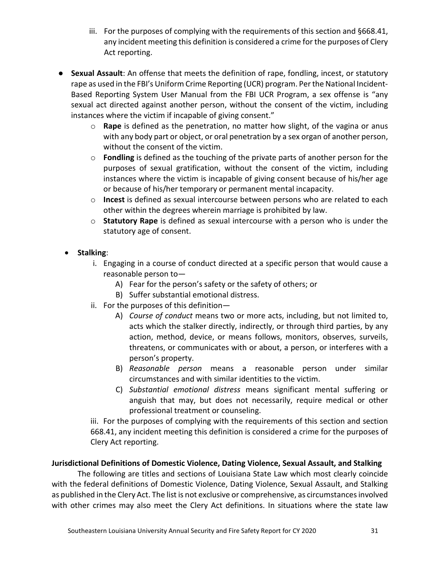- iii. For the purposes of complying with the requirements of this section and §668.41, any incident meeting this definition is considered a crime for the purposes of Clery Act reporting.
- **Sexual Assault**: An offense that meets the definition of rape, fondling, incest, or statutory rape as used in the FBI's Uniform Crime Reporting (UCR) program. Per the National Incident-Based Reporting System User Manual from the FBI UCR Program, a sex offense is "any sexual act directed against another person, without the consent of the victim, including instances where the victim if incapable of giving consent."
	- o **Rape** is defined as the penetration, no matter how slight, of the vagina or anus with any body part or object, or oral penetration by a sex organ of another person, without the consent of the victim.
	- o **Fondling** is defined as the touching of the private parts of another person for the purposes of sexual gratification, without the consent of the victim, including instances where the victim is incapable of giving consent because of his/her age or because of his/her temporary or permanent mental incapacity.
	- o **Incest** is defined as sexual intercourse between persons who are related to each other within the degrees wherein marriage is prohibited by law.
	- o **Statutory Rape** is defined as sexual intercourse with a person who is under the statutory age of consent.
	- **Stalking**:
		- i. Engaging in a course of conduct directed at a specific person that would cause a reasonable person to—
			- A) Fear for the person's safety or the safety of others; or
			- B) Suffer substantial emotional distress.
		- ii. For the purposes of this definition—
			- A) *Course of conduct* means two or more acts, including, but not limited to, acts which the stalker directly, indirectly, or through third parties, by any action, method, device, or means follows, monitors, observes, surveils, threatens, or communicates with or about, a person, or interferes with a person's property.
			- B) *Reasonable person* means a reasonable person under similar circumstances and with similar identities to the victim.
			- C) *Substantial emotional distress* means significant mental suffering or anguish that may, but does not necessarily, require medical or other professional treatment or counseling.

iii. For the purposes of complying with the requirements of this section and section 668.41, any incident meeting this definition is considered a crime for the purposes of Clery Act reporting.

# **Jurisdictional Definitions of Domestic Violence, Dating Violence, Sexual Assault, and Stalking**

The following are titles and sections of Louisiana State Law which most clearly coincide with the federal definitions of Domestic Violence, Dating Violence, Sexual Assault, and Stalking as published in the Clery Act. The list is not exclusive or comprehensive, as circumstances involved with other crimes may also meet the Clery Act definitions. In situations where the state law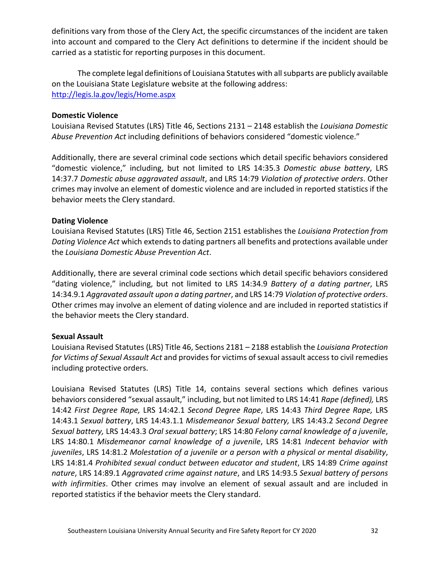definitions vary from those of the Clery Act, the specific circumstances of the incident are taken into account and compared to the Clery Act definitions to determine if the incident should be carried as a statistic for reporting purposes in this document.

The complete legal definitions of Louisiana Statutes with all subparts are publicly available on the Louisiana State Legislature website at the following address: <http://legis.la.gov/legis/Home.aspx>

## **Domestic Violence**

Louisiana Revised Statutes (LRS) Title 46, Sections 2131 – 2148 establish the *Louisiana Domestic Abuse Prevention Act* including definitions of behaviors considered "domestic violence."

Additionally, there are several criminal code sections which detail specific behaviors considered "domestic violence," including, but not limited to LRS 14:35.3 *Domestic abuse battery*, LRS 14:37.7 *Domestic abuse aggravated assault*, and LRS 14:79 *Violation of protective orders*. Other crimes may involve an element of domestic violence and are included in reported statistics if the behavior meets the Clery standard.

## **Dating Violence**

Louisiana Revised Statutes (LRS) Title 46, Section 2151 establishes the *Louisiana Protection from Dating Violence Act* which extends to dating partners all benefits and protections available under the *Louisiana Domestic Abuse Prevention Act*.

Additionally, there are several criminal code sections which detail specific behaviors considered "dating violence," including, but not limited to LRS 14:34.9 *Battery of a dating partner*, LRS 14:34.9.1 *Aggravated assault upon a dating partner*, and LRS 14:79 *Violation of protective orders*. Other crimes may involve an element of dating violence and are included in reported statistics if the behavior meets the Clery standard.

# **Sexual Assault**

Louisiana Revised Statutes (LRS) Title 46, Sections 2181 – 2188 establish the *Louisiana Protection for Victims of Sexual Assault Act* and provides for victims of sexual assault access to civil remedies including protective orders.

Louisiana Revised Statutes (LRS) Title 14, contains several sections which defines various behaviors considered "sexual assault," including, but not limited to LRS 14:41 *Rape (defined),* LRS 14:42 *First Degree Rape,* LRS 14:42.1 *Second Degree Rape*, LRS 14:43 *Third Degree Rape,* LRS 14:43.1 *Sexual battery*, LRS 14:43.1.1 *Misdemeanor Sexual battery,* LRS 14:43.2 *Second Degree Sexual battery,* LRS 14:43.3 *Oral sexual battery*; LRS 14:80 *Felony carnal knowledge of a juvenile*, LRS 14:80.1 *Misdemeanor carnal knowledge of a juvenile*, LRS 14:81 *Indecent behavior with juveniles*, LRS 14:81.2 *Molestation of a juvenile or a person with a physical or mental disability*, LRS 14:81.4 *Prohibited sexual conduct between educator and student*, LRS 14:89 *Crime against nature*, LRS 14:89.1 *Aggravated crime against nature*, and LRS 14:93.5 *Sexual battery of persons with infirmities*. Other crimes may involve an element of sexual assault and are included in reported statistics if the behavior meets the Clery standard.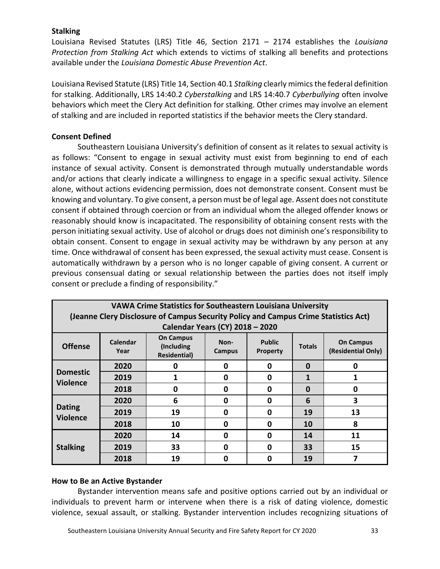## **Stalking**

Louisiana Revised Statutes (LRS) Title 46, Section 2171 – 2174 establishes the *Louisiana Protection from Stalking Act* which extends to victims of stalking all benefits and protections available under the *Louisiana Domestic Abuse Prevention Act*.

Louisiana Revised Statute (LRS) Title 14, Section 40.1 *Stalking* clearly mimics the federal definition for stalking. Additionally, LRS 14:40.2 *Cyberstalking* and LRS 14:40.7 *Cyberbullying* often involve behaviors which meet the Clery Act definition for stalking. Other crimes may involve an element of stalking and are included in reported statistics if the behavior meets the Clery standard.

## **Consent Defined**

Southeastern Louisiana University's definition of consent as it relates to sexual activity is as follows: "Consent to engage in sexual activity must exist from beginning to end of each instance of sexual activity. Consent is demonstrated through mutually understandable words and/or actions that clearly indicate a willingness to engage in a specific sexual activity. Silence alone, without actions evidencing permission, does not demonstrate consent. Consent must be knowing and voluntary. To give consent, a person must be of legal age. Assent does not constitute consent if obtained through coercion or from an individual whom the alleged offender knows or reasonably should know is incapacitated. The responsibility of obtaining consent rests with the person initiating sexual activity. Use of alcohol or drugs does not diminish one's responsibility to obtain consent. Consent to engage in sexual activity may be withdrawn by any person at any time. Once withdrawal of consent has been expressed, the sexual activity must cease. Consent is automatically withdrawn by a person who is no longer capable of giving consent. A current or previous consensual dating or sexual relationship between the parties does not itself imply consent or preclude a finding of responsibility."

| <b>VAWA Crime Statistics for Southeastern Louisiana University</b>                                                                                                                                             |      |    |   |   |              |    |  |  |  |
|----------------------------------------------------------------------------------------------------------------------------------------------------------------------------------------------------------------|------|----|---|---|--------------|----|--|--|--|
| (Jeanne Clery Disclosure of Campus Security Policy and Campus Crime Statistics Act)                                                                                                                            |      |    |   |   |              |    |  |  |  |
| Calendar Years (CY) 2018 - 2020                                                                                                                                                                                |      |    |   |   |              |    |  |  |  |
| <b>On Campus</b><br>Calendar<br><b>Public</b><br>Non-<br><b>On Campus</b><br><b>Offense</b><br><b>Totals</b><br>(Including)<br>(Residential Only)<br>Year<br><b>Property</b><br>Campus<br><b>Residential</b> ) |      |    |   |   |              |    |  |  |  |
| <b>Domestic</b><br><b>Violence</b>                                                                                                                                                                             | 2020 |    | 0 | 0 | $\mathbf{0}$ | 0  |  |  |  |
|                                                                                                                                                                                                                | 2019 | 1  | 0 | 0 | 1            | 1  |  |  |  |
|                                                                                                                                                                                                                | 2018 | 0  | 0 | 0 | $\bf{0}$     | 0  |  |  |  |
|                                                                                                                                                                                                                | 2020 | 6  | 0 | 0 | 6            | 3  |  |  |  |
| <b>Dating</b><br><b>Violence</b>                                                                                                                                                                               | 2019 | 19 | 0 | 0 | 19           | 13 |  |  |  |
|                                                                                                                                                                                                                | 2018 | 10 | 0 | 0 | 10           | 8  |  |  |  |
| <b>Stalking</b>                                                                                                                                                                                                | 2020 | 14 | 0 | 0 | 14           | 11 |  |  |  |
|                                                                                                                                                                                                                | 2019 | 33 | 0 | 0 | 33           | 15 |  |  |  |
|                                                                                                                                                                                                                | 2018 | 19 | 0 | 0 | 19           |    |  |  |  |

## **How to Be an Active Bystander**

Bystander intervention means safe and positive options carried out by an individual or individuals to prevent harm or intervene when there is a risk of dating violence, domestic violence, sexual assault, or stalking. Bystander intervention includes recognizing situations of

Southeastern Louisiana University Annual Security and Fire Safety Report for CY 2020 33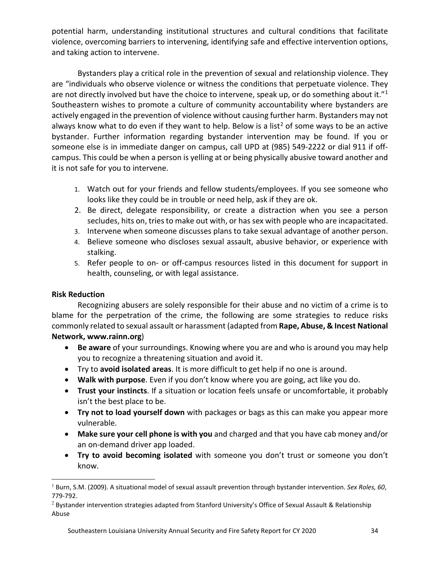potential harm, understanding institutional structures and cultural conditions that facilitate violence, overcoming barriers to intervening, identifying safe and effective intervention options, and taking action to intervene.

Bystanders play a critical role in the prevention of sexual and relationship violence. They are "individuals who observe violence or witness the conditions that perpetuate violence. They are not directly involved but have the choice to intervene, speak up, or do something about it."<sup>[1](#page-33-0)</sup> Southeastern wishes to promote a culture of community accountability where bystanders are actively engaged in the prevention of violence without causing further harm. Bystanders may not always know what to do even if they want to help. Below is a list<sup>[2](#page-33-1)</sup> of some ways to be an active bystander. Further information regarding bystander intervention may be found. If you or someone else is in immediate danger on campus, call UPD at (985) 549-2222 or dial 911 if offcampus. This could be when a person is yelling at or being physically abusive toward another and it is not safe for you to intervene.

- 1. Watch out for your friends and fellow students/employees. If you see someone who looks like they could be in trouble or need help, ask if they are ok.
- 2. Be direct, delegate responsibility, or create a distraction when you see a person secludes, hits on, tries to make out with, or has sex with people who are incapacitated.
- 3. Intervene when someone discusses plans to take sexual advantage of another person.
- 4. Believe someone who discloses sexual assault, abusive behavior, or experience with stalking.
- 5. Refer people to on- or off-campus resources listed in this document for support in health, counseling, or with legal assistance.

# **Risk Reduction**

Recognizing abusers are solely responsible for their abuse and no victim of a crime is to blame for the perpetration of the crime, the following are some strategies to reduce risks commonly related to sexual assault or harassment (adapted from **Rape, Abuse, & Incest National Network, www.rainn.org**)

- **Be aware** of your surroundings. Knowing where you are and who is around you may help you to recognize a threatening situation and avoid it.
- Try to **avoid isolated areas**. It is more difficult to get help if no one is around.
- **Walk with purpose**. Even if you don't know where you are going, act like you do.
- **Trust your instincts**. If a situation or location feels unsafe or uncomfortable, it probably isn't the best place to be.
- **Try not to load yourself down** with packages or bags as this can make you appear more vulnerable.
- **Make sure your cell phone is with you** and charged and that you have cab money and/or an on-demand driver app loaded.
- **Try to avoid becoming isolated** with someone you don't trust or someone you don't know.

<span id="page-33-0"></span> <sup>1</sup> Burn, S.M. (2009). A situational model of sexual assault prevention through bystander intervention. *Sex Roles, 60*, 779-792.

<span id="page-33-1"></span> $<sup>2</sup>$  Bystander intervention strategies adapted from Stanford University's Office of Sexual Assault & Relationship</sup> Abuse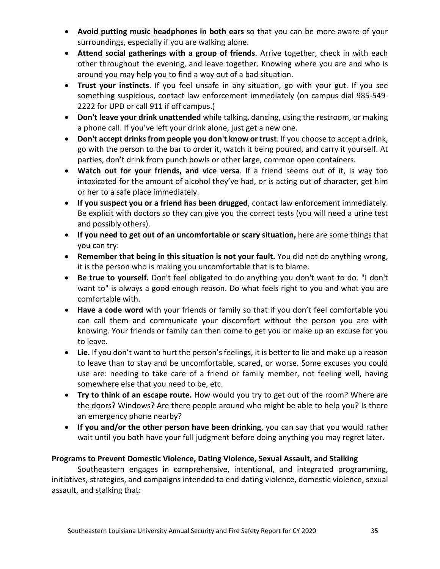- **Avoid putting music headphones in both ears** so that you can be more aware of your surroundings, especially if you are walking alone.
- **Attend social gatherings with a group of friends**. Arrive together, check in with each other throughout the evening, and leave together. Knowing where you are and who is around you may help you to find a way out of a bad situation.
- **Trust your instincts**. If you feel unsafe in any situation, go with your gut. If you see something suspicious, contact law enforcement immediately (on campus dial 985-549- 2222 for UPD or call 911 if off campus.)
- **Don't leave your drink unattended** while talking, dancing, using the restroom, or making a phone call. If you've left your drink alone, just get a new one.
- **Don't accept drinks from people you don't know or trust**. If you choose to accept a drink, go with the person to the bar to order it, watch it being poured, and carry it yourself. At parties, don't drink from punch bowls or other large, common open containers.
- **Watch out for your friends, and vice versa**. If a friend seems out of it, is way too intoxicated for the amount of alcohol they've had, or is acting out of character, get him or her to a safe place immediately.
- **If you suspect you or a friend has been drugged**, contact law enforcement immediately. Be explicit with doctors so they can give you the correct tests (you will need a urine test and possibly others).
- **If you need to get out of an uncomfortable or scary situation,** here are some things that you can try:
- **Remember that being in this situation is not your fault.** You did not do anything wrong, it is the person who is making you uncomfortable that is to blame.
- **Be true to yourself.** Don't feel obligated to do anything you don't want to do. "I don't want to" is always a good enough reason. Do what feels right to you and what you are comfortable with.
- **Have a code word** with your friends or family so that if you don't feel comfortable you can call them and communicate your discomfort without the person you are with knowing. Your friends or family can then come to get you or make up an excuse for you to leave.
- **Lie.** If you don't want to hurt the person's feelings, it is better to lie and make up a reason to leave than to stay and be uncomfortable, scared, or worse. Some excuses you could use are: needing to take care of a friend or family member, not feeling well, having somewhere else that you need to be, etc.
- **Try to think of an escape route.** How would you try to get out of the room? Where are the doors? Windows? Are there people around who might be able to help you? Is there an emergency phone nearby?
- **If you and/or the other person have been drinking**, you can say that you would rather wait until you both have your full judgment before doing anything you may regret later.

# **Programs to Prevent Domestic Violence, Dating Violence, Sexual Assault, and Stalking**

Southeastern engages in comprehensive, intentional, and integrated programming, initiatives, strategies, and campaigns intended to end dating violence, domestic violence, sexual assault, and stalking that: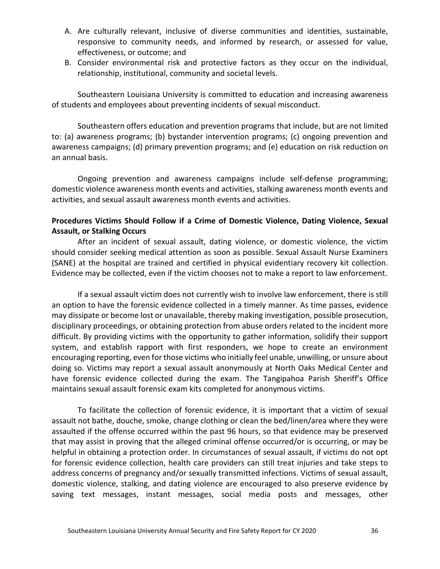- A. Are culturally relevant, inclusive of diverse communities and identities, sustainable, responsive to community needs, and informed by research, or assessed for value, effectiveness, or outcome; and
- B. Consider environmental risk and protective factors as they occur on the individual, relationship, institutional, community and societal levels.

Southeastern Louisiana University is committed to education and increasing awareness of students and employees about preventing incidents of sexual misconduct.

Southeastern offers education and prevention programs that include, but are not limited to: (a) awareness programs; (b) bystander intervention programs; (c) ongoing prevention and awareness campaigns; (d) primary prevention programs; and (e) education on risk reduction on an annual basis.

Ongoing prevention and awareness campaigns include self-defense programming; domestic violence awareness month events and activities, stalking awareness month events and activities, and sexual assault awareness month events and activities.

# **Procedures Victims Should Follow if a Crime of Domestic Violence, Dating Violence, Sexual Assault, or Stalking Occurs**

After an incident of sexual assault, dating violence, or domestic violence, the victim should consider seeking medical attention as soon as possible. Sexual Assault Nurse Examiners (SANE) at the hospital are trained and certified in physical evidentiary recovery kit collection. Evidence may be collected, even if the victim chooses not to make a report to law enforcement.

If a sexual assault victim does not currently wish to involve law enforcement, there is still an option to have the forensic evidence collected in a timely manner. As time passes, evidence may dissipate or become lost or unavailable, thereby making investigation, possible prosecution, disciplinary proceedings, or obtaining protection from abuse orders related to the incident more difficult. By providing victims with the opportunity to gather information, solidify their support system, and establish rapport with first responders, we hope to create an environment encouraging reporting, even for those victims who initially feel unable, unwilling, or unsure about doing so. Victims may report a sexual assault anonymously at North Oaks Medical Center and have forensic evidence collected during the exam. The Tangipahoa Parish Sheriff's Office maintains sexual assault forensic exam kits completed for anonymous victims.

To facilitate the collection of forensic evidence, it is important that a victim of sexual assault not bathe, douche, smoke, change clothing or clean the bed/linen/area where they were assaulted if the offense occurred within the past 96 hours, so that evidence may be preserved that may assist in proving that the alleged criminal offense occurred/or is occurring, or may be helpful in obtaining a protection order. In circumstances of sexual assault, if victims do not opt for forensic evidence collection, health care providers can still treat injuries and take steps to address concerns of pregnancy and/or sexually transmitted infections. Victims of sexual assault, domestic violence, stalking, and dating violence are encouraged to also preserve evidence by saving text messages, instant messages, social media posts and messages, other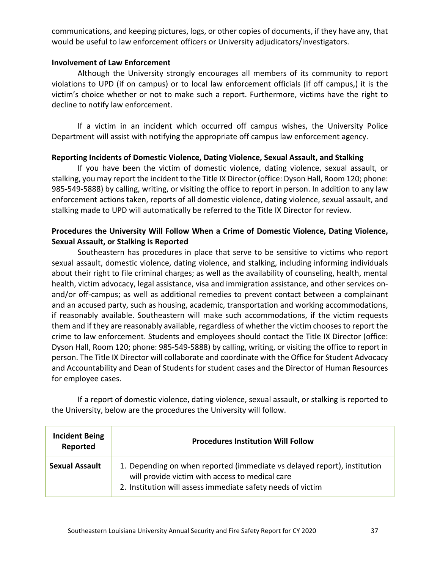communications, and keeping pictures, logs, or other copies of documents, if they have any, that would be useful to law enforcement officers or University adjudicators/investigators.

## **Involvement of Law Enforcement**

Although the University strongly encourages all members of its community to report violations to UPD (if on campus) or to local law enforcement officials (if off campus,) it is the victim's choice whether or not to make such a report. Furthermore, victims have the right to decline to notify law enforcement.

If a victim in an incident which occurred off campus wishes, the University Police Department will assist with notifying the appropriate off campus law enforcement agency.

## **Reporting Incidents of Domestic Violence, Dating Violence, Sexual Assault, and Stalking**

If you have been the victim of domestic violence, dating violence, sexual assault, or stalking, you may report the incident to the Title IX Director (office: Dyson Hall, Room 120; phone: 985-549-5888) by calling, writing, or visiting the office to report in person. In addition to any law enforcement actions taken, reports of all domestic violence, dating violence, sexual assault, and stalking made to UPD will automatically be referred to the Title IX Director for review.

# **Procedures the University Will Follow When a Crime of Domestic Violence, Dating Violence, Sexual Assault, or Stalking is Reported**

Southeastern has procedures in place that serve to be sensitive to victims who report sexual assault, domestic violence, dating violence, and stalking, including informing individuals about their right to file criminal charges; as well as the availability of counseling, health, mental health, victim advocacy, legal assistance, visa and immigration assistance, and other services onand/or off-campus; as well as additional remedies to prevent contact between a complainant and an accused party, such as housing, academic, transportation and working accommodations, if reasonably available. Southeastern will make such accommodations, if the victim requests them and if they are reasonably available, regardless of whether the victim chooses to report the crime to law enforcement. Students and employees should contact the Title IX Director (office: Dyson Hall, Room 120; phone: 985-549-5888) by calling, writing, or visiting the office to report in person. The Title IX Director will collaborate and coordinate with the Office for Student Advocacy and Accountability and Dean of Students for student cases and the Director of Human Resources for employee cases.

If a report of domestic violence, dating violence, sexual assault, or stalking is reported to the University, below are the procedures the University will follow.

| <b>Incident Being</b><br>Reported | <b>Procedures Institution Will Follow</b>                                                                                                                                                  |  |
|-----------------------------------|--------------------------------------------------------------------------------------------------------------------------------------------------------------------------------------------|--|
| <b>Sexual Assault</b>             | 1. Depending on when reported (immediate vs delayed report), institution<br>will provide victim with access to medical care<br>2. Institution will assess immediate safety needs of victim |  |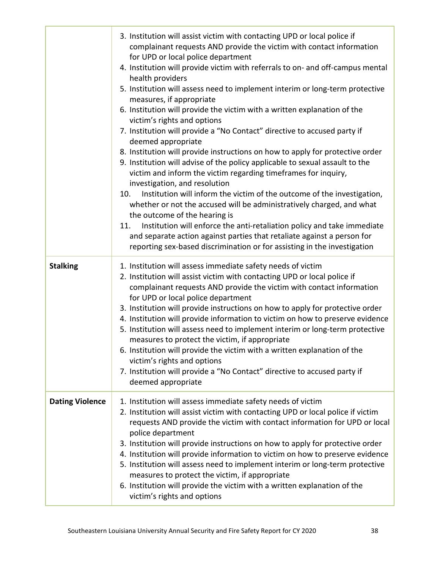|                        | 3. Institution will assist victim with contacting UPD or local police if<br>complainant requests AND provide the victim with contact information<br>for UPD or local police department<br>4. Institution will provide victim with referrals to on- and off-campus mental<br>health providers<br>5. Institution will assess need to implement interim or long-term protective<br>measures, if appropriate<br>6. Institution will provide the victim with a written explanation of the<br>victim's rights and options<br>7. Institution will provide a "No Contact" directive to accused party if<br>deemed appropriate<br>8. Institution will provide instructions on how to apply for protective order<br>9. Institution will advise of the policy applicable to sexual assault to the<br>victim and inform the victim regarding timeframes for inquiry,<br>investigation, and resolution<br>Institution will inform the victim of the outcome of the investigation,<br>10.<br>whether or not the accused will be administratively charged, and what<br>the outcome of the hearing is<br>Institution will enforce the anti-retaliation policy and take immediate<br>11.<br>and separate action against parties that retaliate against a person for<br>reporting sex-based discrimination or for assisting in the investigation |
|------------------------|--------------------------------------------------------------------------------------------------------------------------------------------------------------------------------------------------------------------------------------------------------------------------------------------------------------------------------------------------------------------------------------------------------------------------------------------------------------------------------------------------------------------------------------------------------------------------------------------------------------------------------------------------------------------------------------------------------------------------------------------------------------------------------------------------------------------------------------------------------------------------------------------------------------------------------------------------------------------------------------------------------------------------------------------------------------------------------------------------------------------------------------------------------------------------------------------------------------------------------------------------------------------------------------------------------------------------------|
| <b>Stalking</b>        | 1. Institution will assess immediate safety needs of victim<br>2. Institution will assist victim with contacting UPD or local police if<br>complainant requests AND provide the victim with contact information<br>for UPD or local police department<br>3. Institution will provide instructions on how to apply for protective order<br>4. Institution will provide information to victim on how to preserve evidence<br>5. Institution will assess need to implement interim or long-term protective<br>measures to protect the victim, if appropriate<br>6. Institution will provide the victim with a written explanation of the<br>victim's rights and options<br>7. Institution will provide a "No Contact" directive to accused party if<br>deemed appropriate                                                                                                                                                                                                                                                                                                                                                                                                                                                                                                                                                         |
| <b>Dating Violence</b> | 1. Institution will assess immediate safety needs of victim<br>2. Institution will assist victim with contacting UPD or local police if victim<br>requests AND provide the victim with contact information for UPD or local<br>police department<br>3. Institution will provide instructions on how to apply for protective order<br>4. Institution will provide information to victim on how to preserve evidence<br>5. Institution will assess need to implement interim or long-term protective<br>measures to protect the victim, if appropriate<br>6. Institution will provide the victim with a written explanation of the<br>victim's rights and options                                                                                                                                                                                                                                                                                                                                                                                                                                                                                                                                                                                                                                                                |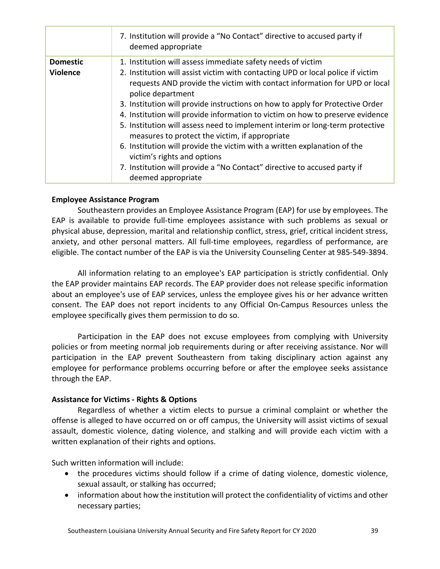|                 | 7. Institution will provide a "No Contact" directive to accused party if<br>deemed appropriate                                                                                                                                                                                                                                                                                                                                                                                                                                                                                                                                                                                                     |
|-----------------|----------------------------------------------------------------------------------------------------------------------------------------------------------------------------------------------------------------------------------------------------------------------------------------------------------------------------------------------------------------------------------------------------------------------------------------------------------------------------------------------------------------------------------------------------------------------------------------------------------------------------------------------------------------------------------------------------|
| <b>Domestic</b> | 1. Institution will assess immediate safety needs of victim                                                                                                                                                                                                                                                                                                                                                                                                                                                                                                                                                                                                                                        |
| <b>Violence</b> | 2. Institution will assist victim with contacting UPD or local police if victim<br>requests AND provide the victim with contact information for UPD or local<br>police department<br>3. Institution will provide instructions on how to apply for Protective Order<br>4. Institution will provide information to victim on how to preserve evidence<br>5. Institution will assess need to implement interim or long-term protective<br>measures to protect the victim, if appropriate<br>6. Institution will provide the victim with a written explanation of the<br>victim's rights and options<br>7. Institution will provide a "No Contact" directive to accused party if<br>deemed appropriate |

## **Employee Assistance Program**

Southeastern provides an Employee Assistance Program (EAP) for use by employees. The EAP is available to provide full-time employees assistance with such problems as sexual or physical abuse, depression, marital and relationship conflict, stress, grief, critical incident stress, anxiety, and other personal matters. All full-time employees, regardless of performance, are eligible. The contact number of the EAP is via the University Counseling Center at 985-549-3894.

All information relating to an employee's EAP participation is strictly confidential. Only the EAP provider maintains EAP records. The EAP provider does not release specific information about an employee's use of EAP services, unless the employee gives his or her advance written consent. The EAP does not report incidents to any Official On-Campus Resources unless the employee specifically gives them permission to do so.

Participation in the EAP does not excuse employees from complying with University policies or from meeting normal job requirements during or after receiving assistance. Nor will participation in the EAP prevent Southeastern from taking disciplinary action against any employee for performance problems occurring before or after the employee seeks assistance through the EAP.

## **Assistance for Victims - Rights & Options**

Regardless of whether a victim elects to pursue a criminal complaint or whether the offense is alleged to have occurred on or off campus, the University will assist victims of sexual assault, domestic violence, dating violence, and stalking and will provide each victim with a written explanation of their rights and options.

Such written information will include:

- the procedures victims should follow if a crime of dating violence, domestic violence, sexual assault, or stalking has occurred;
- information about how the institution will protect the confidentiality of victims and other necessary parties;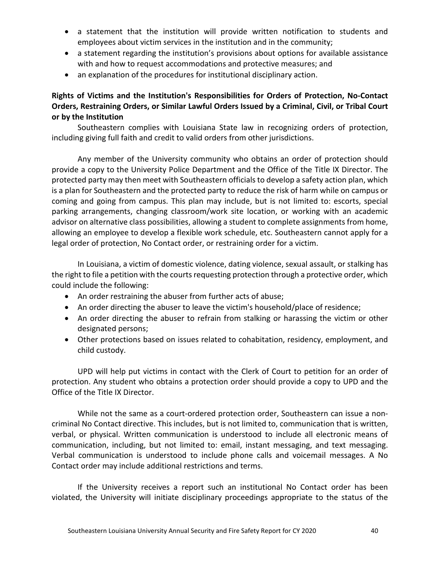- a statement that the institution will provide written notification to students and employees about victim services in the institution and in the community;
- a statement regarding the institution's provisions about options for available assistance with and how to request accommodations and protective measures; and
- an explanation of the procedures for institutional disciplinary action.

# **Rights of Victims and the Institution's Responsibilities for Orders of Protection, No-Contact Orders, Restraining Orders, or Similar Lawful Orders Issued by a Criminal, Civil, or Tribal Court or by the Institution**

Southeastern complies with Louisiana State law in recognizing orders of protection, including giving full faith and credit to valid orders from other jurisdictions.

Any member of the University community who obtains an order of protection should provide a copy to the University Police Department and the Office of the Title IX Director. The protected party may then meet with Southeastern officials to develop a safety action plan, which is a plan for Southeastern and the protected party to reduce the risk of harm while on campus or coming and going from campus. This plan may include, but is not limited to: escorts, special parking arrangements, changing classroom/work site location, or working with an academic advisor on alternative class possibilities, allowing a student to complete assignments from home, allowing an employee to develop a flexible work schedule, etc. Southeastern cannot apply for a legal order of protection, No Contact order, or restraining order for a victim.

In Louisiana, a victim of domestic violence, dating violence, sexual assault, or stalking has the right to file a petition with the courts requesting protection through a protective order, which could include the following:

- An order restraining the abuser from further acts of abuse;
- An order directing the abuser to leave the victim's household/place of residence;
- An order directing the abuser to refrain from stalking or harassing the victim or other designated persons;
- Other protections based on issues related to cohabitation, residency, employment, and child custody.

UPD will help put victims in contact with the Clerk of Court to petition for an order of protection. Any student who obtains a protection order should provide a copy to UPD and the Office of the Title IX Director.

While not the same as a court-ordered protection order, Southeastern can issue a noncriminal No Contact directive. This includes, but is not limited to, communication that is written, verbal, or physical. Written communication is understood to include all electronic means of communication, including, but not limited to: email, instant messaging, and text messaging. Verbal communication is understood to include phone calls and voicemail messages. A No Contact order may include additional restrictions and terms.

If the University receives a report such an institutional No Contact order has been violated, the University will initiate disciplinary proceedings appropriate to the status of the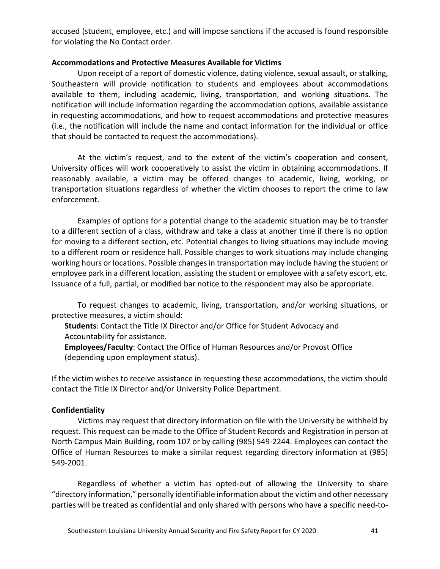accused (student, employee, etc.) and will impose sanctions if the accused is found responsible for violating the No Contact order.

## **Accommodations and Protective Measures Available for Victims**

Upon receipt of a report of domestic violence, dating violence, sexual assault, or stalking, Southeastern will provide notification to students and employees about accommodations available to them, including academic, living, transportation, and working situations. The notification will include information regarding the accommodation options, available assistance in requesting accommodations, and how to request accommodations and protective measures (i.e., the notification will include the name and contact information for the individual or office that should be contacted to request the accommodations).

At the victim's request, and to the extent of the victim's cooperation and consent, University offices will work cooperatively to assist the victim in obtaining accommodations. If reasonably available, a victim may be offered changes to academic, living, working, or transportation situations regardless of whether the victim chooses to report the crime to law enforcement.

Examples of options for a potential change to the academic situation may be to transfer to a different section of a class, withdraw and take a class at another time if there is no option for moving to a different section, etc. Potential changes to living situations may include moving to a different room or residence hall. Possible changes to work situations may include changing working hours or locations. Possible changes in transportation may include having the student or employee park in a different location, assisting the student or employee with a safety escort, etc. Issuance of a full, partial, or modified bar notice to the respondent may also be appropriate.

To request changes to academic, living, transportation, and/or working situations, or protective measures, a victim should:

**Students**: Contact the Title IX Director and/or Office for Student Advocacy and Accountability for assistance.

**Employees/Faculty**: Contact the Office of Human Resources and/or Provost Office (depending upon employment status).

If the victim wishes to receive assistance in requesting these accommodations, the victim should contact the Title IX Director and/or University Police Department.

#### **Confidentiality**

Victims may request that directory information on file with the University be withheld by request. This request can be made to the Office of Student Records and Registration in person at North Campus Main Building, room 107 or by calling (985) 549-2244. Employees can contact the Office of Human Resources to make a similar request regarding directory information at (985) 549-2001.

Regardless of whether a victim has opted-out of allowing the University to share "directory information," personally identifiable information about the victim and other necessary parties will be treated as confidential and only shared with persons who have a specific need-to-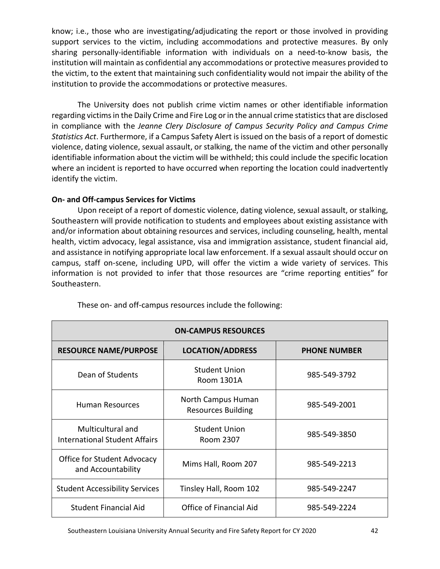know; i.e., those who are investigating/adjudicating the report or those involved in providing support services to the victim, including accommodations and protective measures. By only sharing personally-identifiable information with individuals on a need-to-know basis, the institution will maintain as confidential any accommodations or protective measures provided to the victim, to the extent that maintaining such confidentiality would not impair the ability of the institution to provide the accommodations or protective measures.

The University does not publish crime victim names or other identifiable information regarding victims in the Daily Crime and Fire Log or in the annual crime statistics that are disclosed in compliance with the *Jeanne Clery Disclosure of Campus Security Policy and Campus Crime Statistics Act*. Furthermore, if a Campus Safety Alert is issued on the basis of a report of domestic violence, dating violence, sexual assault, or stalking, the name of the victim and other personally identifiable information about the victim will be withheld; this could include the specific location where an incident is reported to have occurred when reporting the location could inadvertently identify the victim.

## **On- and Off-campus Services for Victims**

Upon receipt of a report of domestic violence, dating violence, sexual assault, or stalking, Southeastern will provide notification to students and employees about existing assistance with and/or information about obtaining resources and services, including counseling, health, mental health, victim advocacy, legal assistance, visa and immigration assistance, student financial aid, and assistance in notifying appropriate local law enforcement. If a sexual assault should occur on campus, staff on-scene, including UPD, will offer the victim a wide variety of services. This information is not provided to infer that those resources are "crime reporting entities" for Southeastern.

| <b>ON-CAMPUS RESOURCES</b>                                |                                                 |                     |  |  |  |
|-----------------------------------------------------------|-------------------------------------------------|---------------------|--|--|--|
| <b>RESOURCE NAME/PURPOSE</b>                              | <b>LOCATION/ADDRESS</b>                         | <b>PHONE NUMBER</b> |  |  |  |
| Dean of Students                                          | <b>Student Union</b><br>Room 1301A              | 985-549-3792        |  |  |  |
| <b>Human Resources</b>                                    | North Campus Human<br><b>Resources Building</b> | 985-549-2001        |  |  |  |
| Multicultural and<br><b>International Student Affairs</b> | <b>Student Union</b><br>Room 2307               | 985-549-3850        |  |  |  |
| Office for Student Advocacy<br>and Accountability         | Mims Hall, Room 207                             | 985-549-2213        |  |  |  |
| <b>Student Accessibility Services</b>                     | Tinsley Hall, Room 102                          | 985-549-2247        |  |  |  |
| Student Financial Aid                                     | <b>Office of Financial Aid</b>                  | 985-549-2224        |  |  |  |

These on- and off-campus resources include the following: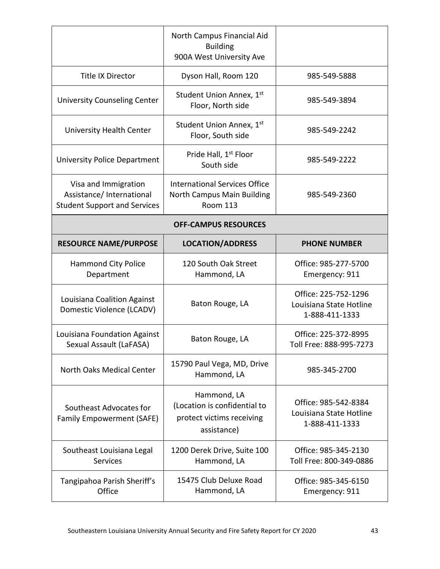|                                                                                          | North Campus Financial Aid<br><b>Building</b><br>900A West University Ave               |                                                                   |  |  |  |
|------------------------------------------------------------------------------------------|-----------------------------------------------------------------------------------------|-------------------------------------------------------------------|--|--|--|
| <b>Title IX Director</b>                                                                 | Dyson Hall, Room 120                                                                    | 985-549-5888                                                      |  |  |  |
| <b>University Counseling Center</b>                                                      | Student Union Annex, 1st<br>Floor, North side                                           | 985-549-3894                                                      |  |  |  |
| University Health Center                                                                 | Student Union Annex, 1st<br>Floor, South side                                           | 985-549-2242                                                      |  |  |  |
| <b>University Police Department</b>                                                      | Pride Hall, 1st Floor<br>South side                                                     | 985-549-2222                                                      |  |  |  |
| Visa and Immigration<br>Assistance/ International<br><b>Student Support and Services</b> | <b>International Services Office</b><br>North Campus Main Building<br><b>Room 113</b>   | 985-549-2360                                                      |  |  |  |
| <b>OFF-CAMPUS RESOURCES</b>                                                              |                                                                                         |                                                                   |  |  |  |
| <b>RESOURCE NAME/PURPOSE</b>                                                             | <b>LOCATION/ADDRESS</b>                                                                 | <b>PHONE NUMBER</b>                                               |  |  |  |
| <b>Hammond City Police</b><br>Department                                                 | 120 South Oak Street<br>Hammond, LA                                                     | Office: 985-277-5700<br>Emergency: 911                            |  |  |  |
| Louisiana Coalition Against<br>Domestic Violence (LCADV)                                 | Baton Rouge, LA                                                                         | Office: 225-752-1296<br>Louisiana State Hotline<br>1-888-411-1333 |  |  |  |
| Louisiana Foundation Against<br>Sexual Assault (LaFASA)                                  | Baton Rouge, LA                                                                         | Office: 225-372-8995<br>Toll Free: 888-995-7273                   |  |  |  |
| North Oaks Medical Center                                                                | 15790 Paul Vega, MD, Drive<br>Hammond, LA                                               | 985-345-2700                                                      |  |  |  |
| Southeast Advocates for<br>Family Empowerment (SAFE)                                     | Hammond, LA<br>(Location is confidential to<br>protect victims receiving<br>assistance) | Office: 985-542-8384<br>Louisiana State Hotline<br>1-888-411-1333 |  |  |  |
| Southeast Louisiana Legal<br><b>Services</b>                                             | 1200 Derek Drive, Suite 100<br>Hammond, LA                                              | Office: 985-345-2130<br>Toll Free: 800-349-0886                   |  |  |  |
| Tangipahoa Parish Sheriff's<br>Office                                                    | 15475 Club Deluxe Road<br>Hammond, LA                                                   | Office: 985-345-6150<br>Emergency: 911                            |  |  |  |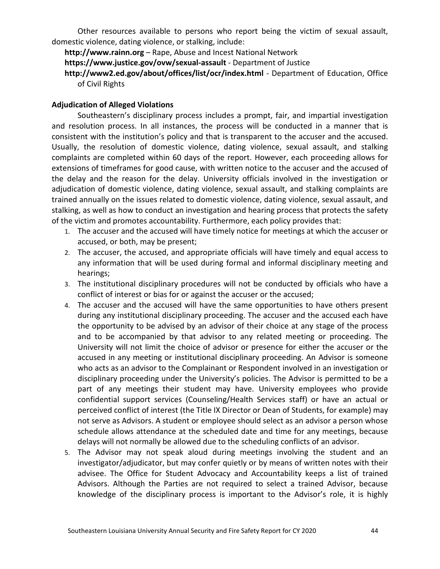Other resources available to persons who report being the victim of sexual assault, domestic violence, dating violence, or stalking, include:

**http://www.rainn.org** – Rape, Abuse and Incest National Network

**https://www.justice.gov/ovw/sexual-assault** - Department of Justice

**<http://www2.ed.gov/about/offices/list/ocr/index.html>** - Department of Education, Office of Civil Rights

## **Adjudication of Alleged Violations**

Southeastern's disciplinary process includes a prompt, fair, and impartial investigation and resolution process. In all instances, the process will be conducted in a manner that is consistent with the institution's policy and that is transparent to the accuser and the accused. Usually, the resolution of domestic violence, dating violence, sexual assault, and stalking complaints are completed within 60 days of the report. However, each proceeding allows for extensions of timeframes for good cause, with written notice to the accuser and the accused of the delay and the reason for the delay. University officials involved in the investigation or adjudication of domestic violence, dating violence, sexual assault, and stalking complaints are trained annually on the issues related to domestic violence, dating violence, sexual assault, and stalking, as well as how to conduct an investigation and hearing process that protects the safety of the victim and promotes accountability. Furthermore, each policy provides that:

- 1. The accuser and the accused will have timely notice for meetings at which the accuser or accused, or both, may be present;
- 2. The accuser, the accused, and appropriate officials will have timely and equal access to any information that will be used during formal and informal disciplinary meeting and hearings;
- 3. The institutional disciplinary procedures will not be conducted by officials who have a conflict of interest or bias for or against the accuser or the accused;
- 4. The accuser and the accused will have the same opportunities to have others present during any institutional disciplinary proceeding. The accuser and the accused each have the opportunity to be advised by an advisor of their choice at any stage of the process and to be accompanied by that advisor to any related meeting or proceeding. The University will not limit the choice of advisor or presence for either the accuser or the accused in any meeting or institutional disciplinary proceeding. An Advisor is someone who acts as an advisor to the Complainant or Respondent involved in an investigation or disciplinary proceeding under the University's policies. The Advisor is permitted to be a part of any meetings their student may have. University employees who provide confidential support services (Counseling/Health Services staff) or have an actual or perceived conflict of interest (the Title IX Director or Dean of Students, for example) may not serve as Advisors. A student or employee should select as an advisor a person whose schedule allows attendance at the scheduled date and time for any meetings, because delays will not normally be allowed due to the scheduling conflicts of an advisor.
- 5. The Advisor may not speak aloud during meetings involving the student and an investigator/adjudicator, but may confer quietly or by means of written notes with their advisee. The Office for Student Advocacy and Accountability keeps a list of trained Advisors. Although the Parties are not required to select a trained Advisor, because knowledge of the disciplinary process is important to the Advisor's role, it is highly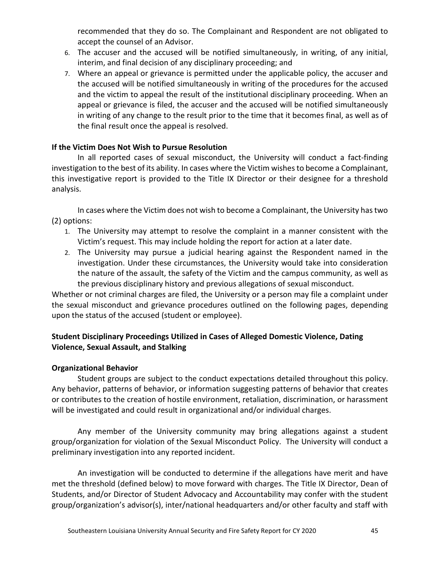recommended that they do so. The Complainant and Respondent are not obligated to accept the counsel of an Advisor.

- 6. The accuser and the accused will be notified simultaneously, in writing, of any initial, interim, and final decision of any disciplinary proceeding; and
- 7. Where an appeal or grievance is permitted under the applicable policy, the accuser and the accused will be notified simultaneously in writing of the procedures for the accused and the victim to appeal the result of the institutional disciplinary proceeding. When an appeal or grievance is filed, the accuser and the accused will be notified simultaneously in writing of any change to the result prior to the time that it becomes final, as well as of the final result once the appeal is resolved.

# **If the Victim Does Not Wish to Pursue Resolution**

In all reported cases of sexual misconduct, the University will conduct a fact-finding investigation to the best of its ability. In cases where the Victim wishes to become a Complainant, this investigative report is provided to the Title IX Director or their designee for a threshold analysis.

In cases where the Victim does not wish to become a Complainant, the University has two (2) options:

- 1. The University may attempt to resolve the complaint in a manner consistent with the Victim's request. This may include holding the report for action at a later date.
- 2. The University may pursue a judicial hearing against the Respondent named in the investigation. Under these circumstances, the University would take into consideration the nature of the assault, the safety of the Victim and the campus community, as well as the previous disciplinary history and previous allegations of sexual misconduct.

Whether or not criminal charges are filed, the University or a person may file a complaint under the sexual misconduct and grievance procedures outlined on the following pages, depending upon the status of the accused (student or employee).

# **Student Disciplinary Proceedings Utilized in Cases of Alleged Domestic Violence, Dating Violence, Sexual Assault, and Stalking**

## **Organizational Behavior**

Student groups are subject to the conduct expectations detailed throughout this policy. Any behavior, patterns of behavior, or information suggesting patterns of behavior that creates or contributes to the creation of hostile environment, retaliation, discrimination, or harassment will be investigated and could result in organizational and/or individual charges.

Any member of the University community may bring allegations against a student group/organization for violation of the Sexual Misconduct Policy. The University will conduct a preliminary investigation into any reported incident.

An investigation will be conducted to determine if the allegations have merit and have met the threshold (defined below) to move forward with charges. The Title IX Director, Dean of Students, and/or Director of Student Advocacy and Accountability may confer with the student group/organization's advisor(s), inter/national headquarters and/or other faculty and staff with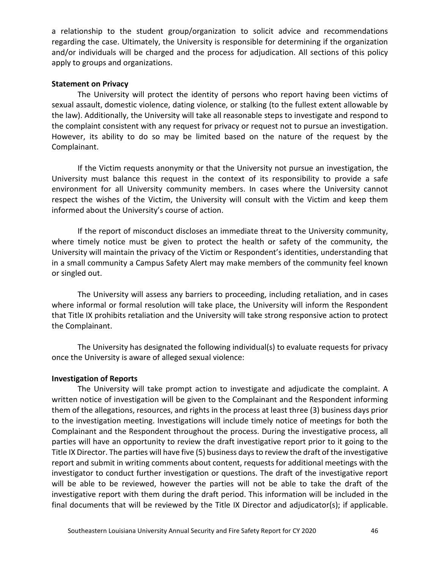a relationship to the student group/organization to solicit advice and recommendations regarding the case. Ultimately, the University is responsible for determining if the organization and/or individuals will be charged and the process for adjudication. All sections of this policy apply to groups and organizations.

#### **Statement on Privacy**

The University will protect the identity of persons who report having been victims of sexual assault, domestic violence, dating violence, or stalking (to the fullest extent allowable by the law). Additionally, the University will take all reasonable steps to investigate and respond to the complaint consistent with any request for privacy or request not to pursue an investigation. However, its ability to do so may be limited based on the nature of the request by the Complainant.

If the Victim requests anonymity or that the University not pursue an investigation, the University must balance this request in the context of its responsibility to provide a safe environment for all University community members. In cases where the University cannot respect the wishes of the Victim, the University will consult with the Victim and keep them informed about the University's course of action.

If the report of misconduct discloses an immediate threat to the University community, where timely notice must be given to protect the health or safety of the community, the University will maintain the privacy of the Victim or Respondent's identities, understanding that in a small community a Campus Safety Alert may make members of the community feel known or singled out.

The University will assess any barriers to proceeding, including retaliation, and in cases where informal or formal resolution will take place, the University will inform the Respondent that Title IX prohibits retaliation and the University will take strong responsive action to protect the Complainant.

The University has designated the following individual(s) to evaluate requests for privacy once the University is aware of alleged sexual violence:

#### **Investigation of Reports**

The University will take prompt action to investigate and adjudicate the complaint. A written notice of investigation will be given to the Complainant and the Respondent informing them of the allegations, resources, and rights in the process at least three (3) business days prior to the investigation meeting. Investigations will include timely notice of meetings for both the Complainant and the Respondent throughout the process. During the investigative process, all parties will have an opportunity to review the draft investigative report prior to it going to the Title IX Director. The parties will have five (5) business days to review the draft of the investigative report and submit in writing comments about content, requests for additional meetings with the investigator to conduct further investigation or questions. The draft of the investigative report will be able to be reviewed, however the parties will not be able to take the draft of the investigative report with them during the draft period. This information will be included in the final documents that will be reviewed by the Title IX Director and adjudicator(s); if applicable.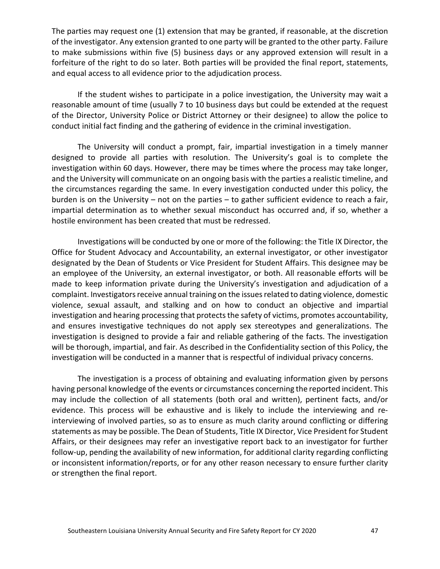The parties may request one (1) extension that may be granted, if reasonable, at the discretion of the investigator. Any extension granted to one party will be granted to the other party. Failure to make submissions within five (5) business days or any approved extension will result in a forfeiture of the right to do so later. Both parties will be provided the final report, statements, and equal access to all evidence prior to the adjudication process.

If the student wishes to participate in a police investigation, the University may wait a reasonable amount of time (usually 7 to 10 business days but could be extended at the request of the Director, University Police or District Attorney or their designee) to allow the police to conduct initial fact finding and the gathering of evidence in the criminal investigation.

The University will conduct a prompt, fair, impartial investigation in a timely manner designed to provide all parties with resolution. The University's goal is to complete the investigation within 60 days. However, there may be times where the process may take longer, and the University will communicate on an ongoing basis with the parties a realistic timeline, and the circumstances regarding the same. In every investigation conducted under this policy, the burden is on the University – not on the parties – to gather sufficient evidence to reach a fair, impartial determination as to whether sexual misconduct has occurred and, if so, whether a hostile environment has been created that must be redressed.

Investigations will be conducted by one or more of the following: the Title IX Director, the Office for Student Advocacy and Accountability, an external investigator, or other investigator designated by the Dean of Students or Vice President for Student Affairs. This designee may be an employee of the University, an external investigator, or both. All reasonable efforts will be made to keep information private during the University's investigation and adjudication of a complaint. Investigators receive annual training on the issues related to dating violence, domestic violence, sexual assault, and stalking and on how to conduct an objective and impartial investigation and hearing processing that protects the safety of victims, promotes accountability, and ensures investigative techniques do not apply sex stereotypes and generalizations. The investigation is designed to provide a fair and reliable gathering of the facts. The investigation will be thorough, impartial, and fair. As described in the Confidentiality section of this Policy, the investigation will be conducted in a manner that is respectful of individual privacy concerns.

The investigation is a process of obtaining and evaluating information given by persons having personal knowledge of the events or circumstances concerning the reported incident. This may include the collection of all statements (both oral and written), pertinent facts, and/or evidence. This process will be exhaustive and is likely to include the interviewing and reinterviewing of involved parties, so as to ensure as much clarity around conflicting or differing statements as may be possible. The Dean of Students, Title IX Director, Vice President for Student Affairs, or their designees may refer an investigative report back to an investigator for further follow-up, pending the availability of new information, for additional clarity regarding conflicting or inconsistent information/reports, or for any other reason necessary to ensure further clarity or strengthen the final report.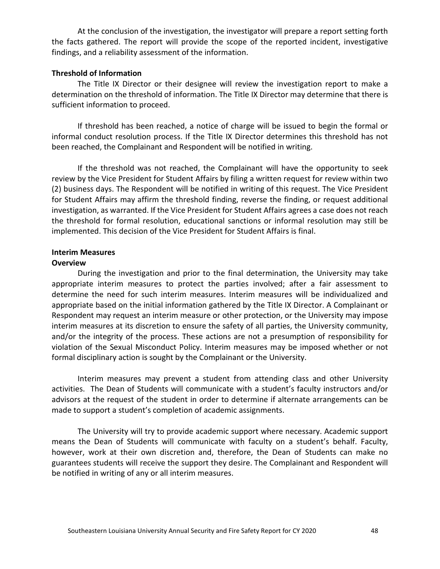At the conclusion of the investigation, the investigator will prepare a report setting forth the facts gathered. The report will provide the scope of the reported incident, investigative findings, and a reliability assessment of the information.

#### **Threshold of Information**

The Title IX Director or their designee will review the investigation report to make a determination on the threshold of information. The Title IX Director may determine that there is sufficient information to proceed.

If threshold has been reached, a notice of charge will be issued to begin the formal or informal conduct resolution process. If the Title IX Director determines this threshold has not been reached, the Complainant and Respondent will be notified in writing.

If the threshold was not reached, the Complainant will have the opportunity to seek review by the Vice President for Student Affairs by filing a written request for review within two (2) business days. The Respondent will be notified in writing of this request. The Vice President for Student Affairs may affirm the threshold finding, reverse the finding, or request additional investigation, as warranted. If the Vice President for Student Affairs agrees a case does not reach the threshold for formal resolution, educational sanctions or informal resolution may still be implemented. This decision of the Vice President for Student Affairs is final.

#### **Interim Measures**

#### **Overview**

During the investigation and prior to the final determination, the University may take appropriate interim measures to protect the parties involved; after a fair assessment to determine the need for such interim measures. Interim measures will be individualized and appropriate based on the initial information gathered by the Title IX Director. A Complainant or Respondent may request an interim measure or other protection, or the University may impose interim measures at its discretion to ensure the safety of all parties, the University community, and/or the integrity of the process. These actions are not a presumption of responsibility for violation of the Sexual Misconduct Policy. Interim measures may be imposed whether or not formal disciplinary action is sought by the Complainant or the University.

Interim measures may prevent a student from attending class and other University activities. The Dean of Students will communicate with a student's faculty instructors and/or advisors at the request of the student in order to determine if alternate arrangements can be made to support a student's completion of academic assignments.

The University will try to provide academic support where necessary. Academic support means the Dean of Students will communicate with faculty on a student's behalf. Faculty, however, work at their own discretion and, therefore, the Dean of Students can make no guarantees students will receive the support they desire. The Complainant and Respondent will be notified in writing of any or all interim measures.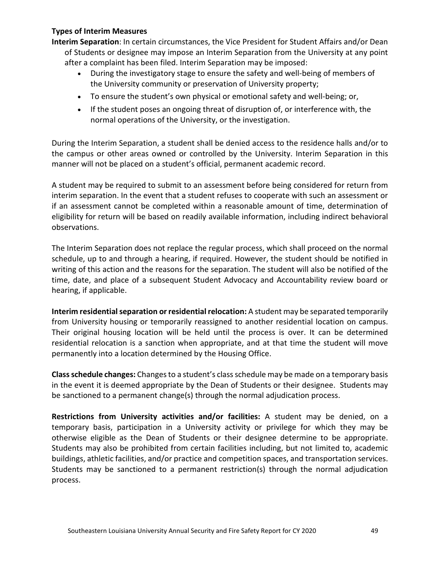## **Types of Interim Measures**

**Interim Separation**: In certain circumstances, the Vice President for Student Affairs and/or Dean of Students or designee may impose an Interim Separation from the University at any point after a complaint has been filed. Interim Separation may be imposed:

- During the investigatory stage to ensure the safety and well-being of members of the University community or preservation of University property;
- To ensure the student's own physical or emotional safety and well-being; or,
- If the student poses an ongoing threat of disruption of, or interference with, the normal operations of the University, or the investigation.

During the Interim Separation, a student shall be denied access to the residence halls and/or to the campus or other areas owned or controlled by the University. Interim Separation in this manner will not be placed on a student's official, permanent academic record.

A student may be required to submit to an assessment before being considered for return from interim separation. In the event that a student refuses to cooperate with such an assessment or if an assessment cannot be completed within a reasonable amount of time, determination of eligibility for return will be based on readily available information, including indirect behavioral observations.

The Interim Separation does not replace the regular process, which shall proceed on the normal schedule, up to and through a hearing, if required. However, the student should be notified in writing of this action and the reasons for the separation. The student will also be notified of the time, date, and place of a subsequent Student Advocacy and Accountability review board or hearing, if applicable.

**Interim residential separation or residential relocation:** A student may be separated temporarily from University housing or temporarily reassigned to another residential location on campus. Their original housing location will be held until the process is over. It can be determined residential relocation is a sanction when appropriate, and at that time the student will move permanently into a location determined by the Housing Office.

**Class schedule changes:** Changes to a student's class schedule may be made on a temporary basis in the event it is deemed appropriate by the Dean of Students or their designee. Students may be sanctioned to a permanent change(s) through the normal adjudication process.

**Restrictions from University activities and/or facilities:** A student may be denied, on a temporary basis, participation in a University activity or privilege for which they may be otherwise eligible as the Dean of Students or their designee determine to be appropriate. Students may also be prohibited from certain facilities including, but not limited to, academic buildings, athletic facilities, and/or practice and competition spaces, and transportation services. Students may be sanctioned to a permanent restriction(s) through the normal adjudication process.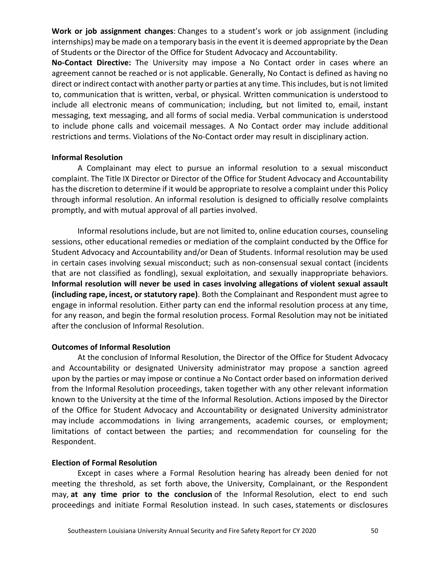**Work or job assignment changes**: Changes to a student's work or job assignment (including internships) may be made on a temporary basis in the event it is deemed appropriate by the Dean of Students or the Director of the Office for Student Advocacy and Accountability.

**No-Contact Directive:** The University may impose a No Contact order in cases where an agreement cannot be reached or is not applicable. Generally, No Contact is defined as having no direct or indirect contact with another party or parties at any time. This includes, but is not limited to, communication that is written, verbal, or physical. Written communication is understood to include all electronic means of communication; including, but not limited to, email, instant messaging, text messaging, and all forms of social media. Verbal communication is understood to include phone calls and voicemail messages. A No Contact order may include additional restrictions and terms. Violations of the No-Contact order may result in disciplinary action.

#### **Informal Resolution**

A Complainant may elect to pursue an informal resolution to a sexual misconduct complaint. The Title IX Director or Director of the Office for Student Advocacy and Accountability has the discretion to determine if it would be appropriate to resolve a complaint under this Policy through informal resolution. An informal resolution is designed to officially resolve complaints promptly, and with mutual approval of all parties involved.

Informal resolutions include, but are not limited to, online education courses, counseling sessions, other educational remedies or mediation of the complaint conducted by the Office for Student Advocacy and Accountability and/or Dean of Students. Informal resolution may be used in certain cases involving sexual misconduct; such as non-consensual sexual contact (incidents that are not classified as fondling), sexual exploitation, and sexually inappropriate behaviors. **Informal resolution will never be used in cases involving allegations of violent sexual assault (including rape, incest, or statutory rape)**. Both the Complainant and Respondent must agree to engage in informal resolution. Either party can end the informal resolution process at any time, for any reason, and begin the formal resolution process. Formal Resolution may not be initiated after the conclusion of Informal Resolution.

## **Outcomes of Informal Resolution**

At the conclusion of Informal Resolution, the Director of the Office for Student Advocacy and Accountability or designated University administrator may propose a sanction agreed upon by the parties or may impose or continue a No Contact order based on information derived from the Informal Resolution proceedings, taken together with any other relevant information known to the University at the time of the Informal Resolution. Actions imposed by the Director of the Office for Student Advocacy and Accountability or designated University administrator may include accommodations in living arrangements, academic courses, or employment; limitations of contact between the parties; and recommendation for counseling for the Respondent.

## **Election of Formal Resolution**

Except in cases where a Formal Resolution hearing has already been denied for not meeting the threshold, as set forth above, the University, Complainant, or the Respondent may, **at any time prior to the conclusion** of the Informal Resolution, elect to end such proceedings and initiate Formal Resolution instead. In such cases, statements or disclosures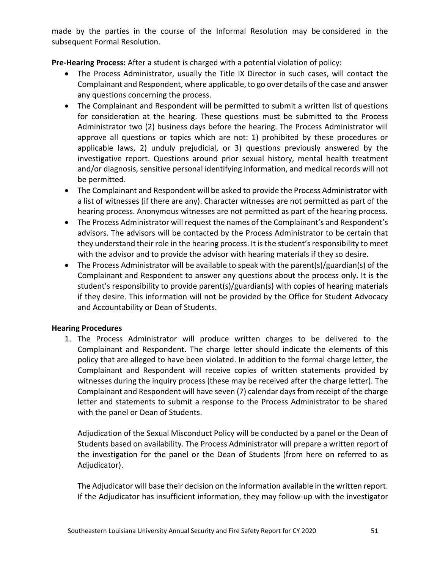made by the parties in the course of the Informal Resolution may be considered in the subsequent Formal Resolution.

**Pre-Hearing Process:** After a student is charged with a potential violation of policy:

- The Process Administrator, usually the Title IX Director in such cases, will contact the Complainant and Respondent, where applicable, to go over details of the case and answer any questions concerning the process.
- The Complainant and Respondent will be permitted to submit a written list of questions for consideration at the hearing. These questions must be submitted to the Process Administrator two (2) business days before the hearing. The Process Administrator will approve all questions or topics which are not: 1) prohibited by these procedures or applicable laws, 2) unduly prejudicial, or 3) questions previously answered by the investigative report. Questions around prior sexual history, mental health treatment and/or diagnosis, sensitive personal identifying information, and medical records will not be permitted.
- The Complainant and Respondent will be asked to provide the Process Administrator with a list of witnesses (if there are any). Character witnesses are not permitted as part of the hearing process. Anonymous witnesses are not permitted as part of the hearing process.
- The Process Administrator will request the names of the Complainant's and Respondent's advisors. The advisors will be contacted by the Process Administrator to be certain that they understand their role in the hearing process. It is the student's responsibility to meet with the advisor and to provide the advisor with hearing materials if they so desire.
- The Process Administrator will be available to speak with the parent(s)/guardian(s) of the Complainant and Respondent to answer any questions about the process only. It is the student's responsibility to provide parent(s)/guardian(s) with copies of hearing materials if they desire. This information will not be provided by the Office for Student Advocacy and Accountability or Dean of Students.

# **Hearing Procedures**

1. The Process Administrator will produce written charges to be delivered to the Complainant and Respondent. The charge letter should indicate the elements of this policy that are alleged to have been violated. In addition to the formal charge letter, the Complainant and Respondent will receive copies of written statements provided by witnesses during the inquiry process (these may be received after the charge letter). The Complainant and Respondent will have seven (7) calendar days from receipt of the charge letter and statements to submit a response to the Process Administrator to be shared with the panel or Dean of Students.

Adjudication of the Sexual Misconduct Policy will be conducted by a panel or the Dean of Students based on availability. The Process Administrator will prepare a written report of the investigation for the panel or the Dean of Students (from here on referred to as Adjudicator).

The Adjudicator will base their decision on the information available in the written report. If the Adjudicator has insufficient information, they may follow-up with the investigator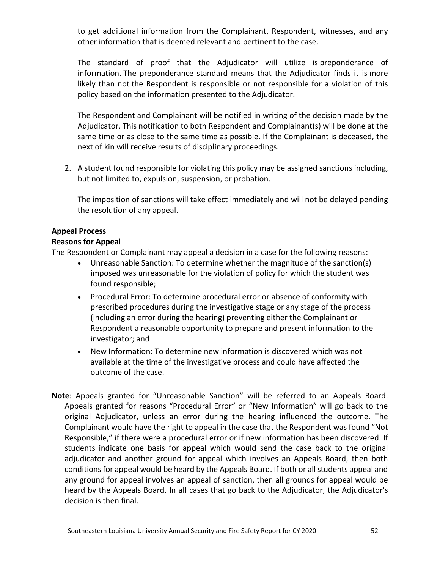to get additional information from the Complainant, Respondent, witnesses, and any other information that is deemed relevant and pertinent to the case.

The standard of proof that the Adjudicator will utilize is preponderance of information. The preponderance standard means that the Adjudicator finds it is more likely than not the Respondent is responsible or not responsible for a violation of this policy based on the information presented to the Adjudicator.

The Respondent and Complainant will be notified in writing of the decision made by the Adjudicator. This notification to both Respondent and Complainant(s) will be done at the same time or as close to the same time as possible. If the Complainant is deceased, the next of kin will receive results of disciplinary proceedings.

2. A student found responsible for violating this policy may be assigned sanctions including, but not limited to, expulsion, suspension, or probation.

The imposition of sanctions will take effect immediately and will not be delayed pending the resolution of any appeal.

## **Appeal Process**

## **Reasons for Appeal**

The Respondent or Complainant may appeal a decision in a case for the following reasons:

- Unreasonable Sanction: To determine whether the magnitude of the sanction(s) imposed was unreasonable for the violation of policy for which the student was found responsible;
- Procedural Error: To determine procedural error or absence of conformity with prescribed procedures during the investigative stage or any stage of the process (including an error during the hearing) preventing either the Complainant or Respondent a reasonable opportunity to prepare and present information to the investigator; and
- New Information: To determine new information is discovered which was not available at the time of the investigative process and could have affected the outcome of the case.
- **Note**: Appeals granted for "Unreasonable Sanction" will be referred to an Appeals Board. Appeals granted for reasons "Procedural Error" or "New Information" will go back to the original Adjudicator, unless an error during the hearing influenced the outcome. The Complainant would have the right to appeal in the case that the Respondent was found "Not Responsible," if there were a procedural error or if new information has been discovered. If students indicate one basis for appeal which would send the case back to the original adjudicator and another ground for appeal which involves an Appeals Board, then both conditions for appeal would be heard by the Appeals Board. If both or all students appeal and any ground for appeal involves an appeal of sanction, then all grounds for appeal would be heard by the Appeals Board. In all cases that go back to the Adjudicator, the Adjudicator's decision is then final.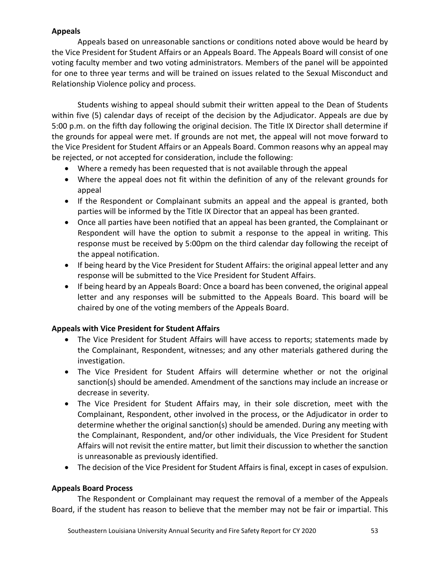# **Appeals**

Appeals based on unreasonable sanctions or conditions noted above would be heard by the Vice President for Student Affairs or an Appeals Board. The Appeals Board will consist of one voting faculty member and two voting administrators. Members of the panel will be appointed for one to three year terms and will be trained on issues related to the Sexual Misconduct and Relationship Violence policy and process.

Students wishing to appeal should submit their written appeal to the Dean of Students within five (5) calendar days of receipt of the decision by the Adjudicator. Appeals are due by 5:00 p.m. on the fifth day following the original decision. The Title IX Director shall determine if the grounds for appeal were met. If grounds are not met, the appeal will not move forward to the Vice President for Student Affairs or an Appeals Board. Common reasons why an appeal may be rejected, or not accepted for consideration, include the following:

- Where a remedy has been requested that is not available through the appeal
- Where the appeal does not fit within the definition of any of the relevant grounds for appeal
- If the Respondent or Complainant submits an appeal and the appeal is granted, both parties will be informed by the Title IX Director that an appeal has been granted.
- Once all parties have been notified that an appeal has been granted, the Complainant or Respondent will have the option to submit a response to the appeal in writing. This response must be received by 5:00pm on the third calendar day following the receipt of the appeal notification.
- If being heard by the Vice President for Student Affairs: the original appeal letter and any response will be submitted to the Vice President for Student Affairs.
- If being heard by an Appeals Board: Once a board has been convened, the original appeal letter and any responses will be submitted to the Appeals Board. This board will be chaired by one of the voting members of the Appeals Board.

# **Appeals with Vice President for Student Affairs**

- The Vice President for Student Affairs will have access to reports; statements made by the Complainant, Respondent, witnesses; and any other materials gathered during the investigation.
- The Vice President for Student Affairs will determine whether or not the original sanction(s) should be amended. Amendment of the sanctions may include an increase or decrease in severity.
- The Vice President for Student Affairs may, in their sole discretion, meet with the Complainant, Respondent, other involved in the process, or the Adjudicator in order to determine whether the original sanction(s) should be amended. During any meeting with the Complainant, Respondent, and/or other individuals, the Vice President for Student Affairs will not revisit the entire matter, but limit their discussion to whether the sanction is unreasonable as previously identified.
- The decision of the Vice President for Student Affairs is final, except in cases of expulsion.

## **Appeals Board Process**

The Respondent or Complainant may request the removal of a member of the Appeals Board, if the student has reason to believe that the member may not be fair or impartial. This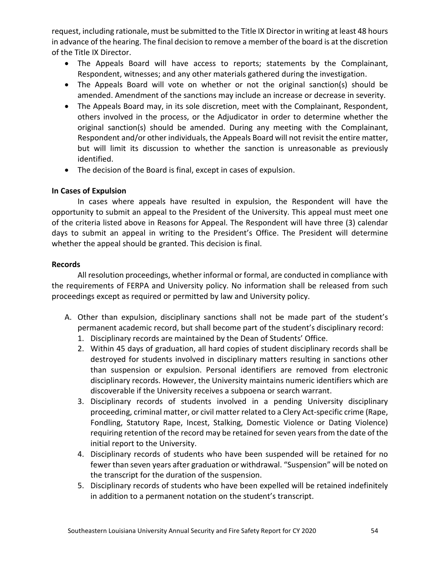request, including rationale, must be submitted to the Title IX Director in writing at least 48 hours in advance of the hearing. The final decision to remove a member of the board is at the discretion of the Title IX Director.

- The Appeals Board will have access to reports; statements by the Complainant, Respondent, witnesses; and any other materials gathered during the investigation.
- The Appeals Board will vote on whether or not the original sanction(s) should be amended. Amendment of the sanctions may include an increase or decrease in severity.
- The Appeals Board may, in its sole discretion, meet with the Complainant, Respondent, others involved in the process, or the Adjudicator in order to determine whether the original sanction(s) should be amended. During any meeting with the Complainant, Respondent and/or other individuals, the Appeals Board will not revisit the entire matter, but will limit its discussion to whether the sanction is unreasonable as previously identified.
- The decision of the Board is final, except in cases of expulsion.

# **In Cases of Expulsion**

In cases where appeals have resulted in expulsion, the Respondent will have the opportunity to submit an appeal to the President of the University. This appeal must meet one of the criteria listed above in Reasons for Appeal. The Respondent will have three (3) calendar days to submit an appeal in writing to the President's Office. The President will determine whether the appeal should be granted. This decision is final.

## **Records**

All resolution proceedings, whether informal or formal, are conducted in compliance with the requirements of FERPA and University policy. No information shall be released from such proceedings except as required or permitted by law and University policy.

- A. Other than expulsion, disciplinary sanctions shall not be made part of the student's permanent academic record, but shall become part of the student's disciplinary record:
	- 1. Disciplinary records are maintained by the Dean of Students' Office.
	- 2. Within 45 days of graduation, all hard copies of student disciplinary records shall be destroyed for students involved in disciplinary matters resulting in sanctions other than suspension or expulsion. Personal identifiers are removed from electronic disciplinary records. However, the University maintains numeric identifiers which are discoverable if the University receives a subpoena or search warrant.
	- 3. Disciplinary records of students involved in a pending University disciplinary proceeding, criminal matter, or civil matter related to a Clery Act-specific crime (Rape, Fondling, Statutory Rape, Incest, Stalking, Domestic Violence or Dating Violence) requiring retention of the record may be retained for seven years from the date of the initial report to the University.
	- 4. Disciplinary records of students who have been suspended will be retained for no fewer than seven years after graduation or withdrawal. "Suspension" will be noted on the transcript for the duration of the suspension.
	- 5. Disciplinary records of students who have been expelled will be retained indefinitely in addition to a permanent notation on the student's transcript.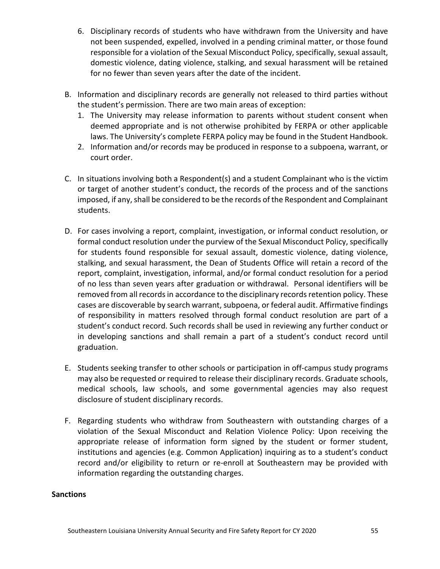- 6. Disciplinary records of students who have withdrawn from the University and have not been suspended, expelled, involved in a pending criminal matter, or those found responsible for a violation of the Sexual Misconduct Policy, specifically, sexual assault, domestic violence, dating violence, stalking, and sexual harassment will be retained for no fewer than seven years after the date of the incident.
- B. Information and disciplinary records are generally not released to third parties without the student's permission. There are two main areas of exception:
	- 1. The University may release information to parents without student consent when deemed appropriate and is not otherwise prohibited by FERPA or other applicable laws. The University's complete FERPA policy may be found in the Student Handbook.
	- 2. Information and/or records may be produced in response to a subpoena, warrant, or court order.
- C. In situations involving both a Respondent(s) and a student Complainant who is the victim or target of another student's conduct, the records of the process and of the sanctions imposed, if any, shall be considered to be the records of the Respondent and Complainant students.
- D. For cases involving a report, complaint, investigation, or informal conduct resolution, or formal conduct resolution under the purview of the Sexual Misconduct Policy, specifically for students found responsible for sexual assault, domestic violence, dating violence, stalking, and sexual harassment, the Dean of Students Office will retain a record of the report, complaint, investigation, informal, and/or formal conduct resolution for a period of no less than seven years after graduation or withdrawal. Personal identifiers will be removed from all records in accordance to the disciplinary records retention policy. These cases are discoverable by search warrant, subpoena, or federal audit. Affirmative findings of responsibility in matters resolved through formal conduct resolution are part of a student's conduct record. Such records shall be used in reviewing any further conduct or in developing sanctions and shall remain a part of a student's conduct record until graduation.
- E. Students seeking transfer to other schools or participation in off-campus study programs may also be requested or required to release their disciplinary records. Graduate schools, medical schools, law schools, and some governmental agencies may also request disclosure of student disciplinary records.
- F. Regarding students who withdraw from Southeastern with outstanding charges of a violation of the Sexual Misconduct and Relation Violence Policy: Upon receiving the appropriate release of information form signed by the student or former student, institutions and agencies (e.g. Common Application) inquiring as to a student's conduct record and/or eligibility to return or re-enroll at Southeastern may be provided with information regarding the outstanding charges.

## **Sanctions**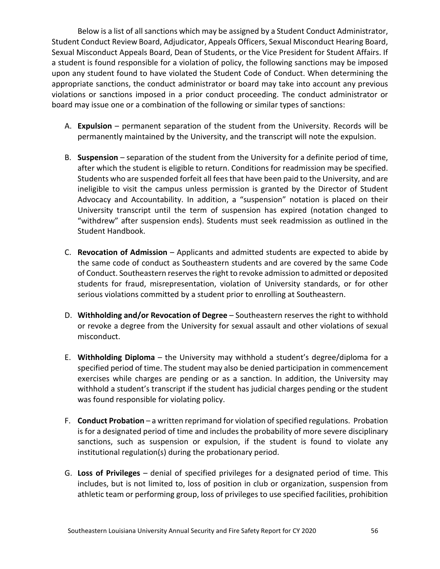Below is a list of all sanctions which may be assigned by a Student Conduct Administrator, Student Conduct Review Board, Adjudicator, Appeals Officers, Sexual Misconduct Hearing Board, Sexual Misconduct Appeals Board, Dean of Students, or the Vice President for Student Affairs. If a student is found responsible for a violation of policy, the following sanctions may be imposed upon any student found to have violated the Student Code of Conduct. When determining the appropriate sanctions, the conduct administrator or board may take into account any previous violations or sanctions imposed in a prior conduct proceeding. The conduct administrator or board may issue one or a combination of the following or similar types of sanctions:

- A. **Expulsion** permanent separation of the student from the University. Records will be permanently maintained by the University, and the transcript will note the expulsion.
- B. **Suspension** separation of the student from the University for a definite period of time, after which the student is eligible to return. Conditions for readmission may be specified. Students who are suspended forfeit all fees that have been paid to the University, and are ineligible to visit the campus unless permission is granted by the Director of Student Advocacy and Accountability. In addition, a "suspension" notation is placed on their University transcript until the term of suspension has expired (notation changed to "withdrew" after suspension ends). Students must seek readmission as outlined in the Student Handbook.
- C. **Revocation of Admission** Applicants and admitted students are expected to abide by the same code of conduct as Southeastern students and are covered by the same Code of Conduct. Southeastern reserves the right to revoke admission to admitted or deposited students for fraud, misrepresentation, violation of University standards, or for other serious violations committed by a student prior to enrolling at Southeastern.
- D. **Withholding and/or Revocation of Degree** Southeastern reserves the right to withhold or revoke a degree from the University for sexual assault and other violations of sexual misconduct.
- E. **Withholding Diploma** the University may withhold a student's degree/diploma for a specified period of time. The student may also be denied participation in commencement exercises while charges are pending or as a sanction. In addition, the University may withhold a student's transcript if the student has judicial charges pending or the student was found responsible for violating policy.
- F. **Conduct Probation** a written reprimand for violation of specified regulations. Probation is for a designated period of time and includes the probability of more severe disciplinary sanctions, such as suspension or expulsion, if the student is found to violate any institutional regulation(s) during the probationary period.
- G. **Loss of Privileges** denial of specified privileges for a designated period of time. This includes, but is not limited to, loss of position in club or organization, suspension from athletic team or performing group, loss of privileges to use specified facilities, prohibition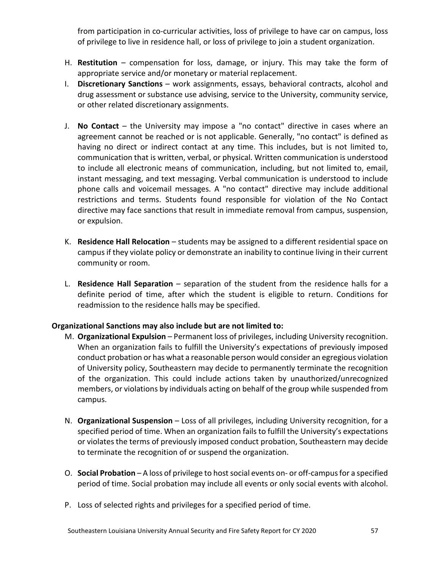from participation in co-curricular activities, loss of privilege to have car on campus, loss of privilege to live in residence hall, or loss of privilege to join a student organization.

- H. **Restitution** compensation for loss, damage, or injury. This may take the form of appropriate service and/or monetary or material replacement.
- I. **Discretionary Sanctions** work assignments, essays, behavioral contracts, alcohol and drug assessment or substance use advising, service to the University, community service, or other related discretionary assignments.
- J. **No Contact**  the University may impose a "no contact" directive in cases where an agreement cannot be reached or is not applicable. Generally, "no contact" is defined as having no direct or indirect contact at any time. This includes, but is not limited to, communication that is written, verbal, or physical. Written communication is understood to include all electronic means of communication, including, but not limited to, email, instant messaging, and text messaging. Verbal communication is understood to include phone calls and voicemail messages. A "no contact" directive may include additional restrictions and terms. Students found responsible for violation of the No Contact directive may face sanctions that result in immediate removal from campus, suspension, or expulsion.
- K. **Residence Hall Relocation** students may be assigned to a different residential space on campus if they violate policy or demonstrate an inability to continue living in their current community or room.
- L. **Residence Hall Separation** separation of the student from the residence halls for a definite period of time, after which the student is eligible to return. Conditions for readmission to the residence halls may be specified.

# **Organizational Sanctions may also include but are not limited to:**

- M. **Organizational Expulsion** Permanent loss of privileges, including University recognition. When an organization fails to fulfill the University's expectations of previously imposed conduct probation or has what a reasonable person would consider an egregious violation of University policy, Southeastern may decide to permanently terminate the recognition of the organization. This could include actions taken by unauthorized/unrecognized members, or violations by individuals acting on behalf of the group while suspended from campus.
- N. **Organizational Suspension** Loss of all privileges, including University recognition, for a specified period of time. When an organization fails to fulfill the University's expectations or violates the terms of previously imposed conduct probation, Southeastern may decide to terminate the recognition of or suspend the organization.
- O. **Social Probation** A loss of privilege to host social events on- or off-campus for a specified period of time. Social probation may include all events or only social events with alcohol.
- P. Loss of selected rights and privileges for a specified period of time.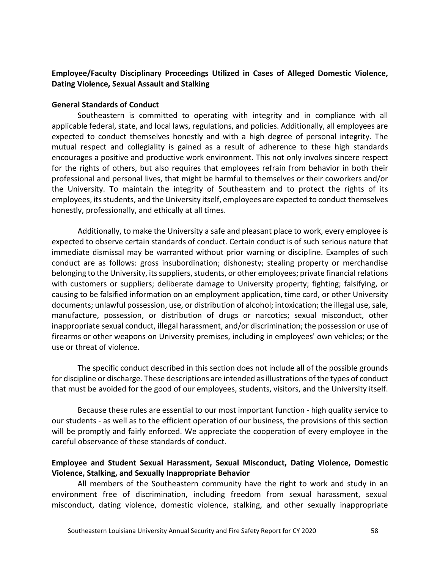# **Employee/Faculty Disciplinary Proceedings Utilized in Cases of Alleged Domestic Violence, Dating Violence, Sexual Assault and Stalking**

## **General Standards of Conduct**

Southeastern is committed to operating with integrity and in compliance with all applicable federal, state, and local laws, regulations, and policies. Additionally, all employees are expected to conduct themselves honestly and with a high degree of personal integrity. The mutual respect and collegiality is gained as a result of adherence to these high standards encourages a positive and productive work environment. This not only involves sincere respect for the rights of others, but also requires that employees refrain from behavior in both their professional and personal lives, that might be harmful to themselves or their coworkers and/or the University. To maintain the integrity of Southeastern and to protect the rights of its employees, its students, and the University itself, employees are expected to conduct themselves honestly, professionally, and ethically at all times.

Additionally, to make the University a safe and pleasant place to work, every employee is expected to observe certain standards of conduct. Certain conduct is of such serious nature that immediate dismissal may be warranted without prior warning or discipline. Examples of such conduct are as follows: gross insubordination; dishonesty; stealing property or merchandise belonging to the University, its suppliers, students, or other employees; private financial relations with customers or suppliers; deliberate damage to University property; fighting; falsifying, or causing to be falsified information on an employment application, time card, or other University documents; unlawful possession, use, or distribution of alcohol; intoxication; the illegal use, sale, manufacture, possession, or distribution of drugs or narcotics; sexual misconduct, other inappropriate sexual conduct, illegal harassment, and/or discrimination; the possession or use of firearms or other weapons on University premises, including in employees' own vehicles; or the use or threat of violence.

The specific conduct described in this section does not include all of the possible grounds for discipline or discharge. These descriptions are intended as illustrations of the types of conduct that must be avoided for the good of our employees, students, visitors, and the University itself.

Because these rules are essential to our most important function - high quality service to our students - as well as to the efficient operation of our business, the provisions of this section will be promptly and fairly enforced. We appreciate the cooperation of every employee in the careful observance of these standards of conduct.

# **Employee and Student Sexual Harassment, Sexual Misconduct, Dating Violence, Domestic Violence, Stalking, and Sexually Inappropriate Behavior**

All members of the Southeastern community have the right to work and study in an environment free of discrimination, including freedom from sexual harassment, sexual misconduct, dating violence, domestic violence, stalking, and other sexually inappropriate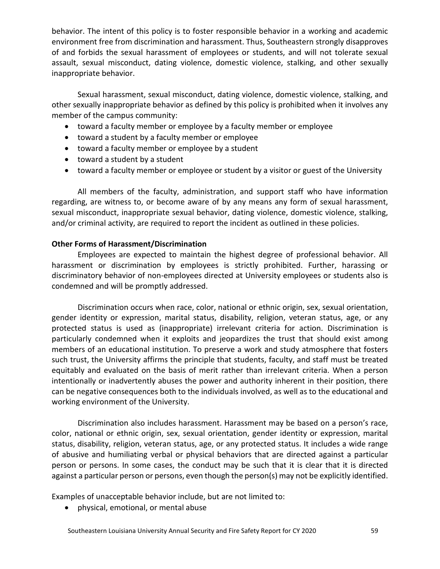behavior. The intent of this policy is to foster responsible behavior in a working and academic environment free from discrimination and harassment. Thus, Southeastern strongly disapproves of and forbids the sexual harassment of employees or students, and will not tolerate sexual assault, sexual misconduct, dating violence, domestic violence, stalking, and other sexually inappropriate behavior.

Sexual harassment, sexual misconduct, dating violence, domestic violence, stalking, and other sexually inappropriate behavior as defined by this policy is prohibited when it involves any member of the campus community:

- toward a faculty member or employee by a faculty member or employee
- toward a student by a faculty member or employee
- toward a faculty member or employee by a student
- toward a student by a student
- toward a faculty member or employee or student by a visitor or guest of the University

All members of the faculty, administration, and support staff who have information regarding, are witness to, or become aware of by any means any form of sexual harassment, sexual misconduct, inappropriate sexual behavior, dating violence, domestic violence, stalking, and/or criminal activity, are required to report the incident as outlined in these policies.

## **Other Forms of Harassment/Discrimination**

Employees are expected to maintain the highest degree of professional behavior. All harassment or discrimination by employees is strictly prohibited. Further, harassing or discriminatory behavior of non-employees directed at University employees or students also is condemned and will be promptly addressed.

Discrimination occurs when race, color, national or ethnic origin, sex, sexual orientation, gender identity or expression, marital status, disability, religion, veteran status, age, or any protected status is used as (inappropriate) irrelevant criteria for action. Discrimination is particularly condemned when it exploits and jeopardizes the trust that should exist among members of an educational institution. To preserve a work and study atmosphere that fosters such trust, the University affirms the principle that students, faculty, and staff must be treated equitably and evaluated on the basis of merit rather than irrelevant criteria. When a person intentionally or inadvertently abuses the power and authority inherent in their position, there can be negative consequences both to the individuals involved, as well as to the educational and working environment of the University.

Discrimination also includes harassment. Harassment may be based on a person's race, color, national or ethnic origin, sex, sexual orientation, gender identity or expression, marital status, disability, religion, veteran status, age, or any protected status. It includes a wide range of abusive and humiliating verbal or physical behaviors that are directed against a particular person or persons. In some cases, the conduct may be such that it is clear that it is directed against a particular person or persons, even though the person(s) may not be explicitly identified.

Examples of unacceptable behavior include, but are not limited to:

• physical, emotional, or mental abuse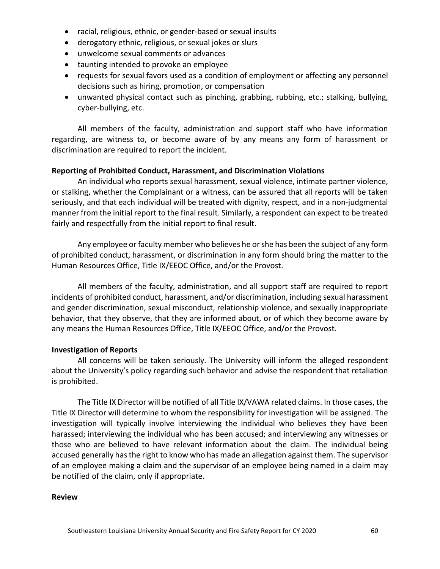- racial, religious, ethnic, or gender-based or sexual insults
- derogatory ethnic, religious, or sexual jokes or slurs
- unwelcome sexual comments or advances
- taunting intended to provoke an employee
- requests for sexual favors used as a condition of employment or affecting any personnel decisions such as hiring, promotion, or compensation
- unwanted physical contact such as pinching, grabbing, rubbing, etc.; stalking, bullying, cyber-bullying, etc.

All members of the faculty, administration and support staff who have information regarding, are witness to, or become aware of by any means any form of harassment or discrimination are required to report the incident.

#### **Reporting of Prohibited Conduct, Harassment, and Discrimination Violations**

An individual who reports sexual harassment, sexual violence, intimate partner violence, or stalking, whether the Complainant or a witness, can be assured that all reports will be taken seriously, and that each individual will be treated with dignity, respect, and in a non-judgmental manner from the initial report to the final result. Similarly, a respondent can expect to be treated fairly and respectfully from the initial report to final result.

Any employee or faculty member who believes he or she has been the subject of any form of prohibited conduct, harassment, or discrimination in any form should bring the matter to the Human Resources Office, Title IX/EEOC Office, and/or the Provost.

All members of the faculty, administration, and all support staff are required to report incidents of prohibited conduct, harassment, and/or discrimination, including sexual harassment and gender discrimination, sexual misconduct, relationship violence, and sexually inappropriate behavior, that they observe, that they are informed about, or of which they become aware by any means the Human Resources Office, Title IX/EEOC Office, and/or the Provost.

#### **Investigation of Reports**

All concerns will be taken seriously. The University will inform the alleged respondent about the University's policy regarding such behavior and advise the respondent that retaliation is prohibited.

The Title IX Director will be notified of all Title IX/VAWA related claims. In those cases, the Title IX Director will determine to whom the responsibility for investigation will be assigned. The investigation will typically involve interviewing the individual who believes they have been harassed; interviewing the individual who has been accused; and interviewing any witnesses or those who are believed to have relevant information about the claim. The individual being accused generally has the right to know who has made an allegation against them. The supervisor of an employee making a claim and the supervisor of an employee being named in a claim may be notified of the claim, only if appropriate.

#### **Review**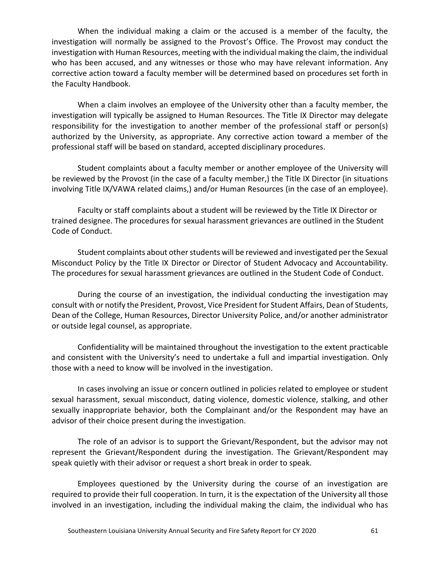When the individual making a claim or the accused is a member of the faculty, the investigation will normally be assigned to the Provost's Office. The Provost may conduct the investigation with Human Resources, meeting with the individual making the claim, the individual who has been accused, and any witnesses or those who may have relevant information. Any corrective action toward a faculty member will be determined based on procedures set forth in the Faculty Handbook.

When a claim involves an employee of the University other than a faculty member, the investigation will typically be assigned to Human Resources. The Title IX Director may delegate responsibility for the investigation to another member of the professional staff or person(s) authorized by the University, as appropriate. Any corrective action toward a member of the professional staff will be based on standard, accepted disciplinary procedures.

Student complaints about a faculty member or another employee of the University will be reviewed by the Provost (in the case of a faculty member,) the Title IX Director (in situations involving Title IX/VAWA related claims,) and/or Human Resources (in the case of an employee).

Faculty or staff complaints about a student will be reviewed by the Title IX Director or trained designee. The procedures for sexual harassment grievances are outlined in the Student Code of Conduct.

Student complaints about other students will be reviewed and investigated per the Sexual Misconduct Policy by the Title IX Director or Director of Student Advocacy and Accountability. The procedures for sexual harassment grievances are outlined in the Student Code of Conduct.

During the course of an investigation, the individual conducting the investigation may consult with or notify the President, Provost, Vice President for Student Affairs, Dean of Students, Dean of the College, Human Resources, Director University Police, and/or another administrator or outside legal counsel, as appropriate.

Confidentiality will be maintained throughout the investigation to the extent practicable and consistent with the University's need to undertake a full and impartial investigation. Only those with a need to know will be involved in the investigation.

In cases involving an issue or concern outlined in policies related to employee or student sexual harassment, sexual misconduct, dating violence, domestic violence, stalking, and other sexually inappropriate behavior, both the Complainant and/or the Respondent may have an advisor of their choice present during the investigation.

The role of an advisor is to support the Grievant/Respondent, but the advisor may not represent the Grievant/Respondent during the investigation. The Grievant/Respondent may speak quietly with their advisor or request a short break in order to speak.

Employees questioned by the University during the course of an investigation are required to provide their full cooperation. In turn, it is the expectation of the University all those involved in an investigation, including the individual making the claim, the individual who has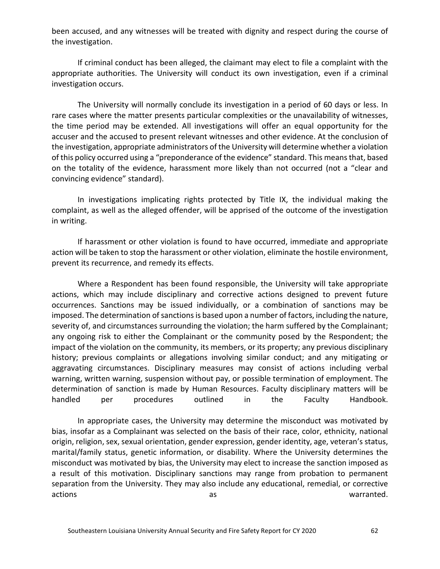been accused, and any witnesses will be treated with dignity and respect during the course of the investigation.

If criminal conduct has been alleged, the claimant may elect to file a complaint with the appropriate authorities. The University will conduct its own investigation, even if a criminal investigation occurs.

The University will normally conclude its investigation in a period of 60 days or less. In rare cases where the matter presents particular complexities or the unavailability of witnesses, the time period may be extended. All investigations will offer an equal opportunity for the accuser and the accused to present relevant witnesses and other evidence. At the conclusion of the investigation, appropriate administrators of the University will determine whether a violation of this policy occurred using a "preponderance of the evidence" standard. This means that, based on the totality of the evidence, harassment more likely than not occurred (not a "clear and convincing evidence" standard).

In investigations implicating rights protected by Title IX, the individual making the complaint, as well as the alleged offender, will be apprised of the outcome of the investigation in writing.

If harassment or other violation is found to have occurred, immediate and appropriate action will be taken to stop the harassment or other violation, eliminate the hostile environment, prevent its recurrence, and remedy its effects.

Where a Respondent has been found responsible, the University will take appropriate actions, which may include disciplinary and corrective actions designed to prevent future occurrences. Sanctions may be issued individually, or a combination of sanctions may be imposed. The determination of sanctions is based upon a number of factors, including the nature, severity of, and circumstances surrounding the violation; the harm suffered by the Complainant; any ongoing risk to either the Complainant or the community posed by the Respondent; the impact of the violation on the community, its members, or its property; any previous disciplinary history; previous complaints or allegations involving similar conduct; and any mitigating or aggravating circumstances. Disciplinary measures may consist of actions including verbal warning, written warning, suspension without pay, or possible termination of employment. The determination of sanction is made by Human Resources. Faculty disciplinary matters will be handled per procedures outlined in the Faculty Handbook.

In appropriate cases, the University may determine the misconduct was motivated by bias, insofar as a Complainant was selected on the basis of their race, color, ethnicity, national origin, religion, sex, sexual orientation, gender expression, gender identity, age, veteran's status, marital/family status, genetic information, or disability. Where the University determines the misconduct was motivated by bias, the University may elect to increase the sanction imposed as a result of this motivation. Disciplinary sanctions may range from probation to permanent separation from the University. They may also include any educational, remedial, or corrective actions and a setting a structure of the setting and a setting as warranted.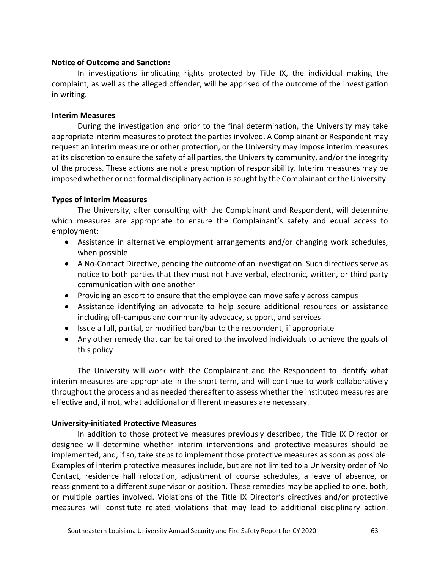#### **Notice of Outcome and Sanction:**

In investigations implicating rights protected by Title IX, the individual making the complaint, as well as the alleged offender, will be apprised of the outcome of the investigation in writing.

#### **Interim Measures**

During the investigation and prior to the final determination, the University may take appropriate interim measures to protect the parties involved. A Complainant or Respondent may request an interim measure or other protection, or the University may impose interim measures at its discretion to ensure the safety of all parties, the University community, and/or the integrity of the process. These actions are not a presumption of responsibility. Interim measures may be imposed whether or not formal disciplinary action is sought by the Complainant or the University.

## **Types of Interim Measures**

The University, after consulting with the Complainant and Respondent, will determine which measures are appropriate to ensure the Complainant's safety and equal access to employment:

- Assistance in alternative employment arrangements and/or changing work schedules, when possible
- A No-Contact Directive, pending the outcome of an investigation. Such directives serve as notice to both parties that they must not have verbal, electronic, written, or third party communication with one another
- Providing an escort to ensure that the employee can move safely across campus
- Assistance identifying an advocate to help secure additional resources or assistance including off-campus and community advocacy, support, and services
- Issue a full, partial, or modified ban/bar to the respondent, if appropriate
- Any other remedy that can be tailored to the involved individuals to achieve the goals of this policy

The University will work with the Complainant and the Respondent to identify what interim measures are appropriate in the short term, and will continue to work collaboratively throughout the process and as needed thereafter to assess whether the instituted measures are effective and, if not, what additional or different measures are necessary.

## **University-initiated Protective Measures**

In addition to those protective measures previously described, the Title IX Director or designee will determine whether interim interventions and protective measures should be implemented, and, if so, take steps to implement those protective measures as soon as possible. Examples of interim protective measures include, but are not limited to a University order of No Contact, residence hall relocation, adjustment of course schedules, a leave of absence, or reassignment to a different supervisor or position. These remedies may be applied to one, both, or multiple parties involved. Violations of the Title IX Director's directives and/or protective measures will constitute related violations that may lead to additional disciplinary action.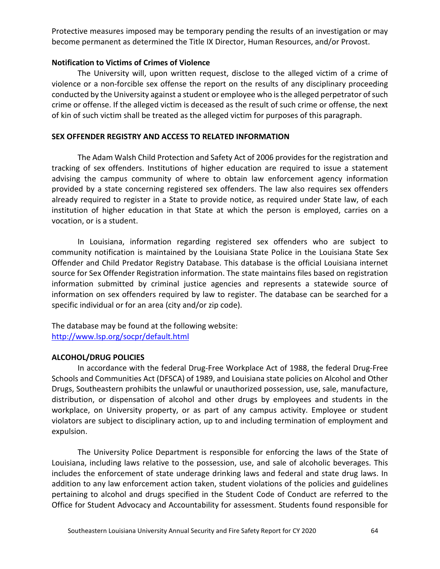Protective measures imposed may be temporary pending the results of an investigation or may become permanent as determined the Title IX Director, Human Resources, and/or Provost.

## **Notification to Victims of Crimes of Violence**

The University will, upon written request, disclose to the alleged victim of a crime of violence or a non-forcible sex offense the report on the results of any disciplinary proceeding conducted by the University against a student or employee who is the alleged perpetrator of such crime or offense. If the alleged victim is deceased as the result of such crime or offense, the next of kin of such victim shall be treated as the alleged victim for purposes of this paragraph.

#### **SEX OFFENDER REGISTRY AND ACCESS TO RELATED INFORMATION**

The Adam Walsh Child Protection and Safety Act of 2006 provides for the registration and tracking of sex offenders. Institutions of higher education are required to issue a statement advising the campus community of where to obtain law enforcement agency information provided by a state concerning registered sex offenders. The law also requires sex offenders already required to register in a State to provide notice, as required under State law, of each institution of higher education in that State at which the person is employed, carries on a vocation, or is a student.

In Louisiana, information regarding registered sex offenders who are subject to community notification is maintained by the Louisiana State Police in the Louisiana State Sex Offender and Child Predator Registry Database. This database is the official Louisiana internet source for Sex Offender Registration information. The state maintains files based on registration information submitted by criminal justice agencies and represents a statewide source of information on sex offenders required by law to register. The database can be searched for a specific individual or for an area (city and/or zip code).

The database may be found at the following website: <http://www.lsp.org/socpr/default.html>

## **ALCOHOL/DRUG POLICIES**

In accordance with the federal Drug-Free Workplace Act of 1988, the federal Drug-Free Schools and Communities Act (DFSCA) of 1989, and Louisiana state policies on Alcohol and Other Drugs, Southeastern prohibits the unlawful or unauthorized possession, use, sale, manufacture, distribution, or dispensation of alcohol and other drugs by employees and students in the workplace, on University property, or as part of any campus activity. Employee or student violators are subject to disciplinary action, up to and including termination of employment and expulsion.

The University Police Department is responsible for enforcing the laws of the State of Louisiana, including laws relative to the possession, use, and sale of alcoholic beverages. This includes the enforcement of state underage drinking laws and federal and state drug laws. In addition to any law enforcement action taken, student violations of the policies and guidelines pertaining to alcohol and drugs specified in the Student Code of Conduct are referred to the Office for Student Advocacy and Accountability for assessment. Students found responsible for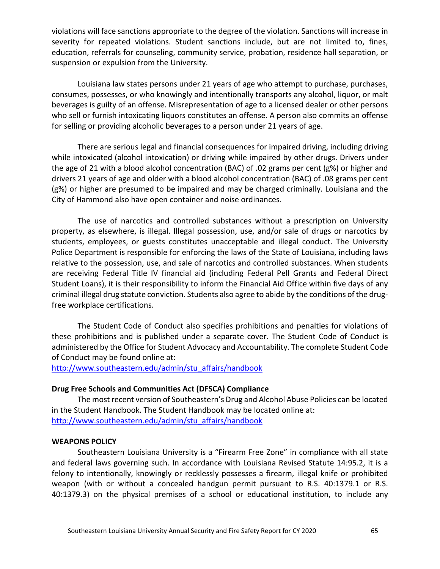violations will face sanctions appropriate to the degree of the violation. Sanctions will increase in severity for repeated violations. Student sanctions include, but are not limited to, fines, education, referrals for counseling, community service, probation, residence hall separation, or suspension or expulsion from the University.

Louisiana law states persons under 21 years of age who attempt to purchase, purchases, consumes, possesses, or who knowingly and intentionally transports any alcohol, liquor, or malt beverages is guilty of an offense. Misrepresentation of age to a licensed dealer or other persons who sell or furnish intoxicating liquors constitutes an offense. A person also commits an offense for selling or providing alcoholic beverages to a person under 21 years of age.

There are serious legal and financial consequences for impaired driving, including driving while intoxicated (alcohol intoxication) or driving while impaired by other drugs. Drivers under the age of 21 with a blood alcohol concentration (BAC) of .02 grams per cent (g%) or higher and drivers 21 years of age and older with a blood alcohol concentration (BAC) of .08 grams per cent (g%) or higher are presumed to be impaired and may be charged criminally. Louisiana and the City of Hammond also have open container and noise ordinances.

The use of narcotics and controlled substances without a prescription on University property, as elsewhere, is illegal. Illegal possession, use, and/or sale of drugs or narcotics by students, employees, or guests constitutes unacceptable and illegal conduct. The University Police Department is responsible for enforcing the laws of the State of Louisiana, including laws relative to the possession, use, and sale of narcotics and controlled substances. When students are receiving Federal Title IV financial aid (including Federal Pell Grants and Federal Direct Student Loans), it is their responsibility to inform the Financial Aid Office within five days of any criminal illegal drug statute conviction. Students also agree to abide by the conditions of the drugfree workplace certifications.

The Student Code of Conduct also specifies prohibitions and penalties for violations of these prohibitions and is published under a separate cover. The Student Code of Conduct is administered by the Office for Student Advocacy and Accountability. The complete Student Code of Conduct may be found online at:

http://www.southeastern.edu/admin/stu\_affairs/handbook

## **Drug Free Schools and Communities Act (DFSCA) Compliance**

The most recent version of Southeastern's Drug and Alcohol Abuse Policies can be located in the Student Handbook. The Student Handbook may be located online at: [http://www.southeastern.edu/admin/stu\\_affairs/handbook](http://www.southeastern.edu/admin/stu_affairs/handbook) 

## **WEAPONS POLICY**

Southeastern Louisiana University is a "Firearm Free Zone" in compliance with all state and federal laws governing such. In accordance with Louisiana Revised Statute 14:95.2, it is a felony to intentionally, knowingly or recklessly possesses a firearm, illegal knife or prohibited weapon (with or without a concealed handgun permit pursuant to R.S. 40:1379.1 or R.S. 40:1379.3) on the physical premises of a school or educational institution, to include any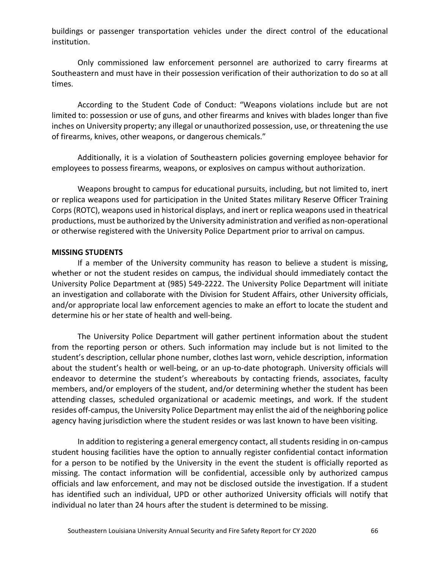buildings or passenger transportation vehicles under the direct control of the educational institution.

Only commissioned law enforcement personnel are authorized to carry firearms at Southeastern and must have in their possession verification of their authorization to do so at all times.

According to the Student Code of Conduct: "Weapons violations include but are not limited to: possession or use of guns, and other firearms and knives with blades longer than five inches on University property; any illegal or unauthorized possession, use, or threatening the use of firearms, knives, other weapons, or dangerous chemicals."

Additionally, it is a violation of Southeastern policies governing employee behavior for employees to possess firearms, weapons, or explosives on campus without authorization.

Weapons brought to campus for educational pursuits, including, but not limited to, inert or replica weapons used for participation in the United States military Reserve Officer Training Corps (ROTC), weapons used in historical displays, and inert or replica weapons used in theatrical productions, must be authorized by the University administration and verified as non-operational or otherwise registered with the University Police Department prior to arrival on campus.

#### **MISSING STUDENTS**

If a member of the University community has reason to believe a student is missing, whether or not the student resides on campus, the individual should immediately contact the University Police Department at (985) 549-2222. The University Police Department will initiate an investigation and collaborate with the Division for Student Affairs, other University officials, and/or appropriate local law enforcement agencies to make an effort to locate the student and determine his or her state of health and well-being.

The University Police Department will gather pertinent information about the student from the reporting person or others. Such information may include but is not limited to the student's description, cellular phone number, clothes last worn, vehicle description, information about the student's health or well-being, or an up-to-date photograph. University officials will endeavor to determine the student's whereabouts by contacting friends, associates, faculty members, and/or employers of the student, and/or determining whether the student has been attending classes, scheduled organizational or academic meetings, and work. If the student resides off-campus, the University Police Department may enlist the aid of the neighboring police agency having jurisdiction where the student resides or was last known to have been visiting.

In addition to registering a general emergency contact, all students residing in on-campus student housing facilities have the option to annually register confidential contact information for a person to be notified by the University in the event the student is officially reported as missing. The contact information will be confidential, accessible only by authorized campus officials and law enforcement, and may not be disclosed outside the investigation. If a student has identified such an individual, UPD or other authorized University officials will notify that individual no later than 24 hours after the student is determined to be missing.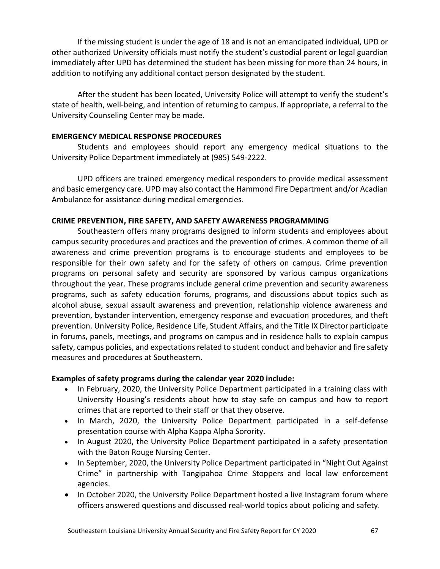If the missing student is under the age of 18 and is not an emancipated individual, UPD or other authorized University officials must notify the student's custodial parent or legal guardian immediately after UPD has determined the student has been missing for more than 24 hours, in addition to notifying any additional contact person designated by the student.

After the student has been located, University Police will attempt to verify the student's state of health, well-being, and intention of returning to campus. If appropriate, a referral to the University Counseling Center may be made.

## **EMERGENCY MEDICAL RESPONSE PROCEDURES**

Students and employees should report any emergency medical situations to the University Police Department immediately at (985) 549-2222.

UPD officers are trained emergency medical responders to provide medical assessment and basic emergency care. UPD may also contact the Hammond Fire Department and/or Acadian Ambulance for assistance during medical emergencies.

## **CRIME PREVENTION, FIRE SAFETY, AND SAFETY AWARENESS PROGRAMMING**

Southeastern offers many programs designed to inform students and employees about campus security procedures and practices and the prevention of crimes. A common theme of all awareness and crime prevention programs is to encourage students and employees to be responsible for their own safety and for the safety of others on campus. Crime prevention programs on personal safety and security are sponsored by various campus organizations throughout the year. These programs include general crime prevention and security awareness programs, such as safety education forums, programs, and discussions about topics such as alcohol abuse, sexual assault awareness and prevention, relationship violence awareness and prevention, bystander intervention, emergency response and evacuation procedures, and theft prevention. University Police, Residence Life, Student Affairs, and the Title IX Director participate in forums, panels, meetings, and programs on campus and in residence halls to explain campus safety, campus policies, and expectations related to student conduct and behavior and fire safety measures and procedures at Southeastern.

# **Examples of safety programs during the calendar year 2020 include:**

- In February, 2020, the University Police Department participated in a training class with University Housing's residents about how to stay safe on campus and how to report crimes that are reported to their staff or that they observe.
- In March, 2020, the University Police Department participated in a self-defense presentation course with Alpha Kappa Alpha Sorority.
- In August 2020, the University Police Department participated in a safety presentation with the Baton Rouge Nursing Center.
- In September, 2020, the University Police Department participated in "Night Out Against Crime" in partnership with Tangipahoa Crime Stoppers and local law enforcement agencies.
- In October 2020, the University Police Department hosted a live Instagram forum where officers answered questions and discussed real-world topics about policing and safety.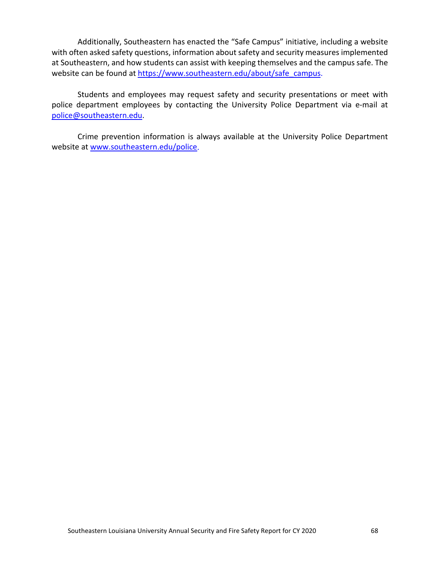Additionally, Southeastern has enacted the "Safe Campus" initiative, including a website with often asked safety questions, information about safety and security measures implemented at Southeastern, and how students can assist with keeping themselves and the campus safe. The website can be found at https://www.southeastern.edu/about/safe\_campus.

Students and employees may request safety and security presentations or meet with police department employees by contacting the University Police Department via e-mail at [police@southeastern.edu.](mailto:police@southeastern.edu)

Crime prevention information is always available at the University Police Department website at [www.southeastern.edu/police.](http://www.southeastern.edu/police)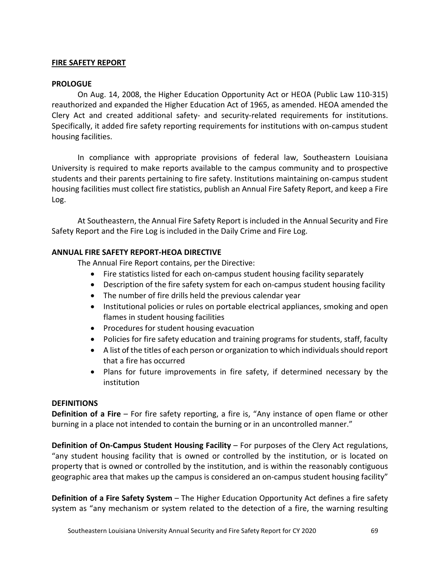## **FIRE SAFETY REPORT**

#### **PROLOGUE**

On Aug. 14, 2008, the Higher Education Opportunity Act or HEOA (Public Law 110-315) reauthorized and expanded the Higher Education Act of 1965, as amended. HEOA amended the Clery Act and created additional safety- and security-related requirements for institutions. Specifically, it added fire safety reporting requirements for institutions with on-campus student housing facilities.

In compliance with appropriate provisions of federal law, Southeastern Louisiana University is required to make reports available to the campus community and to prospective students and their parents pertaining to fire safety. Institutions maintaining on-campus student housing facilities must collect fire statistics, publish an Annual Fire Safety Report, and keep a Fire Log.

At Southeastern, the Annual Fire Safety Report is included in the Annual Security and Fire Safety Report and the Fire Log is included in the Daily Crime and Fire Log.

## **ANNUAL FIRE SAFETY REPORT-HEOA DIRECTIVE**

The Annual Fire Report contains, per the Directive:

- Fire statistics listed for each on-campus student housing facility separately
- Description of the fire safety system for each on-campus student housing facility
- The number of fire drills held the previous calendar year
- Institutional policies or rules on portable electrical appliances, smoking and open flames in student housing facilities
- Procedures for student housing evacuation
- Policies for fire safety education and training programs for students, staff, faculty
- A list of the titles of each person or organization to which individuals should report that a fire has occurred
- Plans for future improvements in fire safety, if determined necessary by the institution

# **DEFINITIONS**

**Definition of a Fire** – For fire safety reporting, a fire is, "Any instance of open flame or other burning in a place not intended to contain the burning or in an uncontrolled manner."

**Definition of On-Campus Student Housing Facility** – For purposes of the Clery Act regulations, "any student housing facility that is owned or controlled by the institution, or is located on property that is owned or controlled by the institution, and is within the reasonably contiguous geographic area that makes up the campus is considered an on-campus student housing facility"

**Definition of a Fire Safety System** – The Higher Education Opportunity Act defines a fire safety system as "any mechanism or system related to the detection of a fire, the warning resulting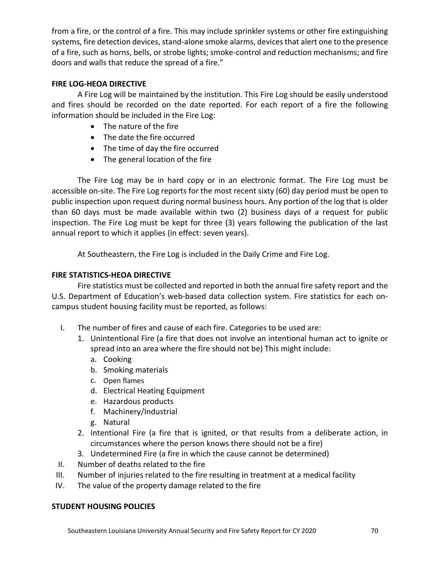from a fire, or the control of a fire. This may include sprinkler systems or other fire extinguishing systems, fire detection devices, stand-alone smoke alarms, devices that alert one to the presence of a fire, such as horns, bells, or strobe lights; smoke-control and reduction mechanisms; and fire doors and walls that reduce the spread of a fire."

## **FIRE LOG-HEOA DIRECTIVE**

A Fire Log will be maintained by the institution. This Fire Log should be easily understood and fires should be recorded on the date reported. For each report of a fire the following information should be included in the Fire Log:

- The nature of the fire
- The date the fire occurred
- The time of day the fire occurred
- The general location of the fire

The Fire Log may be in hard copy or in an electronic format. The Fire Log must be accessible on-site. The Fire Log reports for the most recent sixty (60) day period must be open to public inspection upon request during normal business hours. Any portion of the log that is older than 60 days must be made available within two (2) business days of a request for public inspection. The Fire Log must be kept for three (3) years following the publication of the last annual report to which it applies (in effect: seven years).

At Southeastern, the Fire Log is included in the Daily Crime and Fire Log.

## **FIRE STATISTICS-HEOA DIRECTIVE**

Fire statistics must be collected and reported in both the annual fire safety report and the U.S. Department of Education's web-based data collection system. Fire statistics for each oncampus student housing facility must be reported, as follows:

- I. The number of fires and cause of each fire. Categories to be used are:
	- 1. Unintentional Fire (a fire that does not involve an intentional human act to ignite or spread into an area where the fire should not be) This might include:
		- a. Cooking
		- b. Smoking materials
		- c. Open flames
		- d. Electrical Heating Equipment
		- e. Hazardous products
		- f. Machinery/Industrial
		- g. Natural
	- 2. Intentional Fire (a fire that is ignited, or that results from a deliberate action, in circumstances where the person knows there should not be a fire)
	- 3. Undetermined Fire (a fire in which the cause cannot be determined)
- II. Number of deaths related to the fire
- III. Number of injuries related to the fire resulting in treatment at a medical facility
- IV. The value of the property damage related to the fire

# **STUDENT HOUSING POLICIES**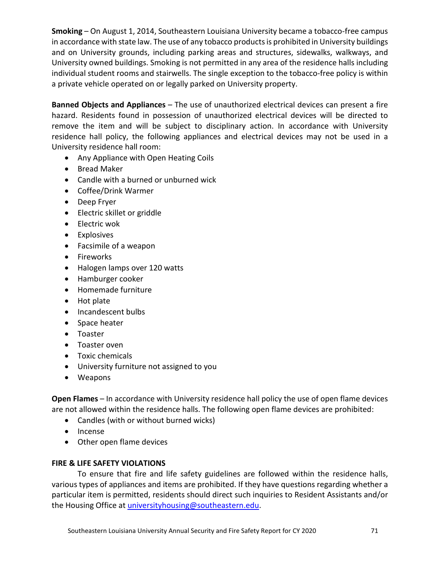**Smoking** – On August 1, 2014, Southeastern Louisiana University became a tobacco-free campus in accordance with state law. The use of any tobacco products is prohibited in University buildings and on University grounds, including parking areas and structures, sidewalks, walkways, and University owned buildings. Smoking is not permitted in any area of the residence halls including individual student rooms and stairwells. The single exception to the tobacco-free policy is within a private vehicle operated on or legally parked on University property.

**Banned Objects and Appliances** – The use of unauthorized electrical devices can present a fire hazard. Residents found in possession of unauthorized electrical devices will be directed to remove the item and will be subject to disciplinary action. In accordance with University residence hall policy, the following appliances and electrical devices may not be used in a University residence hall room:

- Any Appliance with Open Heating Coils
- Bread Maker
- Candle with a burned or unburned wick
- Coffee/Drink Warmer
- Deep Fryer
- Electric skillet or griddle
- Electric wok
- Explosives
- Facsimile of a weapon
- Fireworks
- Halogen lamps over 120 watts
- Hamburger cooker
- Homemade furniture
- Hot plate
- Incandescent bulbs
- Space heater
- Toaster
- Toaster oven
- Toxic chemicals
- University furniture not assigned to you
- Weapons

**Open Flames** – In accordance with University residence hall policy the use of open flame devices are not allowed within the residence halls. The following open flame devices are prohibited:

- Candles (with or without burned wicks)
- Incense
- Other open flame devices

# **FIRE & LIFE SAFETY VIOLATIONS**

To ensure that fire and life safety guidelines are followed within the residence halls, various types of appliances and items are prohibited. If they have questions regarding whether a particular item is permitted, residents should direct such inquiries to Resident Assistants and/or the Housing Office at *universityhousing@southeastern.edu.*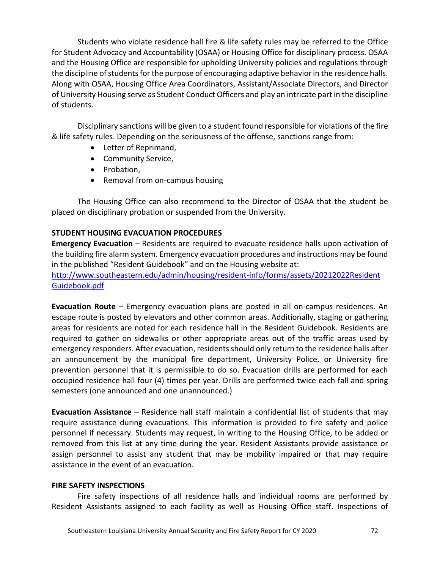Students who violate residence hall fire & life safety rules may be referred to the Office for Student Advocacy and Accountability (OSAA) or Housing Office for disciplinary process. OSAA and the Housing Office are responsible for upholding University policies and regulations through the discipline of students for the purpose of encouraging adaptive behavior in the residence halls. Along with OSAA, Housing Office Area Coordinators, Assistant/Associate Directors, and Director of University Housing serve as Student Conduct Officers and play an intricate part in the discipline of students.

Disciplinary sanctions will be given to a student found responsible for violations of the fire & life safety rules. Depending on the seriousness of the offense, sanctions range from:

- Letter of Reprimand,
- Community Service,
- Probation,
- Removal from on-campus housing

The Housing Office can also recommend to the Director of OSAA that the student be placed on disciplinary probation or suspended from the University.

# **STUDENT HOUSING EVACUATION PROCEDURES**

**Emergency Evacuation** – Residents are required to evacuate residence halls upon activation of the building fire alarm system. Emergency evacuation procedures and instructions may be found in the published "Resident Guidebook" and on the Housing website at:

[http://www.southeastern.edu/admin/housing/resident-info/forms/assets/20212022Resident](http://www.southeastern.edu/admin/housing/resident-info/forms/assets/20212022ResidentGuidebook.pdf) [Guidebook.pdf](http://www.southeastern.edu/admin/housing/resident-info/forms/assets/20212022ResidentGuidebook.pdf)

**Evacuation Route** – Emergency evacuation plans are posted in all on-campus residences. An escape route is posted by elevators and other common areas. Additionally, staging or gathering areas for residents are noted for each residence hall in the Resident Guidebook. Residents are required to gather on sidewalks or other appropriate areas out of the traffic areas used by emergency responders. After evacuation, residents should only return to the residence halls after an announcement by the municipal fire department, University Police, or University fire prevention personnel that it is permissible to do so. Evacuation drills are performed for each occupied residence hall four (4) times per year. Drills are performed twice each fall and spring semesters (one announced and one unannounced.)

**Evacuation Assistance** – Residence hall staff maintain a confidential list of students that may require assistance during evacuations. This information is provided to fire safety and police personnel if necessary. Students may request, in writing to the Housing Office, to be added or removed from this list at any time during the year. Resident Assistants provide assistance or assign personnel to assist any student that may be mobility impaired or that may require assistance in the event of an evacuation.

# **FIRE SAFETY INSPECTIONS**

Fire safety inspections of all residence halls and individual rooms are performed by Resident Assistants assigned to each facility as well as Housing Office staff. Inspections of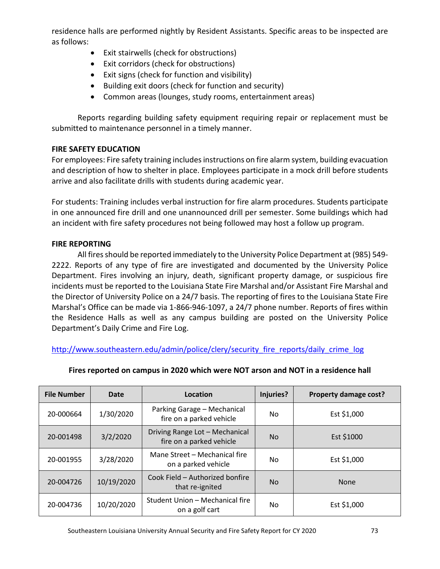residence halls are performed nightly by Resident Assistants. Specific areas to be inspected are as follows:

- Exit stairwells (check for obstructions)
- Exit corridors (check for obstructions)
- Exit signs (check for function and visibility)
- Building exit doors (check for function and security)
- Common areas (lounges, study rooms, entertainment areas)

Reports regarding building safety equipment requiring repair or replacement must be submitted to maintenance personnel in a timely manner.

## **FIRE SAFETY EDUCATION**

For employees: Fire safety training includes instructions on fire alarm system, building evacuation and description of how to shelter in place. Employees participate in a mock drill before students arrive and also facilitate drills with students during academic year.

For students: Training includes verbal instruction for fire alarm procedures. Students participate in one announced fire drill and one unannounced drill per semester. Some buildings which had an incident with fire safety procedures not being followed may host a follow up program.

## **FIRE REPORTING**

All fires should be reported immediately to the University Police Department at (985) 549- 2222. Reports of any type of fire are investigated and documented by the University Police Department. Fires involving an injury, death, significant property damage, or suspicious fire incidents must be reported to the Louisiana State Fire Marshal and/or Assistant Fire Marshal and the Director of University Police on a 24/7 basis. The reporting of fires to the Louisiana State Fire Marshal's Office can be made via 1-866-946-1097, a 24/7 phone number. Reports of fires within the Residence Halls as well as any campus building are posted on the University Police Department's Daily Crime and Fire Log.

http://www.southeastern.edu/admin/police/clery/security fire\_reports/daily\_crime\_log

| <b>File Number</b> | Date       | Location                                                   | Injuries? | <b>Property damage cost?</b> |
|--------------------|------------|------------------------------------------------------------|-----------|------------------------------|
| 20-000664          | 1/30/2020  | Parking Garage - Mechanical<br>fire on a parked vehicle    | No.       | Est \$1,000                  |
| 20-001498          | 3/2/2020   | Driving Range Lot - Mechanical<br>fire on a parked vehicle | <b>No</b> | Est \$1000                   |
| 20-001955          | 3/28/2020  | Mane Street - Mechanical fire<br>on a parked vehicle       | No.       | Est \$1,000                  |
| 20-004726          | 10/19/2020 | Cook Field - Authorized bonfire<br>that re-ignited         | <b>No</b> | <b>None</b>                  |
| 20-004736          | 10/20/2020 | Student Union - Mechanical fire<br>on a golf cart          | No.       | Est \$1,000                  |

## **Fires reported on campus in 2020 which were NOT arson and NOT in a residence hall**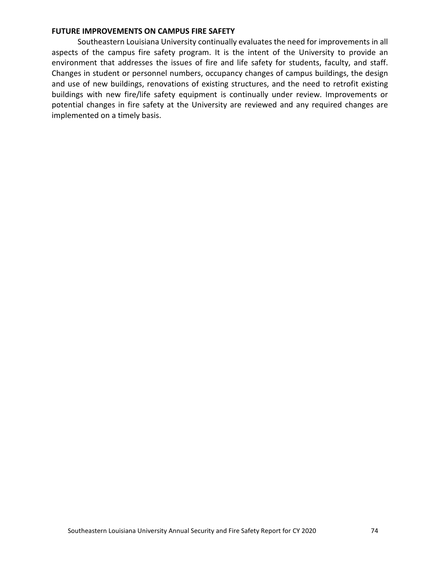#### **FUTURE IMPROVEMENTS ON CAMPUS FIRE SAFETY**

Southeastern Louisiana University continually evaluates the need for improvements in all aspects of the campus fire safety program. It is the intent of the University to provide an environment that addresses the issues of fire and life safety for students, faculty, and staff. Changes in student or personnel numbers, occupancy changes of campus buildings, the design and use of new buildings, renovations of existing structures, and the need to retrofit existing buildings with new fire/life safety equipment is continually under review. Improvements or potential changes in fire safety at the University are reviewed and any required changes are implemented on a timely basis.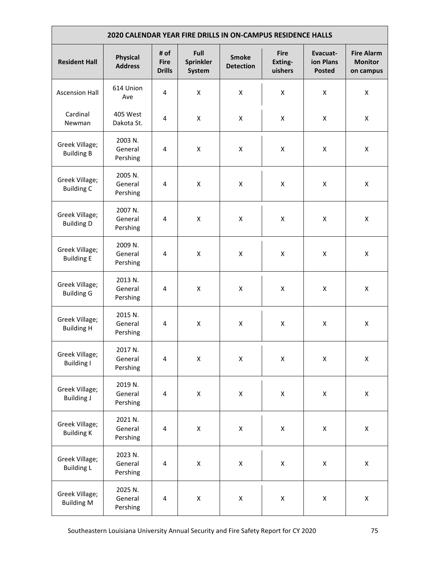| 2020 CALENDAR YEAR FIRE DRILLS IN ON-CAMPUS RESIDENCE HALLS |                                   |                                      |                                           |                                  |                                   |                                        |                                                  |
|-------------------------------------------------------------|-----------------------------------|--------------------------------------|-------------------------------------------|----------------------------------|-----------------------------------|----------------------------------------|--------------------------------------------------|
| <b>Resident Hall</b>                                        | <b>Physical</b><br><b>Address</b> | # of<br><b>Fire</b><br><b>Drills</b> | <b>Full</b><br>Sprinkler<br><b>System</b> | <b>Smoke</b><br><b>Detection</b> | <b>Fire</b><br>Exting-<br>uishers | Evacuat-<br>ion Plans<br><b>Posted</b> | <b>Fire Alarm</b><br><b>Monitor</b><br>on campus |
| <b>Ascension Hall</b>                                       | 614 Union<br>Ave                  | 4                                    | X                                         | X                                | X                                 | X                                      | X                                                |
| Cardinal<br>Newman                                          | 405 West<br>Dakota St.            | 4                                    | X                                         | X                                | X                                 | X                                      | X                                                |
| Greek Village;<br><b>Building B</b>                         | 2003 N.<br>General<br>Pershing    | 4                                    | X                                         | $\pmb{\mathsf{X}}$               | Χ                                 | X                                      | X                                                |
| Greek Village;<br><b>Building C</b>                         | 2005 N.<br>General<br>Pershing    | 4                                    | X                                         | X                                | X                                 | X                                      | X                                                |
| Greek Village;<br><b>Building D</b>                         | 2007 N.<br>General<br>Pershing    | $\overline{4}$                       | X                                         | $\pmb{\mathsf{X}}$               | X                                 | X                                      | X                                                |
| Greek Village;<br><b>Building E</b>                         | 2009 N.<br>General<br>Pershing    | 4                                    | X                                         | X                                | X                                 | X                                      | X                                                |
| Greek Village;<br><b>Building G</b>                         | 2013 N.<br>General<br>Pershing    | 4                                    | X                                         | X                                | X                                 | X                                      | X                                                |
| Greek Village;<br><b>Building H</b>                         | 2015 N.<br>General<br>Pershing    | 4                                    | X                                         | Χ                                | Χ                                 | X                                      | X                                                |
| Greek Village;<br><b>Building I</b>                         | 2017 N.<br>General<br>Pershing    | $\overline{\mathbf{4}}$              | $\pmb{\mathsf{X}}$                        | $\pmb{\mathsf{X}}$               | Χ                                 | X                                      | $\pmb{\mathsf{X}}$                               |
| Greek Village;<br><b>Building J</b>                         | 2019 N.<br>General<br>Pershing    | $\overline{4}$                       | $\pmb{\mathsf{X}}$                        | Χ                                | X                                 | $\mathsf X$                            | $\pmb{\mathsf{X}}$                               |
| Greek Village;<br><b>Building K</b>                         | 2021 N.<br>General<br>Pershing    | $\overline{4}$                       | $\pmb{\mathsf{X}}$                        | Χ                                | X                                 | $\mathsf{x}$                           | Χ                                                |
| Greek Village;<br><b>Building L</b>                         | 2023 N.<br>General<br>Pershing    | $\overline{4}$                       | $\pmb{\times}$                            | Χ                                | Χ                                 | $\mathsf{x}$                           | X                                                |
| Greek Village;<br><b>Building M</b>                         | 2025 N.<br>General<br>Pershing    | 4                                    | $\mathsf{X}$                              | $\pmb{\mathsf{X}}$               | $\mathsf X$                       | $\mathsf{x}$                           | X                                                |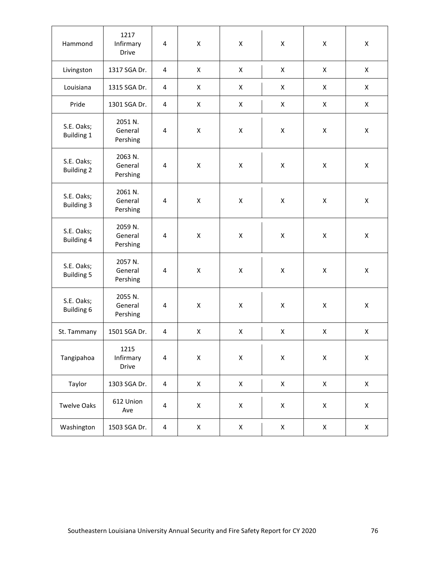| Hammond                         | 1217<br>Infirmary<br><b>Drive</b> | 4                       | X                  | X                  | X | Χ                  | X                  |
|---------------------------------|-----------------------------------|-------------------------|--------------------|--------------------|---|--------------------|--------------------|
| Livingston                      | 1317 SGA Dr.                      | 4                       | X                  | X                  | X | X                  | X                  |
| Louisiana                       | 1315 SGA Dr.                      | 4                       | X                  | X                  | X | X                  | $\mathsf{X}$       |
| Pride                           | 1301 SGA Dr.                      | 4                       | $\mathsf{X}$       | $\mathsf{X}$       | X | X                  | $\mathsf{X}$       |
| S.E. Oaks;<br><b>Building 1</b> | 2051 N.<br>General<br>Pershing    | 4                       | X                  | X                  | Χ | $\pmb{\mathsf{X}}$ | X                  |
| S.E. Oaks;<br><b>Building 2</b> | 2063 N.<br>General<br>Pershing    | 4                       | X                  | X                  | Χ | Χ                  | X                  |
| S.E. Oaks;<br><b>Building 3</b> | 2061 N.<br>General<br>Pershing    | 4                       | $\pmb{\mathsf{X}}$ | $\pmb{\mathsf{X}}$ | Χ | Χ                  | $\pmb{\times}$     |
| S.E. Oaks;<br><b>Building 4</b> | 2059 N.<br>General<br>Pershing    | 4                       | $\pmb{\mathsf{X}}$ | $\pmb{\mathsf{X}}$ | Χ | Χ                  | $\pmb{\mathsf{X}}$ |
| S.E. Oaks;<br><b>Building 5</b> | 2057 N.<br>General<br>Pershing    | 4                       | X                  | X                  | X | Χ                  | $\pmb{\times}$     |
| S.E. Oaks;<br><b>Building 6</b> | 2055 N.<br>General<br>Pershing    | 4                       | X                  | X                  | Χ | $\pmb{\mathsf{X}}$ | X                  |
| St. Tammany                     | 1501 SGA Dr.                      | 4                       | X                  | X                  | X | X                  | X                  |
| Tangipahoa                      | 1215<br>Infirmary<br>Drive        | $\overline{\mathbf{4}}$ | $\pmb{\mathsf{X}}$ | $\pmb{\mathsf{X}}$ | X | X                  | $\mathsf X$        |
| Taylor                          | 1303 SGA Dr.                      | 4                       | $\pmb{\mathsf{X}}$ | X                  | Χ | X                  | X                  |
| <b>Twelve Oaks</b>              | 612 Union<br>Ave                  | 4                       | X                  | X                  | Χ | Χ                  | $\mathsf X$        |
| Washington                      | 1503 SGA Dr.                      | 4                       | X                  | $\mathsf X$        | X | X                  | X                  |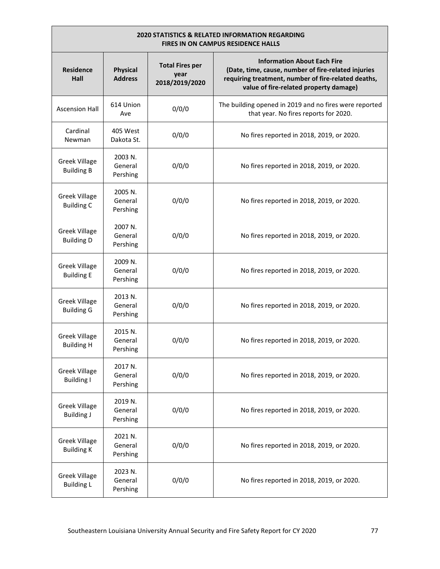| <b>2020 STATISTICS &amp; RELATED INFORMATION REGARDING</b><br><b>FIRES IN ON CAMPUS RESIDENCE HALLS</b> |                                   |                                                  |                                                                                                                                                                                            |  |
|---------------------------------------------------------------------------------------------------------|-----------------------------------|--------------------------------------------------|--------------------------------------------------------------------------------------------------------------------------------------------------------------------------------------------|--|
| <b>Residence</b><br>Hall                                                                                | <b>Physical</b><br><b>Address</b> | <b>Total Fires per</b><br>year<br>2018/2019/2020 | <b>Information About Each Fire</b><br>(Date, time, cause, number of fire-related injuries<br>requiring treatment, number of fire-related deaths,<br>value of fire-related property damage) |  |
| <b>Ascension Hall</b>                                                                                   | 614 Union<br>Ave                  | 0/0/0                                            | The building opened in 2019 and no fires were reported<br>that year. No fires reports for 2020.                                                                                            |  |
| Cardinal<br>Newman                                                                                      | 405 West<br>Dakota St.            | 0/0/0                                            | No fires reported in 2018, 2019, or 2020.                                                                                                                                                  |  |
| <b>Greek Village</b><br><b>Building B</b>                                                               | 2003 N.<br>General<br>Pershing    | 0/0/0                                            | No fires reported in 2018, 2019, or 2020.                                                                                                                                                  |  |
| <b>Greek Village</b><br><b>Building C</b>                                                               | 2005 N.<br>General<br>Pershing    | 0/0/0                                            | No fires reported in 2018, 2019, or 2020.                                                                                                                                                  |  |
| <b>Greek Village</b><br><b>Building D</b>                                                               | 2007 N.<br>General<br>Pershing    | 0/0/0                                            | No fires reported in 2018, 2019, or 2020.                                                                                                                                                  |  |
| <b>Greek Village</b><br><b>Building E</b>                                                               | 2009 N.<br>General<br>Pershing    | 0/0/0                                            | No fires reported in 2018, 2019, or 2020.                                                                                                                                                  |  |
| <b>Greek Village</b><br><b>Building G</b>                                                               | 2013 N.<br>General<br>Pershing    | 0/0/0                                            | No fires reported in 2018, 2019, or 2020.                                                                                                                                                  |  |
| <b>Greek Village</b><br><b>Building H</b>                                                               | 2015 N.<br>General<br>Pershing    | 0/0/0                                            | No fires reported in 2018, 2019, or 2020.                                                                                                                                                  |  |
| <b>Greek Village</b><br><b>Building I</b>                                                               | 2017 N.<br>General<br>Pershing    | 0/0/0                                            | No fires reported in 2018, 2019, or 2020.                                                                                                                                                  |  |
| <b>Greek Village</b><br><b>Building J</b>                                                               | 2019 N.<br>General<br>Pershing    | 0/0/0                                            | No fires reported in 2018, 2019, or 2020.                                                                                                                                                  |  |
| <b>Greek Village</b><br><b>Building K</b>                                                               | 2021 N.<br>General<br>Pershing    | 0/0/0                                            | No fires reported in 2018, 2019, or 2020.                                                                                                                                                  |  |
| <b>Greek Village</b><br><b>Building L</b>                                                               | 2023 N.<br>General<br>Pershing    | 0/0/0                                            | No fires reported in 2018, 2019, or 2020.                                                                                                                                                  |  |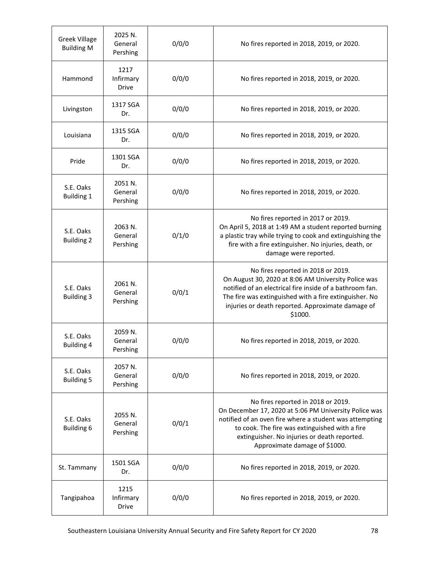| <b>Greek Village</b><br><b>Building M</b> | 2025 N.<br>General<br>Pershing    | 0/0/0 | No fires reported in 2018, 2019, or 2020.                                                                                                                                                                                                                                                 |
|-------------------------------------------|-----------------------------------|-------|-------------------------------------------------------------------------------------------------------------------------------------------------------------------------------------------------------------------------------------------------------------------------------------------|
| Hammond                                   | 1217<br>Infirmary<br><b>Drive</b> | 0/0/0 | No fires reported in 2018, 2019, or 2020.                                                                                                                                                                                                                                                 |
| Livingston                                | 1317 SGA<br>Dr.                   | 0/0/0 | No fires reported in 2018, 2019, or 2020.                                                                                                                                                                                                                                                 |
| Louisiana                                 | 1315 SGA<br>Dr.                   | 0/0/0 | No fires reported in 2018, 2019, or 2020.                                                                                                                                                                                                                                                 |
| Pride                                     | 1301 SGA<br>Dr.                   | 0/0/0 | No fires reported in 2018, 2019, or 2020.                                                                                                                                                                                                                                                 |
| S.E. Oaks<br><b>Building 1</b>            | 2051 N.<br>General<br>Pershing    | 0/0/0 | No fires reported in 2018, 2019, or 2020.                                                                                                                                                                                                                                                 |
| S.E. Oaks<br><b>Building 2</b>            | 2063 N.<br>General<br>Pershing    | 0/1/0 | No fires reported in 2017 or 2019.<br>On April 5, 2018 at 1:49 AM a student reported burning<br>a plastic tray while trying to cook and extinguishing the<br>fire with a fire extinguisher. No injuries, death, or<br>damage were reported.                                               |
| S.E. Oaks<br><b>Building 3</b>            | 2061 N.<br>General<br>Pershing    | 0/0/1 | No fires reported in 2018 or 2019.<br>On August 30, 2020 at 8:06 AM University Police was<br>notified of an electrical fire inside of a bathroom fan.<br>The fire was extinguished with a fire extinguisher. No<br>injuries or death reported. Approximate damage of<br>\$1000.           |
| S.E. Oaks<br><b>Building 4</b>            | 2059 N.<br>General<br>Pershing    | 0/0/0 | No fires reported in 2018, 2019, or 2020.                                                                                                                                                                                                                                                 |
| S.E. Oaks<br><b>Building 5</b>            | 2057 N.<br>General<br>Pershing    | 0/0/0 | No fires reported in 2018, 2019, or 2020.                                                                                                                                                                                                                                                 |
| S.E. Oaks<br>Building 6                   | 2055 N.<br>General<br>Pershing    | 0/0/1 | No fires reported in 2018 or 2019.<br>On December 17, 2020 at 5:06 PM University Police was<br>notified of an oven fire where a student was attempting<br>to cook. The fire was extinguished with a fire<br>extinguisher. No injuries or death reported.<br>Approximate damage of \$1000. |
| St. Tammany                               | 1501 SGA<br>Dr.                   | 0/0/0 | No fires reported in 2018, 2019, or 2020.                                                                                                                                                                                                                                                 |
| Tangipahoa                                | 1215<br>Infirmary<br><b>Drive</b> | 0/0/0 | No fires reported in 2018, 2019, or 2020.                                                                                                                                                                                                                                                 |